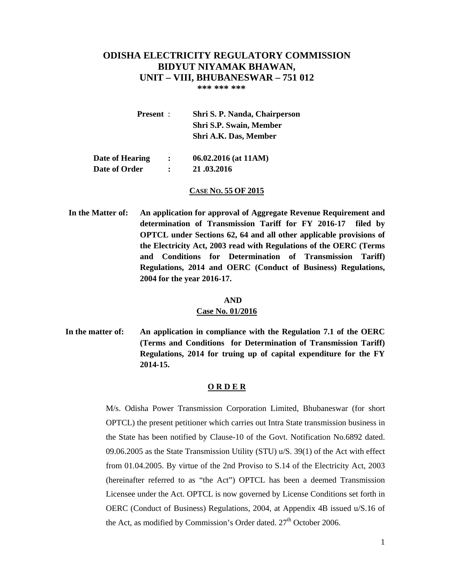# **ODISHA ELECTRICITY REGULATORY COMMISSION BIDYUT NIYAMAK BHAWAN, UNIT – VIII, BHUBANESWAR – 751 012**

 **\*\*\* \*\*\* \*\*\*** 

| <b>Present</b> : |               | Shri S. P. Nanda, Chairperson  |
|------------------|---------------|--------------------------------|
|                  |               | <b>Shri S.P. Swain, Member</b> |
|                  |               | Shri A.K. Das, Member          |
|                  |               |                                |
| Date of Hearing  | $\sim$ $\sim$ | $06.02.2016$ (at 11AM)         |

 **Date of Order : 21 .03.2016** 

#### **CASE NO. 55 OF 2015**

**In the Matter of: An application for approval of Aggregate Revenue Requirement and determination of Transmission Tariff for FY 2016-17 filed by OPTCL under Sections 62, 64 and all other applicable provisions of the Electricity Act, 2003 read with Regulations of the OERC (Terms and Conditions for Determination of Transmission Tariff) Regulations, 2014 and OERC (Conduct of Business) Regulations, 2004 for the year 2016-17.** 

#### **AND**

#### **Case No. 01/2016**

**In the matter of: An application in compliance with the Regulation 7.1 of the OERC (Terms and Conditions for Determination of Transmission Tariff) Regulations, 2014 for truing up of capital expenditure for the FY 2014-15.** 

#### **O R D E R**

M/s. Odisha Power Transmission Corporation Limited, Bhubaneswar (for short OPTCL) the present petitioner which carries out Intra State transmission business in the State has been notified by Clause-10 of the Govt. Notification No.6892 dated. 09.06.2005 as the State Transmission Utility (STU) u/S. 39(1) of the Act with effect from 01.04.2005. By virtue of the 2nd Proviso to S.14 of the Electricity Act, 2003 (hereinafter referred to as "the Act") OPTCL has been a deemed Transmission Licensee under the Act. OPTCL is now governed by License Conditions set forth in OERC (Conduct of Business) Regulations, 2004, at Appendix 4B issued u/S.16 of the Act, as modified by Commission's Order dated.  $27<sup>th</sup>$  October 2006.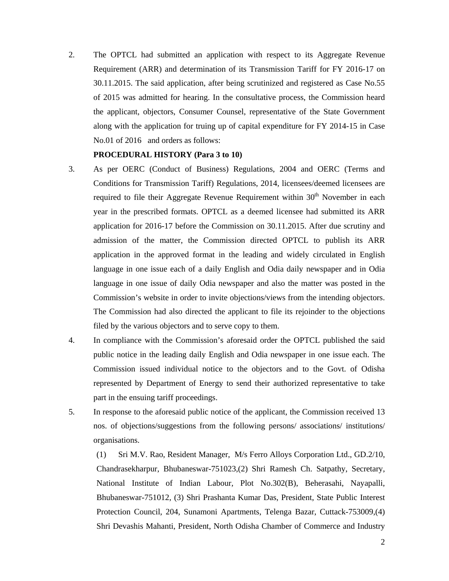2. The OPTCL had submitted an application with respect to its Aggregate Revenue Requirement (ARR) and determination of its Transmission Tariff for FY 2016-17 on 30.11.2015. The said application, after being scrutinized and registered as Case No.55 of 2015 was admitted for hearing. In the consultative process, the Commission heard the applicant, objectors, Consumer Counsel, representative of the State Government along with the application for truing up of capital expenditure for FY 2014-15 in Case No.01 of 2016 and orders as follows:

#### **PROCEDURAL HISTORY (Para 3 to 10)**

- 3. As per OERC (Conduct of Business) Regulations, 2004 and OERC (Terms and Conditions for Transmission Tariff) Regulations, 2014, licensees/deemed licensees are required to file their Aggregate Revenue Requirement within  $30<sup>th</sup>$  November in each year in the prescribed formats. OPTCL as a deemed licensee had submitted its ARR application for 2016-17 before the Commission on 30.11.2015. After due scrutiny and admission of the matter, the Commission directed OPTCL to publish its ARR application in the approved format in the leading and widely circulated in English language in one issue each of a daily English and Odia daily newspaper and in Odia language in one issue of daily Odia newspaper and also the matter was posted in the Commission's website in order to invite objections/views from the intending objectors. The Commission had also directed the applicant to file its rejoinder to the objections filed by the various objectors and to serve copy to them.
- 4. In compliance with the Commission's aforesaid order the OPTCL published the said public notice in the leading daily English and Odia newspaper in one issue each. The Commission issued individual notice to the objectors and to the Govt. of Odisha represented by Department of Energy to send their authorized representative to take part in the ensuing tariff proceedings.
- 5. In response to the aforesaid public notice of the applicant, the Commission received 13 nos. of objections/suggestions from the following persons/ associations/ institutions/ organisations.

(1) Sri M.V. Rao, Resident Manager, M/s Ferro Alloys Corporation Ltd., GD.2/10, Chandrasekharpur, Bhubaneswar-751023,(2) Shri Ramesh Ch. Satpathy, Secretary, National Institute of Indian Labour, Plot No.302(B), Beherasahi, Nayapalli, Bhubaneswar-751012, (3) Shri Prashanta Kumar Das, President, State Public Interest Protection Council, 204, Sunamoni Apartments, Telenga Bazar, Cuttack-753009,(4) Shri Devashis Mahanti, President, North Odisha Chamber of Commerce and Industry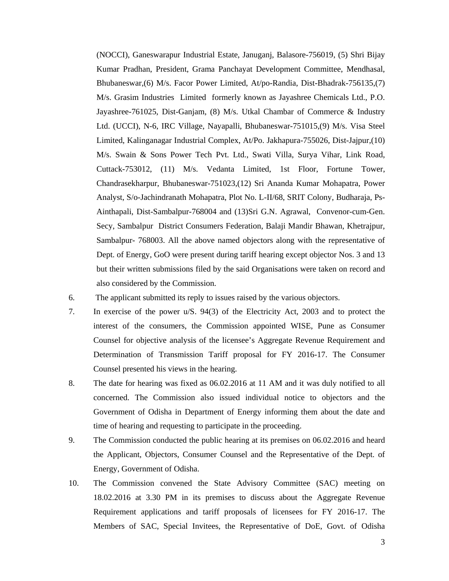(NOCCI), Ganeswarapur Industrial Estate, Januganj, Balasore-756019, (5) Shri Bijay Kumar Pradhan, President, Grama Panchayat Development Committee, Mendhasal, Bhubaneswar,(6) M/s. Facor Power Limited, At/po-Randia, Dist-Bhadrak-756135,(7) M/s. Grasim Industries Limited formerly known as Jayashree Chemicals Ltd., P.O. Jayashree-761025, Dist-Ganjam, (8) M/s. Utkal Chambar of Commerce & Industry Ltd. (UCCI), N-6, IRC Village, Nayapalli, Bhubaneswar-751015,(9) M/s. Visa Steel Limited, Kalinganagar Industrial Complex, At/Po. Jakhapura-755026, Dist-Jajpur,(10) M/s. Swain & Sons Power Tech Pvt. Ltd., Swati Villa, Surya Vihar, Link Road, Cuttack-753012, (11) M/s. Vedanta Limited, 1st Floor, Fortune Tower, Chandrasekharpur, Bhubaneswar-751023,(12) Sri Ananda Kumar Mohapatra, Power Analyst, S/o-Jachindranath Mohapatra, Plot No. L-II/68, SRIT Colony, Budharaja, Ps-Ainthapali, Dist-Sambalpur-768004 and (13)Sri G.N. Agrawal, Convenor-cum-Gen. Secy, Sambalpur District Consumers Federation, Balaji Mandir Bhawan, Khetrajpur, Sambalpur- 768003. All the above named objectors along with the representative of Dept. of Energy, GoO were present during tariff hearing except objector Nos. 3 and 13 but their written submissions filed by the said Organisations were taken on record and also considered by the Commission.

- 6. The applicant submitted its reply to issues raised by the various objectors.
- 7. In exercise of the power u/S. 94(3) of the Electricity Act, 2003 and to protect the interest of the consumers, the Commission appointed WISE, Pune as Consumer Counsel for objective analysis of the licensee's Aggregate Revenue Requirement and Determination of Transmission Tariff proposal for FY 2016-17. The Consumer Counsel presented his views in the hearing.
- 8. The date for hearing was fixed as 06.02.2016 at 11 AM and it was duly notified to all concerned. The Commission also issued individual notice to objectors and the Government of Odisha in Department of Energy informing them about the date and time of hearing and requesting to participate in the proceeding.
- 9. The Commission conducted the public hearing at its premises on 06.02.2016 and heard the Applicant, Objectors, Consumer Counsel and the Representative of the Dept. of Energy, Government of Odisha.
- 10. The Commission convened the State Advisory Committee (SAC) meeting on 18.02.2016 at 3.30 PM in its premises to discuss about the Aggregate Revenue Requirement applications and tariff proposals of licensees for FY 2016-17. The Members of SAC, Special Invitees, the Representative of DoE, Govt. of Odisha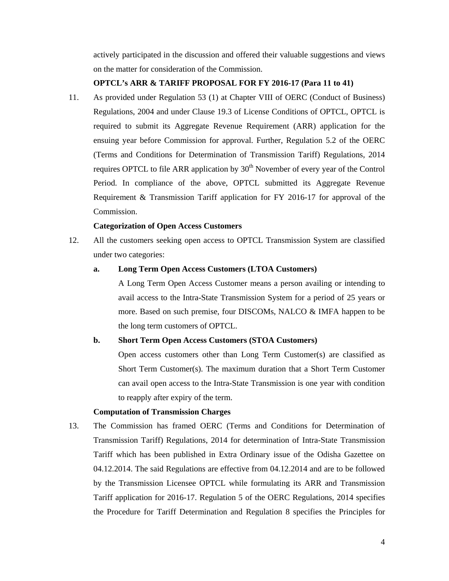actively participated in the discussion and offered their valuable suggestions and views on the matter for consideration of the Commission.

#### **OPTCL's ARR & TARIFF PROPOSAL FOR FY 2016-17 (Para 11 to 41)**

11. As provided under Regulation 53 (1) at Chapter VIII of OERC (Conduct of Business) Regulations, 2004 and under Clause 19.3 of License Conditions of OPTCL, OPTCL is required to submit its Aggregate Revenue Requirement (ARR) application for the ensuing year before Commission for approval. Further, Regulation 5.2 of the OERC (Terms and Conditions for Determination of Transmission Tariff) Regulations, 2014 requires OPTCL to file ARR application by  $30<sup>th</sup>$  November of every year of the Control Period. In compliance of the above, OPTCL submitted its Aggregate Revenue Requirement & Transmission Tariff application for FY 2016-17 for approval of the Commission.

#### **Categorization of Open Access Customers**

12. All the customers seeking open access to OPTCL Transmission System are classified under two categories:

#### **a. Long Term Open Access Customers (LTOA Customers)**

A Long Term Open Access Customer means a person availing or intending to avail access to the Intra-State Transmission System for a period of 25 years or more. Based on such premise, four DISCOMs, NALCO & IMFA happen to be the long term customers of OPTCL.

#### **b. Short Term Open Access Customers (STOA Customers)**

Open access customers other than Long Term Customer(s) are classified as Short Term Customer(s). The maximum duration that a Short Term Customer can avail open access to the Intra-State Transmission is one year with condition to reapply after expiry of the term.

#### **Computation of Transmission Charges**

13. The Commission has framed OERC (Terms and Conditions for Determination of Transmission Tariff) Regulations, 2014 for determination of Intra-State Transmission Tariff which has been published in Extra Ordinary issue of the Odisha Gazettee on 04.12.2014. The said Regulations are effective from 04.12.2014 and are to be followed by the Transmission Licensee OPTCL while formulating its ARR and Transmission Tariff application for 2016-17. Regulation 5 of the OERC Regulations, 2014 specifies the Procedure for Tariff Determination and Regulation 8 specifies the Principles for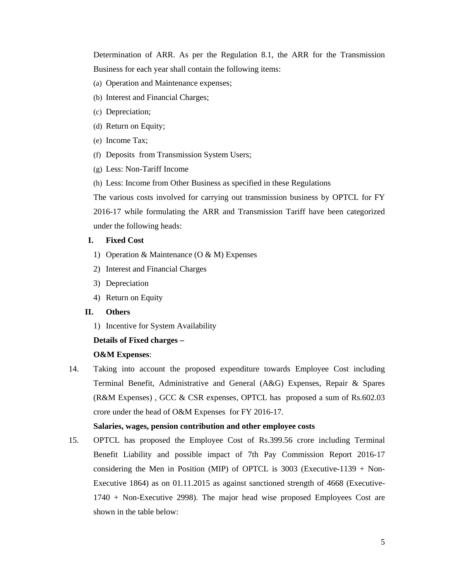Determination of ARR. As per the Regulation 8.1, the ARR for the Transmission Business for each year shall contain the following items:

- (a) Operation and Maintenance expenses;
- (b) Interest and Financial Charges;
- (c) Depreciation;
- (d) Return on Equity;
- (e) Income Tax;
- (f) Deposits from Transmission System Users;
- (g) Less: Non-Tariff Income
- (h) Less: Income from Other Business as specified in these Regulations

The various costs involved for carrying out transmission business by OPTCL for FY 2016-17 while formulating the ARR and Transmission Tariff have been categorized under the following heads:

#### **I. Fixed Cost**

- 1) Operation & Maintenance (O & M) Expenses
- 2) Interest and Financial Charges
- 3) Depreciation
- 4) Return on Equity

#### **II. Others**

1) Incentive for System Availability

#### **Details of Fixed charges –**

#### **O&M Expenses**:

14. Taking into account the proposed expenditure towards Employee Cost including Terminal Benefit, Administrative and General (A&G) Expenses, Repair & Spares (R&M Expenses) , GCC & CSR expenses, OPTCL has proposed a sum of Rs.602.03 crore under the head of O&M Expenses for FY 2016-17.

#### **Salaries, wages, pension contribution and other employee costs**

15. OPTCL has proposed the Employee Cost of Rs.399.56 crore including Terminal Benefit Liability and possible impact of 7th Pay Commission Report 2016-17 considering the Men in Position (MIP) of OPTCL is  $3003$  (Executive-1139 + Non-Executive 1864) as on 01.11.2015 as against sanctioned strength of 4668 (Executive-1740 + Non-Executive 2998). The major head wise proposed Employees Cost are shown in the table below: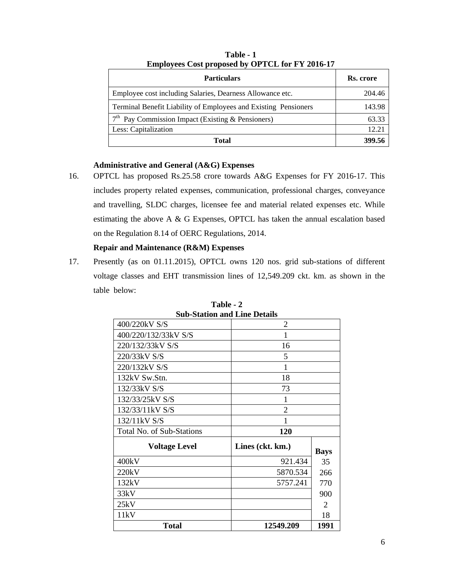| <b>Particulars</b>                                              | Rs. crore |
|-----------------------------------------------------------------|-----------|
| Employee cost including Salaries, Dearness Allowance etc.       | 204.46    |
| Terminal Benefit Liability of Employees and Existing Pensioners | 143.98    |
| $7th$ Pay Commission Impact (Existing & Pensioners)             | 63.33     |
| Less: Capitalization                                            | 12.21     |
| <b>Total</b>                                                    | 399.56    |

**Table - 1 Employees Cost proposed by OPTCL for FY 2016-17** 

# **Administrative and General (A&G) Expenses**

16. OPTCL has proposed Rs.25.58 crore towards A&G Expenses for FY 2016-17. This includes property related expenses, communication, professional charges, conveyance and travelling, SLDC charges, licensee fee and material related expenses etc. While estimating the above A & G Expenses, OPTCL has taken the annual escalation based on the Regulation 8.14 of OERC Regulations, 2014.

# **Repair and Maintenance (R&M) Expenses**

17. Presently (as on 01.11.2015), OPTCL owns 120 nos. grid sub-stations of different voltage classes and EHT transmission lines of 12,549.209 ckt. km. as shown in the table below:

| <b>Sub-Station and Line Details</b> |                  |                |  |  |  |
|-------------------------------------|------------------|----------------|--|--|--|
| 400/220kV S/S                       | 2                |                |  |  |  |
| 400/220/132/33kV S/S                | 1                |                |  |  |  |
| 220/132/33kV S/S                    | 16               |                |  |  |  |
| 220/33kV S/S                        | 5                |                |  |  |  |
| 220/132kV S/S                       | 1                |                |  |  |  |
| 132kV Sw.Stn.                       | 18               |                |  |  |  |
| 132/33kV S/S                        | 73               |                |  |  |  |
| 132/33/25kV S/S                     | 1                |                |  |  |  |
| 132/33/11kV S/S                     | $\overline{2}$   |                |  |  |  |
| 132/11kV S/S                        | 1                |                |  |  |  |
| Total No. of Sub-Stations           | 120              |                |  |  |  |
| <b>Voltage Level</b>                | Lines (ckt. km.) | <b>Bays</b>    |  |  |  |
| 400kV                               | 921.434          | 35             |  |  |  |
| 220kV                               | 5870.534         | 266            |  |  |  |
| 132kV                               | 5757.241<br>770  |                |  |  |  |
| 33kV                                |                  | 900            |  |  |  |
| 25kV                                |                  | $\overline{2}$ |  |  |  |
| 11kV                                |                  | 18             |  |  |  |
| 12549.209<br>1991<br>Total          |                  |                |  |  |  |

**Table - 2**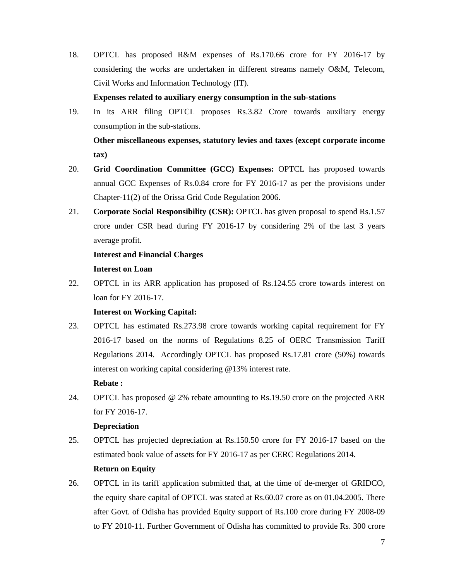18. OPTCL has proposed R&M expenses of Rs.170.66 crore for FY 2016-17 by considering the works are undertaken in different streams namely O&M, Telecom, Civil Works and Information Technology (IT).

# **Expenses related to auxiliary energy consumption in the sub-stations**

19. In its ARR filing OPTCL proposes Rs.3.82 Crore towards auxiliary energy consumption in the sub-stations.  **Other miscellaneous expenses, statutory levies and taxes (except corporate income** 

**tax)** 

- 20. **Grid Coordination Committee (GCC) Expenses:** OPTCL has proposed towards annual GCC Expenses of Rs.0.84 crore for FY 2016-17 as per the provisions under Chapter-11(2) of the Orissa Grid Code Regulation 2006.
- 21. **Corporate Social Responsibility (CSR):** OPTCL has given proposal to spend Rs.1.57 crore under CSR head during FY 2016-17 by considering 2% of the last 3 years average profit.

# **Interest and Financial Charges Interest on Loan**

22. OPTCL in its ARR application has proposed of Rs.124.55 crore towards interest on loan for FY 2016-17.

# **Interest on Working Capital:**

23. OPTCL has estimated Rs.273.98 crore towards working capital requirement for FY 2016-17 based on the norms of Regulations 8.25 of OERC Transmission Tariff Regulations 2014. Accordingly OPTCL has proposed Rs.17.81 crore (50%) towards interest on working capital considering @13% interest rate.

# **Rebate :**

24. OPTCL has proposed @ 2% rebate amounting to Rs.19.50 crore on the projected ARR for FY 2016-17.

# **Depreciation**

25. OPTCL has projected depreciation at Rs.150.50 crore for FY 2016-17 based on the estimated book value of assets for FY 2016-17 as per CERC Regulations 2014.

# **Return on Equity**

26. OPTCL in its tariff application submitted that, at the time of de-merger of GRIDCO, the equity share capital of OPTCL was stated at Rs.60.07 crore as on 01.04.2005. There after Govt. of Odisha has provided Equity support of Rs.100 crore during FY 2008-09 to FY 2010-11. Further Government of Odisha has committed to provide Rs. 300 crore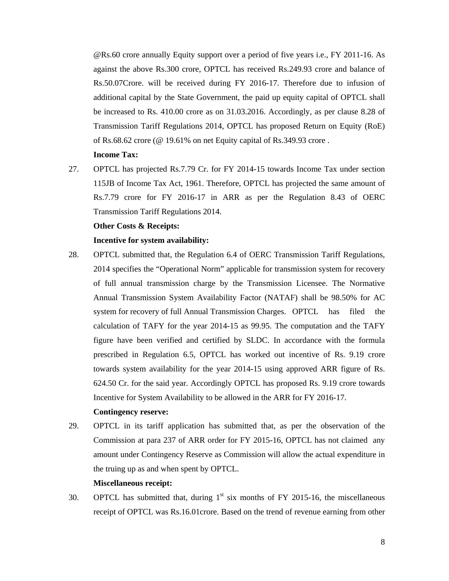@Rs.60 crore annually Equity support over a period of five years i.e., FY 2011-16. As against the above Rs.300 crore, OPTCL has received Rs.249.93 crore and balance of Rs.50.07Crore. will be received during FY 2016-17. Therefore due to infusion of additional capital by the State Government, the paid up equity capital of OPTCL shall be increased to Rs. 410.00 crore as on 31.03.2016. Accordingly, as per clause 8.28 of Transmission Tariff Regulations 2014, OPTCL has proposed Return on Equity (RoE) of Rs.68.62 crore (@ 19.61% on net Equity capital of Rs.349.93 crore .

#### **Income Tax:**

27. OPTCL has projected Rs.7.79 Cr. for FY 2014-15 towards Income Tax under section 115JB of Income Tax Act, 1961. Therefore, OPTCL has projected the same amount of Rs.7.79 crore for FY 2016-17 in ARR as per the Regulation 8.43 of OERC Transmission Tariff Regulations 2014.

#### **Other Costs & Receipts:**

#### **Incentive for system availability:**

28. OPTCL submitted that, the Regulation 6.4 of OERC Transmission Tariff Regulations, 2014 specifies the "Operational Norm" applicable for transmission system for recovery of full annual transmission charge by the Transmission Licensee. The Normative Annual Transmission System Availability Factor (NATAF) shall be 98.50% for AC system for recovery of full Annual Transmission Charges. OPTCL has filed the calculation of TAFY for the year 2014-15 as 99.95. The computation and the TAFY figure have been verified and certified by SLDC. In accordance with the formula prescribed in Regulation 6.5, OPTCL has worked out incentive of Rs. 9.19 crore towards system availability for the year 2014-15 using approved ARR figure of Rs. 624.50 Cr. for the said year. Accordingly OPTCL has proposed Rs. 9.19 crore towards Incentive for System Availability to be allowed in the ARR for FY 2016-17.  **Contingency reserve:** 

# 29. OPTCL in its tariff application has submitted that, as per the observation of the Commission at para 237 of ARR order for FY 2015-16, OPTCL has not claimed any amount under Contingency Reserve as Commission will allow the actual expenditure in the truing up as and when spent by OPTCL.

#### **Miscellaneous receipt:**

30. OPTCL has submitted that, during  $1<sup>st</sup>$  six months of FY 2015-16, the miscellaneous receipt of OPTCL was Rs.16.01crore. Based on the trend of revenue earning from other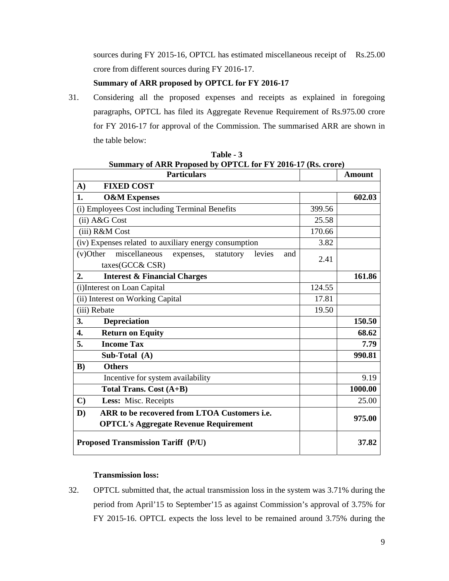sources during FY 2015-16, OPTCL has estimated miscellaneous receipt of Rs.25.00 crore from different sources during FY 2016-17.

# **Summary of ARR proposed by OPTCL for FY 2016-17**

31. Considering all the proposed expenses and receipts as explained in foregoing paragraphs, OPTCL has filed its Aggregate Revenue Requirement of Rs.975.00 crore for FY 2016-17 for approval of the Commission. The summarised ARR are shown in the table below:

| <b>Particulars</b>                                                                                                  |        | <b>Amount</b> |
|---------------------------------------------------------------------------------------------------------------------|--------|---------------|
| <b>FIXED COST</b><br>$\mathbf{A}$                                                                                   |        |               |
| 1.<br><b>O&amp;M Expenses</b>                                                                                       |        | 602.03        |
| (i) Employees Cost including Terminal Benefits                                                                      | 399.56 |               |
| (ii) A&G Cost                                                                                                       | 25.58  |               |
| (iii) R&M Cost                                                                                                      | 170.66 |               |
| (iv) Expenses related to auxiliary energy consumption                                                               | 3.82   |               |
| miscellaneous<br>$(v)$ Other<br>expenses,<br>statutory<br>levies<br>and<br>taxes(GCC&CSR)                           | 2.41   |               |
| <b>Interest &amp; Financial Charges</b><br>2.                                                                       |        | 161.86        |
| (i) Interest on Loan Capital                                                                                        | 124.55 |               |
| (ii) Interest on Working Capital                                                                                    | 17.81  |               |
| (iii) Rebate                                                                                                        | 19.50  |               |
| 3.<br><b>Depreciation</b>                                                                                           |        | 150.50        |
| <b>Return on Equity</b><br>4.                                                                                       |        | 68.62         |
| 5.<br><b>Income Tax</b>                                                                                             |        | 7.79          |
| Sub-Total (A)                                                                                                       |        | 990.81        |
| <b>Others</b><br>B)                                                                                                 |        |               |
| Incentive for system availability                                                                                   |        | 9.19          |
| Total Trans. Cost (A+B)                                                                                             |        | 1000.00       |
| $\mathbf{C}$<br>Less: Misc. Receipts                                                                                |        | 25.00         |
| ARR to be recovered from LTOA Customers <i>i.e.</i><br>$\mathbf{D}$<br><b>OPTCL's Aggregate Revenue Requirement</b> |        | 975.00        |
| <b>Proposed Transmission Tariff (P/U)</b>                                                                           |        | 37.82         |

**Table - 3 Summary of ARR Proposed by OPTCL for FY 2016-17 (Rs. crore)** 

### **Transmission loss:**

32. OPTCL submitted that, the actual transmission loss in the system was 3.71% during the period from April'15 to September'15 as against Commission's approval of 3.75% for FY 2015-16. OPTCL expects the loss level to be remained around 3.75% during the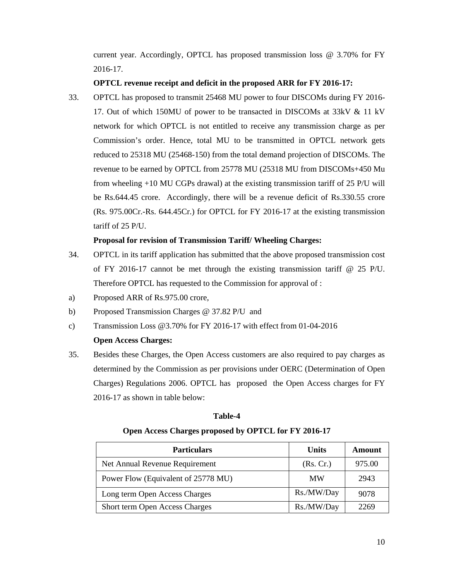current year. Accordingly, OPTCL has proposed transmission loss @ 3.70% for FY 2016-17.

# **OPTCL revenue receipt and deficit in the proposed ARR for FY 2016-17:**

33. OPTCL has proposed to transmit 25468 MU power to four DISCOMs during FY 2016- 17. Out of which 150MU of power to be transacted in DISCOMs at 33kV & 11 kV network for which OPTCL is not entitled to receive any transmission charge as per Commission's order. Hence, total MU to be transmitted in OPTCL network gets reduced to 25318 MU (25468-150) from the total demand projection of DISCOMs. The revenue to be earned by OPTCL from 25778 MU (25318 MU from DISCOMs+450 Mu from wheeling +10 MU CGPs drawal) at the existing transmission tariff of 25 P/U will be Rs.644.45 crore. Accordingly, there will be a revenue deficit of Rs.330.55 crore (Rs. 975.00Cr.-Rs. 644.45Cr.) for OPTCL for FY 2016-17 at the existing transmission tariff of 25 P/U.

# **Proposal for revision of Transmission Tariff/ Wheeling Charges:**

- 34. OPTCL in its tariff application has submitted that the above proposed transmission cost of FY 2016-17 cannot be met through the existing transmission tariff  $\omega$  25 P/U. Therefore OPTCL has requested to the Commission for approval of :
- a) Proposed ARR of Rs.975.00 crore,
- b) Proposed Transmission Charges @ 37.82 P/U and
- c) Transmission Loss @3.70% for FY 2016-17 with effect from 01-04-2016

# **Open Access Charges:**

35. Besides these Charges, the Open Access customers are also required to pay charges as determined by the Commission as per provisions under OERC (Determination of Open Charges) Regulations 2006. OPTCL has proposed the Open Access charges for FY 2016-17 as shown in table below:

# **Table-4**

# **Open Access Charges proposed by OPTCL for FY 2016-17**

| <b>Particulars</b>                  | <b>Units</b> | Amount |
|-------------------------------------|--------------|--------|
| Net Annual Revenue Requirement      | (Rs, Cr.)    | 975.00 |
| Power Flow (Equivalent of 25778 MU) | <b>MW</b>    | 2943   |
| Long term Open Access Charges       | Rs./MW/Day   | 9078   |
| Short term Open Access Charges      | Rs./MW/Day   | 2269   |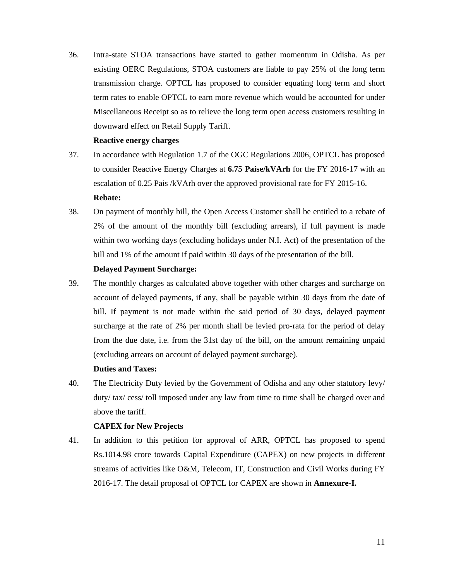36. Intra-state STOA transactions have started to gather momentum in Odisha. As per existing OERC Regulations, STOA customers are liable to pay 25% of the long term transmission charge. OPTCL has proposed to consider equating long term and short term rates to enable OPTCL to earn more revenue which would be accounted for under Miscellaneous Receipt so as to relieve the long term open access customers resulting in downward effect on Retail Supply Tariff.

#### **Reactive energy charges**

- 37. In accordance with Regulation 1.7 of the OGC Regulations 2006, OPTCL has proposed to consider Reactive Energy Charges at **6.75 Paise/kVArh** for the FY 2016-17 with an escalation of 0.25 Pais /kVArh over the approved provisional rate for FY 2015-16.  **Rebate:**
- 38. On payment of monthly bill, the Open Access Customer shall be entitled to a rebate of 2% of the amount of the monthly bill (excluding arrears), if full payment is made within two working days (excluding holidays under N.I. Act) of the presentation of the bill and 1% of the amount if paid within 30 days of the presentation of the bill.

### **Delayed Payment Surcharge:**

39. The monthly charges as calculated above together with other charges and surcharge on account of delayed payments, if any, shall be payable within 30 days from the date of bill. If payment is not made within the said period of 30 days, delayed payment surcharge at the rate of 2% per month shall be levied pro-rata for the period of delay from the due date, i.e. from the 31st day of the bill, on the amount remaining unpaid (excluding arrears on account of delayed payment surcharge).

# **Duties and Taxes:**

40. The Electricity Duty levied by the Government of Odisha and any other statutory levy/ duty/ tax/ cess/ toll imposed under any law from time to time shall be charged over and above the tariff.

# **CAPEX for New Projects**

41. In addition to this petition for approval of ARR, OPTCL has proposed to spend Rs.1014.98 crore towards Capital Expenditure (CAPEX) on new projects in different streams of activities like O&M, Telecom, IT, Construction and Civil Works during FY 2016-17. The detail proposal of OPTCL for CAPEX are shown in **Annexure-I.**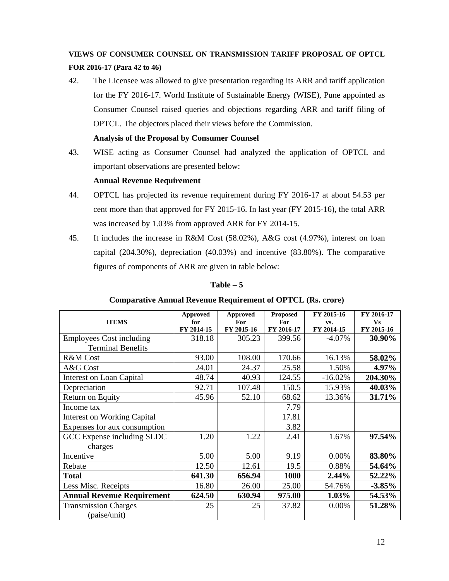# **VIEWS OF CONSUMER COUNSEL ON TRANSMISSION TARIFF PROPOSAL OF OPTCL**

# **FOR 2016-17 (Para 42 to 46)**

42. The Licensee was allowed to give presentation regarding its ARR and tariff application for the FY 2016-17. World Institute of Sustainable Energy (WISE), Pune appointed as Consumer Counsel raised queries and objections regarding ARR and tariff filing of OPTCL. The objectors placed their views before the Commission.

# **Analysis of the Proposal by Consumer Counsel**

43. WISE acting as Consumer Counsel had analyzed the application of OPTCL and important observations are presented below:

# **Annual Revenue Requirement**

- 44. OPTCL has projected its revenue requirement during FY 2016-17 at about 54.53 per cent more than that approved for FY 2015-16. In last year (FY 2015-16), the total ARR was increased by 1.03% from approved ARR for FY 2014-15.
- 45. It includes the increase in R&M Cost (58.02%), A&G cost (4.97%), interest on loan capital (204.30%), depreciation (40.03%) and incentive (83.80%). The comparative figures of components of ARR are given in table below:

| <b>ITEMS</b>                                                | <b>Approved</b><br>for<br>FY 2014-15 | <b>Approved</b><br>For<br>FY 2015-16 | <b>Proposed</b><br>For<br>FY 2016-17 | FY 2015-16<br>VS.<br>FY 2014-15 | FY 2016-17<br><b>Vs</b><br>FY 2015-16 |
|-------------------------------------------------------------|--------------------------------------|--------------------------------------|--------------------------------------|---------------------------------|---------------------------------------|
| <b>Employees Cost including</b><br><b>Terminal Benefits</b> | 318.18                               | 305.23                               | 399.56                               | $-4.07\%$                       | 30.90%                                |
| <b>R&amp;M</b> Cost                                         | 93.00                                | 108.00                               | 170.66                               | 16.13%                          | 58.02%                                |
| A&G Cost                                                    | 24.01                                | 24.37                                | 25.58                                | 1.50%                           | 4.97%                                 |
| Interest on Loan Capital                                    | 48.74                                | 40.93                                | 124.55                               | $-16.02%$                       | 204.30%                               |
| Depreciation                                                | 92.71                                | 107.48                               | 150.5                                | 15.93%                          | 40.03%                                |
| Return on Equity                                            | 45.96                                | 52.10                                | 68.62                                | 13.36%                          | 31.71%                                |
| Income tax                                                  |                                      |                                      | 7.79                                 |                                 |                                       |
| <b>Interest on Working Capital</b>                          |                                      |                                      | 17.81                                |                                 |                                       |
| Expenses for aux consumption                                |                                      |                                      | 3.82                                 |                                 |                                       |
| GCC Expense including SLDC<br>charges                       | 1.20                                 | 1.22                                 | 2.41                                 | 1.67%                           | 97.54%                                |
| Incentive                                                   | 5.00                                 | 5.00                                 | 9.19                                 | 0.00%                           | 83.80%                                |
| Rebate                                                      | 12.50                                | 12.61                                | 19.5                                 | 0.88%                           | 54.64%                                |
| <b>Total</b>                                                | 641.30                               | 656.94                               | 1000                                 | 2.44%                           | 52.22%                                |
| Less Misc. Receipts                                         | 16.80                                | 26.00                                | 25.00                                | 54.76%                          | $-3.85%$                              |
| <b>Annual Revenue Requirement</b>                           | 624.50                               | 630.94                               | 975.00                               | 1.03%                           | 54.53%                                |
| <b>Transmission Charges</b><br>(paise/unit)                 | 25                                   | 25                                   | 37.82                                | 0.00%                           | 51.28%                                |

# **Table – 5**

|  | <b>Comparative Annual Revenue Requirement of OPTCL (Rs. crore)</b> |
|--|--------------------------------------------------------------------|
|  |                                                                    |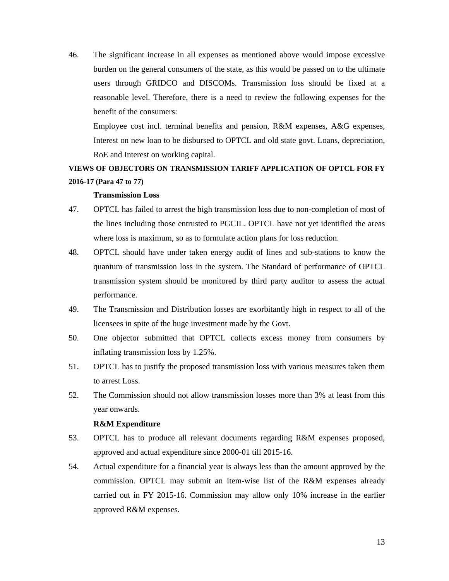46. The significant increase in all expenses as mentioned above would impose excessive burden on the general consumers of the state, as this would be passed on to the ultimate users through GRIDCO and DISCOMs. Transmission loss should be fixed at a reasonable level. Therefore, there is a need to review the following expenses for the benefit of the consumers:

 Employee cost incl. terminal benefits and pension, R&M expenses, A&G expenses, Interest on new loan to be disbursed to OPTCL and old state govt. Loans, depreciation, RoE and Interest on working capital.

# **VIEWS OF OBJECTORS ON TRANSMISSION TARIFF APPLICATION OF OPTCL FOR FY 2016-17 (Para 47 to 77)**

#### **Transmission Loss**

- 47. OPTCL has failed to arrest the high transmission loss due to non-completion of most of the lines including those entrusted to PGCIL. OPTCL have not yet identified the areas where loss is maximum, so as to formulate action plans for loss reduction.
- 48. OPTCL should have under taken energy audit of lines and sub-stations to know the quantum of transmission loss in the system. The Standard of performance of OPTCL transmission system should be monitored by third party auditor to assess the actual performance.
- 49. The Transmission and Distribution losses are exorbitantly high in respect to all of the licensees in spite of the huge investment made by the Govt.
- 50. One objector submitted that OPTCL collects excess money from consumers by inflating transmission loss by 1.25%.
- 51. OPTCL has to justify the proposed transmission loss with various measures taken them to arrest Loss.
- 52. The Commission should not allow transmission losses more than 3% at least from this year onwards.

#### **R&M Expenditure**

- 53. OPTCL has to produce all relevant documents regarding R&M expenses proposed, approved and actual expenditure since 2000-01 till 2015-16.
- 54. Actual expenditure for a financial year is always less than the amount approved by the commission. OPTCL may submit an item-wise list of the R&M expenses already carried out in FY 2015-16. Commission may allow only 10% increase in the earlier approved R&M expenses.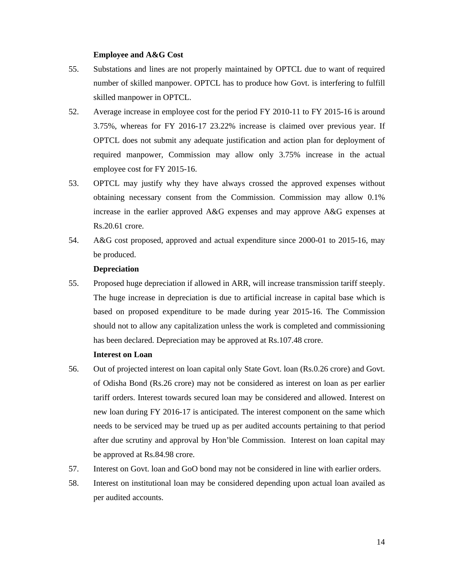#### **Employee and A&G Cost**

- 55. Substations and lines are not properly maintained by OPTCL due to want of required number of skilled manpower. OPTCL has to produce how Govt. is interfering to fulfill skilled manpower in OPTCL.
- 52. Average increase in employee cost for the period FY 2010-11 to FY 2015-16 is around 3.75%, whereas for FY 2016-17 23.22% increase is claimed over previous year. If OPTCL does not submit any adequate justification and action plan for deployment of required manpower, Commission may allow only 3.75% increase in the actual employee cost for FY 2015-16.
- 53. OPTCL may justify why they have always crossed the approved expenses without obtaining necessary consent from the Commission. Commission may allow 0.1% increase in the earlier approved A&G expenses and may approve A&G expenses at Rs.20.61 crore.
- 54. A&G cost proposed, approved and actual expenditure since 2000-01 to 2015-16, may be produced.

#### **Depreciation**

55. Proposed huge depreciation if allowed in ARR, will increase transmission tariff steeply. The huge increase in depreciation is due to artificial increase in capital base which is based on proposed expenditure to be made during year 2015-16. The Commission should not to allow any capitalization unless the work is completed and commissioning has been declared. Depreciation may be approved at Rs.107.48 crore.

# **Interest on Loan**

- 56. Out of projected interest on loan capital only State Govt. loan (Rs.0.26 crore) and Govt. of Odisha Bond (Rs.26 crore) may not be considered as interest on loan as per earlier tariff orders. Interest towards secured loan may be considered and allowed. Interest on new loan during FY 2016-17 is anticipated. The interest component on the same which needs to be serviced may be trued up as per audited accounts pertaining to that period after due scrutiny and approval by Hon'ble Commission. Interest on loan capital may be approved at Rs.84.98 crore.
- 57. Interest on Govt. loan and GoO bond may not be considered in line with earlier orders.
- 58. Interest on institutional loan may be considered depending upon actual loan availed as per audited accounts.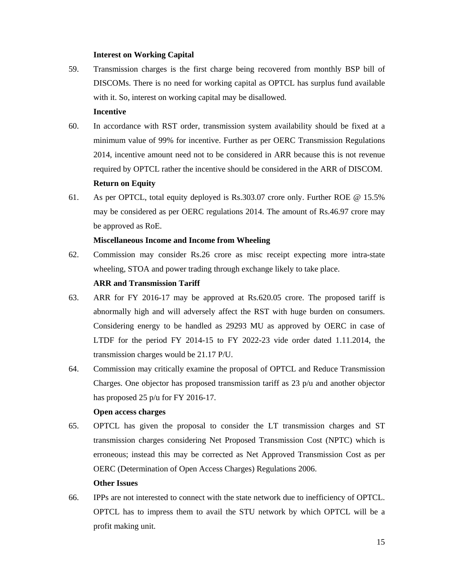### **Interest on Working Capital**

59. Transmission charges is the first charge being recovered from monthly BSP bill of DISCOMs. There is no need for working capital as OPTCL has surplus fund available with it. So, interest on working capital may be disallowed.

### **Incentive**

- 60. In accordance with RST order, transmission system availability should be fixed at a minimum value of 99% for incentive. Further as per OERC Transmission Regulations 2014, incentive amount need not to be considered in ARR because this is not revenue required by OPTCL rather the incentive should be considered in the ARR of DISCOM.  **Return on Equity**
- 61. As per OPTCL, total equity deployed is Rs.303.07 crore only. Further ROE @ 15.5% may be considered as per OERC regulations 2014. The amount of Rs.46.97 crore may be approved as RoE.

# **Miscellaneous Income and Income from Wheeling**

62. Commission may consider Rs.26 crore as misc receipt expecting more intra-state wheeling, STOA and power trading through exchange likely to take place.

# **ARR and Transmission Tariff**

- 63. ARR for FY 2016-17 may be approved at Rs.620.05 crore. The proposed tariff is abnormally high and will adversely affect the RST with huge burden on consumers. Considering energy to be handled as 29293 MU as approved by OERC in case of LTDF for the period FY 2014-15 to FY 2022-23 vide order dated 1.11.2014, the transmission charges would be 21.17 P/U.
- 64. Commission may critically examine the proposal of OPTCL and Reduce Transmission Charges. One objector has proposed transmission tariff as  $23$  p/u and another objector has proposed 25 p/u for FY 2016-17.

#### **Open access charges**

65. OPTCL has given the proposal to consider the LT transmission charges and ST transmission charges considering Net Proposed Transmission Cost (NPTC) which is erroneous; instead this may be corrected as Net Approved Transmission Cost as per OERC (Determination of Open Access Charges) Regulations 2006.

#### **Other Issues**

66. IPPs are not interested to connect with the state network due to inefficiency of OPTCL. OPTCL has to impress them to avail the STU network by which OPTCL will be a profit making unit.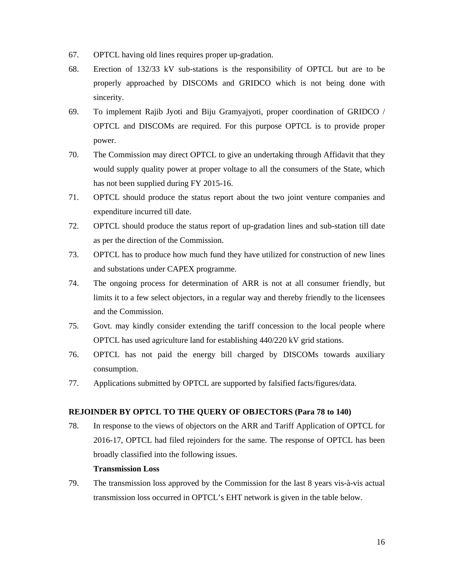- 67. OPTCL having old lines requires proper up-gradation.
- 68. Erection of 132/33 kV sub-stations is the responsibility of OPTCL but are to be properly approached by DISCOMs and GRIDCO which is not being done with sincerity.
- 69. To implement Rajib Jyoti and Biju Gramyajyoti, proper coordination of GRIDCO / OPTCL and DISCOMs are required. For this purpose OPTCL is to provide proper power.
- 70. The Commission may direct OPTCL to give an undertaking through Affidavit that they would supply quality power at proper voltage to all the consumers of the State, which has not been supplied during FY 2015-16.
- 71. OPTCL should produce the status report about the two joint venture companies and expenditure incurred till date.
- 72. OPTCL should produce the status report of up-gradation lines and sub-station till date as per the direction of the Commission.
- 73. OPTCL has to produce how much fund they have utilized for construction of new lines and substations under CAPEX programme.
- 74. The ongoing process for determination of ARR is not at all consumer friendly, but limits it to a few select objectors, in a regular way and thereby friendly to the licensees and the Commission.
- 75. Govt. may kindly consider extending the tariff concession to the local people where OPTCL has used agriculture land for establishing 440/220 kV grid stations.
- 76. OPTCL has not paid the energy bill charged by DISCOMs towards auxiliary consumption.
- 77. Applications submitted by OPTCL are supported by falsified facts/figures/data.

# **REJOINDER BY OPTCL TO THE QUERY OF OBJECTORS (Para 78 to 140)**

78. In response to the views of objectors on the ARR and Tariff Application of OPTCL for 2016-17, OPTCL had filed rejoinders for the same. The response of OPTCL has been broadly classified into the following issues.

#### **Transmission Loss**

79. The transmission loss approved by the Commission for the last 8 years vis-à-vis actual transmission loss occurred in OPTCL's EHT network is given in the table below.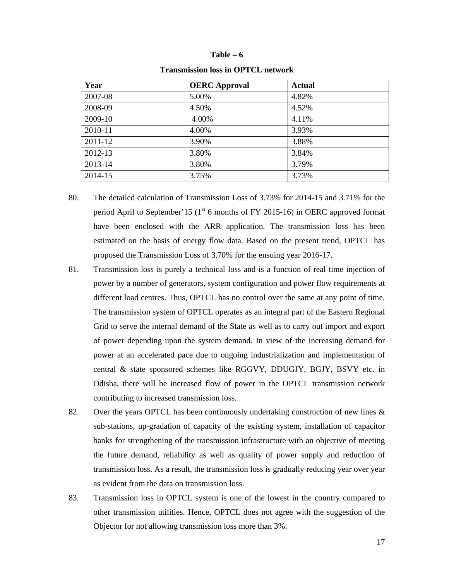#### **Table – 6**

| Year    | <b>OERC</b> Approval | <b>Actual</b> |
|---------|----------------------|---------------|
| 2007-08 | 5.00%                | 4.82%         |
| 2008-09 | 4.50%                | 4.52%         |
| 2009-10 | 4.00%                | 4.11%         |
| 2010-11 | 4.00%                | 3.93%         |
| 2011-12 | 3.90%                | 3.88%         |
| 2012-13 | 3.80%                | 3.84%         |
| 2013-14 | 3.80%                | 3.79%         |
| 2014-15 | 3.75%                | 3.73%         |

#### **Transmission loss in OPTCL network**

- 80. The detailed calculation of Transmission Loss of 3.73% for 2014-15 and 3.71% for the period April to September'15 ( $1<sup>st</sup>$  6 months of FY 2015-16) in OERC approved format have been enclosed with the ARR application. The transmission loss has been estimated on the basis of energy flow data. Based on the present trend, OPTCL has proposed the Transmission Loss of 3.70% for the ensuing year 2016-17.
- 81. Transmission loss is purely a technical loss and is a function of real time injection of power by a number of generators, system configuration and power flow requirements at different load centres. Thus, OPTCL has no control over the same at any point of time. The transmission system of OPTCL operates as an integral part of the Eastern Regional Grid to serve the internal demand of the State as well as to carry out import and export of power depending upon the system demand. In view of the increasing demand for power at an accelerated pace due to ongoing industrialization and implementation of central & state sponsored schemes like RGGVY, DDUGJY, BGJY, BSVY etc. in Odisha, there will be increased flow of power in the OPTCL transmission network contributing to increased transmission loss.
- 82. Over the years OPTCL has been continuously undertaking construction of new lines & sub-stations, up-gradation of capacity of the existing system, installation of capacitor banks for strengthening of the transmission infrastructure with an objective of meeting the future demand, reliability as well as quality of power supply and reduction of transmission loss. As a result, the transmission loss is gradually reducing year over year as evident from the data on transmission loss.
- 83. Transmission loss in OPTCL system is one of the lowest in the country compared to other transmission utilities. Hence, OPTCL does not agree with the suggestion of the Objector for not allowing transmission loss more than 3%.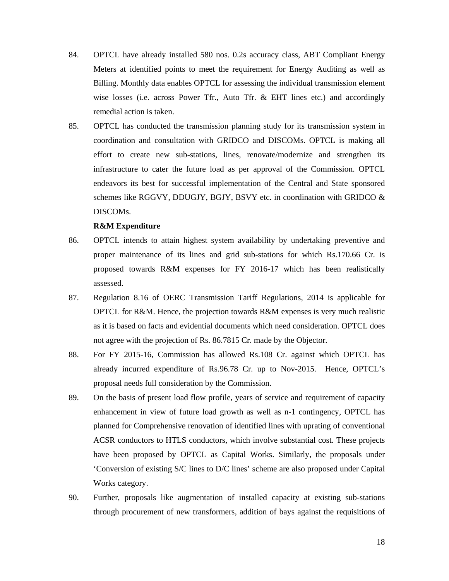- 84. OPTCL have already installed 580 nos. 0.2s accuracy class, ABT Compliant Energy Meters at identified points to meet the requirement for Energy Auditing as well as Billing. Monthly data enables OPTCL for assessing the individual transmission element wise losses (i.e. across Power Tfr., Auto Tfr. & EHT lines etc.) and accordingly remedial action is taken.
- 85. OPTCL has conducted the transmission planning study for its transmission system in coordination and consultation with GRIDCO and DISCOMs. OPTCL is making all effort to create new sub-stations, lines, renovate/modernize and strengthen its infrastructure to cater the future load as per approval of the Commission. OPTCL endeavors its best for successful implementation of the Central and State sponsored schemes like RGGVY, DDUGJY, BGJY, BSVY etc. in coordination with GRIDCO & DISCOMs.

#### **R&M Expenditure**

- 86. OPTCL intends to attain highest system availability by undertaking preventive and proper maintenance of its lines and grid sub-stations for which Rs.170.66 Cr. is proposed towards R&M expenses for FY 2016-17 which has been realistically assessed.
- 87. Regulation 8.16 of OERC Transmission Tariff Regulations, 2014 is applicable for OPTCL for R&M. Hence, the projection towards R&M expenses is very much realistic as it is based on facts and evidential documents which need consideration. OPTCL does not agree with the projection of Rs. 86.7815 Cr. made by the Objector.
- 88. For FY 2015-16, Commission has allowed Rs.108 Cr. against which OPTCL has already incurred expenditure of Rs.96.78 Cr. up to Nov-2015. Hence, OPTCL's proposal needs full consideration by the Commission.
- 89. On the basis of present load flow profile, years of service and requirement of capacity enhancement in view of future load growth as well as n-1 contingency, OPTCL has planned for Comprehensive renovation of identified lines with uprating of conventional ACSR conductors to HTLS conductors, which involve substantial cost. These projects have been proposed by OPTCL as Capital Works. Similarly, the proposals under 'Conversion of existing S/C lines to D/C lines' scheme are also proposed under Capital Works category.
- 90. Further, proposals like augmentation of installed capacity at existing sub-stations through procurement of new transformers, addition of bays against the requisitions of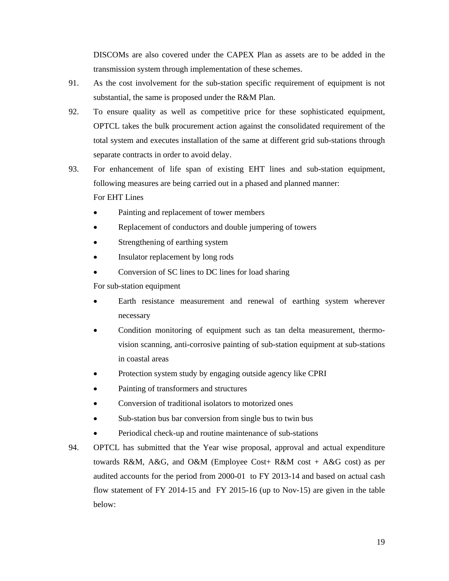DISCOMs are also covered under the CAPEX Plan as assets are to be added in the transmission system through implementation of these schemes.

- 91. As the cost involvement for the sub-station specific requirement of equipment is not substantial, the same is proposed under the R&M Plan.
- 92. To ensure quality as well as competitive price for these sophisticated equipment, OPTCL takes the bulk procurement action against the consolidated requirement of the total system and executes installation of the same at different grid sub-stations through separate contracts in order to avoid delay.
- 93. For enhancement of life span of existing EHT lines and sub-station equipment, following measures are being carried out in a phased and planned manner: For EHT Lines
	- Painting and replacement of tower members
	- Replacement of conductors and double jumpering of towers
	- Strengthening of earthing system
	- Insulator replacement by long rods
	- Conversion of SC lines to DC lines for load sharing

For sub-station equipment

- Earth resistance measurement and renewal of earthing system wherever necessary
- Condition monitoring of equipment such as tan delta measurement, thermovision scanning, anti-corrosive painting of sub-station equipment at sub-stations in coastal areas
- Protection system study by engaging outside agency like CPRI
- Painting of transformers and structures
- Conversion of traditional isolators to motorized ones
- Sub-station bus bar conversion from single bus to twin bus
- Periodical check-up and routine maintenance of sub-stations
- 94. OPTCL has submitted that the Year wise proposal, approval and actual expenditure towards R&M, A&G, and O&M (Employee Cost+ R&M cost + A&G cost) as per audited accounts for the period from 2000-01 to FY 2013-14 and based on actual cash flow statement of FY 2014-15 and FY 2015-16 (up to Nov-15) are given in the table below: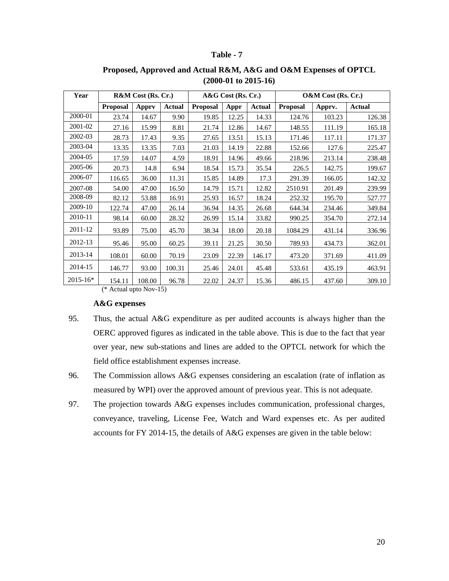# **Table - 7**

| Year         |                 | R&M Cost (Rs. Cr.) |               | A&G Cost (Rs. Cr.) |       | O&M Cost (Rs. Cr.) |                 |        |               |
|--------------|-----------------|--------------------|---------------|--------------------|-------|--------------------|-----------------|--------|---------------|
|              | <b>Proposal</b> | <b>Apprv</b>       | <b>Actual</b> | <b>Proposal</b>    | Appr  | Actual             | <b>Proposal</b> | Apprv. | <b>Actual</b> |
| 2000-01      | 23.74           | 14.67              | 9.90          | 19.85              | 12.25 | 14.33              | 124.76          | 103.23 | 126.38        |
| 2001-02      | 27.16           | 15.99              | 8.81          | 21.74              | 12.86 | 14.67              | 148.55          | 111.19 | 165.18        |
| 2002-03      | 28.73           | 17.43              | 9.35          | 27.65              | 13.51 | 15.13              | 171.46          | 117.11 | 171.37        |
| 2003-04      | 13.35           | 13.35              | 7.03          | 21.03              | 14.19 | 22.88              | 152.66          | 127.6  | 225.47        |
| 2004-05      | 17.59           | 14.07              | 4.59          | 18.91              | 14.96 | 49.66              | 218.96          | 213.14 | 238.48        |
| 2005-06      | 20.73           | 14.8               | 6.94          | 18.54              | 15.73 | 35.54              | 226.5           | 142.75 | 199.67        |
| 2006-07      | 116.65          | 36.00              | 11.31         | 15.85              | 14.89 | 17.3               | 291.39          | 166.05 | 142.32        |
| 2007-08      | 54.00           | 47.00              | 16.50         | 14.79              | 15.71 | 12.82              | 2510.91         | 201.49 | 239.99        |
| 2008-09      | 82.12           | 53.88              | 16.91         | 25.93              | 16.57 | 18.24              | 252.32          | 195.70 | 527.77        |
| 2009-10      | 122.74          | 47.00              | 26.14         | 36.94              | 14.35 | 26.68              | 644.34          | 234.46 | 349.84        |
| 2010-11      | 98.14           | 60.00              | 28.32         | 26.99              | 15.14 | 33.82              | 990.25          | 354.70 | 272.14        |
| 2011-12      | 93.89           | 75.00              | 45.70         | 38.34              | 18.00 | 20.18              | 1084.29         | 431.14 | 336.96        |
| 2012-13      | 95.46           | 95.00              | 60.25         | 39.11              | 21.25 | 30.50              | 789.93          | 434.73 | 362.01        |
| 2013-14      | 108.01          | 60.00              | 70.19         | 23.09              | 22.39 | 146.17             | 473.20          | 371.69 | 411.09        |
| 2014-15      | 146.77          | 93.00              | 100.31        | 25.46              | 24.01 | 45.48              | 533.61          | 435.19 | 463.91        |
| $2015 - 16*$ | 154.11          | 108.00             | 96.78         | 22.02              | 24.37 | 15.36              | 486.15          | 437.60 | 309.10        |

# **Proposed, Approved and Actual R&M, A&G and O&M Expenses of OPTCL (2000-01 to 2015-16)**

(\* Actual upto Nov-15)

#### **A&G expenses**

- 95. Thus, the actual A&G expenditure as per audited accounts is always higher than the OERC approved figures as indicated in the table above. This is due to the fact that year over year, new sub-stations and lines are added to the OPTCL network for which the field office establishment expenses increase.
- 96. The Commission allows A&G expenses considering an escalation (rate of inflation as measured by WPI) over the approved amount of previous year. This is not adequate.
- 97. The projection towards A&G expenses includes communication, professional charges, conveyance, traveling, License Fee, Watch and Ward expenses etc. As per audited accounts for FY 2014-15, the details of A&G expenses are given in the table below: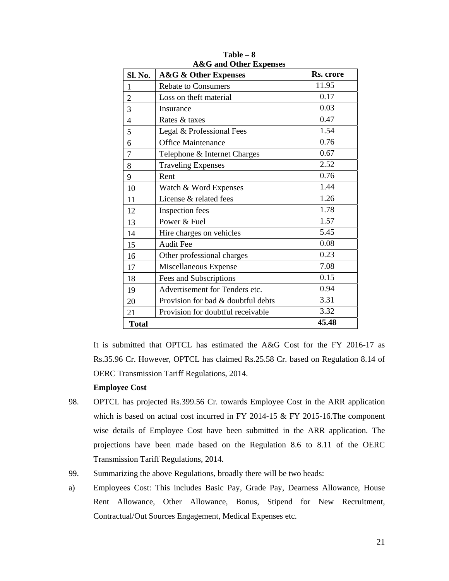| Sl. No.        | <b>A&amp;G &amp; Other Expenses</b> | Rs. crore |
|----------------|-------------------------------------|-----------|
| $\mathbf{1}$   | <b>Rebate to Consumers</b>          | 11.95     |
| $\overline{c}$ | Loss on theft material              | 0.17      |
| 3              | Insurance                           | 0.03      |
| $\overline{4}$ | Rates & taxes                       | 0.47      |
| 5              | Legal & Professional Fees           | 1.54      |
| 6              | <b>Office Maintenance</b>           | 0.76      |
| 7              | Telephone & Internet Charges        | 0.67      |
| 8              | <b>Traveling Expenses</b>           | 2.52      |
| 9              | Rent                                | 0.76      |
| 10             | Watch & Word Expenses               | 1.44      |
| 11             | License & related fees              | 1.26      |
| 12             | <b>Inspection</b> fees              | 1.78      |
| 13             | Power & Fuel                        | 1.57      |
| 14             | Hire charges on vehicles            | 5.45      |
| 15             | <b>Audit Fee</b>                    | 0.08      |
| 16             | Other professional charges          | 0.23      |
| 17             | Miscellaneous Expense               | 7.08      |
| 18             | Fees and Subscriptions              | 0.15      |
| 19             | Advertisement for Tenders etc.      | 0.94      |
| 20             | Provision for bad & doubtful debts  | 3.31      |
| 21             | Provision for doubtful receivable   | 3.32      |
| <b>Total</b>   |                                     | 45.48     |

**Table – 8 A&G and Other Expenses** 

 It is submitted that OPTCL has estimated the A&G Cost for the FY 2016-17 as Rs.35.96 Cr. However, OPTCL has claimed Rs.25.58 Cr. based on Regulation 8.14 of OERC Transmission Tariff Regulations, 2014.

# **Employee Cost**

- 98. OPTCL has projected Rs.399.56 Cr. towards Employee Cost in the ARR application which is based on actual cost incurred in FY 2014-15 & FY 2015-16. The component wise details of Employee Cost have been submitted in the ARR application. The projections have been made based on the Regulation 8.6 to 8.11 of the OERC Transmission Tariff Regulations, 2014.
- 99. Summarizing the above Regulations, broadly there will be two heads:
- a) Employees Cost: This includes Basic Pay, Grade Pay, Dearness Allowance, House Rent Allowance, Other Allowance, Bonus, Stipend for New Recruitment, Contractual/Out Sources Engagement, Medical Expenses etc.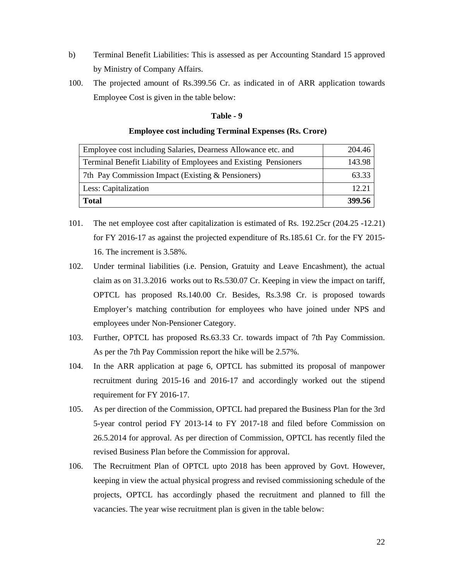- b) Terminal Benefit Liabilities: This is assessed as per Accounting Standard 15 approved by Ministry of Company Affairs.
- 100. The projected amount of Rs.399.56 Cr. as indicated in of ARR application towards Employee Cost is given in the table below:

#### **Table - 9**

#### **Employee cost including Terminal Expenses (Rs. Crore)**

| Employee cost including Salaries, Dearness Allowance etc. and   | 204.46 |
|-----------------------------------------------------------------|--------|
| Terminal Benefit Liability of Employees and Existing Pensioners | 143.98 |
| 7th Pay Commission Impact (Existing & Pensioners)               | 63.33  |
| Less: Capitalization                                            | 12.21  |
| <b>Total</b>                                                    | 399.56 |

- 101. The net employee cost after capitalization is estimated of Rs. 192.25cr (204.25 -12.21) for FY 2016-17 as against the projected expenditure of Rs.185.61 Cr. for the FY 2015- 16. The increment is 3.58%.
- 102. Under terminal liabilities (i.e. Pension, Gratuity and Leave Encashment), the actual claim as on 31.3.2016 works out to Rs.530.07 Cr. Keeping in view the impact on tariff, OPTCL has proposed Rs.140.00 Cr. Besides, Rs.3.98 Cr. is proposed towards Employer's matching contribution for employees who have joined under NPS and employees under Non-Pensioner Category.
- 103. Further, OPTCL has proposed Rs.63.33 Cr. towards impact of 7th Pay Commission. As per the 7th Pay Commission report the hike will be 2.57%.
- 104. In the ARR application at page 6, OPTCL has submitted its proposal of manpower recruitment during 2015-16 and 2016-17 and accordingly worked out the stipend requirement for FY 2016-17.
- 105. As per direction of the Commission, OPTCL had prepared the Business Plan for the 3rd 5-year control period FY 2013-14 to FY 2017-18 and filed before Commission on 26.5.2014 for approval. As per direction of Commission, OPTCL has recently filed the revised Business Plan before the Commission for approval.
- 106. The Recruitment Plan of OPTCL upto 2018 has been approved by Govt. However, keeping in view the actual physical progress and revised commissioning schedule of the projects, OPTCL has accordingly phased the recruitment and planned to fill the vacancies. The year wise recruitment plan is given in the table below: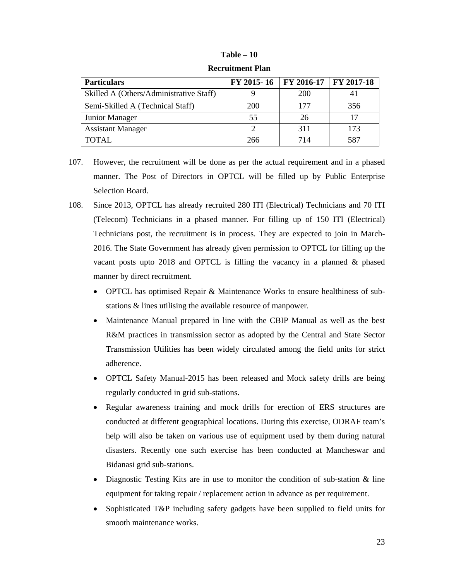#### **Table – 10**

| <b>Particulars</b>                      | FY 2015-16   FY 2016-17   FY 2017-18 |            |     |
|-----------------------------------------|--------------------------------------|------------|-----|
| Skilled A (Others/Administrative Staff) |                                      | <b>200</b> |     |
| Semi-Skilled A (Technical Staff)        | 200                                  | 177        | 356 |
| Junior Manager                          | 55                                   | 26         | 17  |
| <b>Assistant Manager</b>                |                                      | 311        | 173 |
| <b>TOTAL</b>                            | 266                                  | 714        | 587 |

**Recruitment Plan** 

- 107. However, the recruitment will be done as per the actual requirement and in a phased manner. The Post of Directors in OPTCL will be filled up by Public Enterprise Selection Board.
- 108. Since 2013, OPTCL has already recruited 280 ITI (Electrical) Technicians and 70 ITI (Telecom) Technicians in a phased manner. For filling up of 150 ITI (Electrical) Technicians post, the recruitment is in process. They are expected to join in March-2016. The State Government has already given permission to OPTCL for filling up the vacant posts upto 2018 and OPTCL is filling the vacancy in a planned & phased manner by direct recruitment.
	- OPTCL has optimised Repair & Maintenance Works to ensure healthiness of substations & lines utilising the available resource of manpower.
	- Maintenance Manual prepared in line with the CBIP Manual as well as the best R&M practices in transmission sector as adopted by the Central and State Sector Transmission Utilities has been widely circulated among the field units for strict adherence.
	- OPTCL Safety Manual-2015 has been released and Mock safety drills are being regularly conducted in grid sub-stations.
	- Regular awareness training and mock drills for erection of ERS structures are conducted at different geographical locations. During this exercise, ODRAF team's help will also be taken on various use of equipment used by them during natural disasters. Recently one such exercise has been conducted at Mancheswar and Bidanasi grid sub-stations.
	- Diagnostic Testing Kits are in use to monitor the condition of sub-station  $\&$  line equipment for taking repair / replacement action in advance as per requirement.
	- Sophisticated T&P including safety gadgets have been supplied to field units for smooth maintenance works.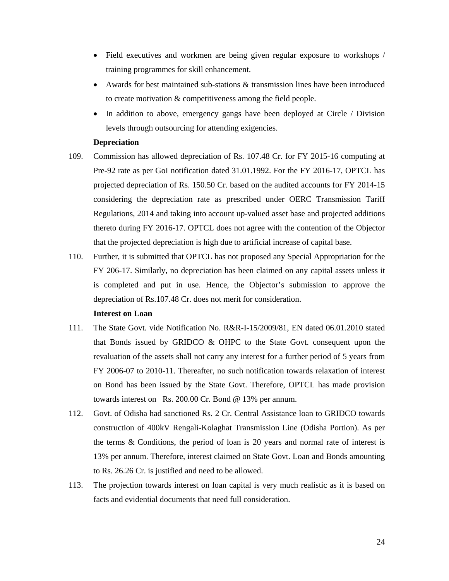- Field executives and workmen are being given regular exposure to workshops / training programmes for skill enhancement.
- Awards for best maintained sub-stations & transmission lines have been introduced to create motivation & competitiveness among the field people.
- In addition to above, emergency gangs have been deployed at Circle / Division levels through outsourcing for attending exigencies.

#### **Depreciation**

- 109. Commission has allowed depreciation of Rs. 107.48 Cr. for FY 2015-16 computing at Pre-92 rate as per GoI notification dated 31.01.1992. For the FY 2016-17, OPTCL has projected depreciation of Rs. 150.50 Cr. based on the audited accounts for FY 2014-15 considering the depreciation rate as prescribed under OERC Transmission Tariff Regulations, 2014 and taking into account up-valued asset base and projected additions thereto during FY 2016-17. OPTCL does not agree with the contention of the Objector that the projected depreciation is high due to artificial increase of capital base.
- 110. Further, it is submitted that OPTCL has not proposed any Special Appropriation for the FY 206-17. Similarly, no depreciation has been claimed on any capital assets unless it is completed and put in use. Hence, the Objector's submission to approve the depreciation of Rs.107.48 Cr. does not merit for consideration.

#### **Interest on Loan**

- 111. The State Govt. vide Notification No. R&R-I-15/2009/81, EN dated 06.01.2010 stated that Bonds issued by GRIDCO & OHPC to the State Govt. consequent upon the revaluation of the assets shall not carry any interest for a further period of 5 years from FY 2006-07 to 2010-11. Thereafter, no such notification towards relaxation of interest on Bond has been issued by the State Govt. Therefore, OPTCL has made provision towards interest on Rs. 200.00 Cr. Bond @ 13% per annum.
- 112. Govt. of Odisha had sanctioned Rs. 2 Cr. Central Assistance loan to GRIDCO towards construction of 400kV Rengali-Kolaghat Transmission Line (Odisha Portion). As per the terms & Conditions, the period of loan is 20 years and normal rate of interest is 13% per annum. Therefore, interest claimed on State Govt. Loan and Bonds amounting to Rs. 26.26 Cr. is justified and need to be allowed.
- 113. The projection towards interest on loan capital is very much realistic as it is based on facts and evidential documents that need full consideration.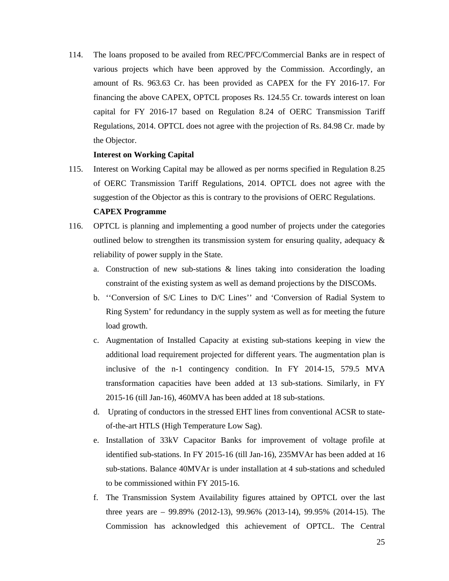114. The loans proposed to be availed from REC/PFC/Commercial Banks are in respect of various projects which have been approved by the Commission. Accordingly, an amount of Rs. 963.63 Cr. has been provided as CAPEX for the FY 2016-17. For financing the above CAPEX, OPTCL proposes Rs. 124.55 Cr. towards interest on loan capital for FY 2016-17 based on Regulation 8.24 of OERC Transmission Tariff Regulations, 2014. OPTCL does not agree with the projection of Rs. 84.98 Cr. made by the Objector.

#### **Interest on Working Capital**

115. Interest on Working Capital may be allowed as per norms specified in Regulation 8.25 of OERC Transmission Tariff Regulations, 2014. OPTCL does not agree with the suggestion of the Objector as this is contrary to the provisions of OERC Regulations.

# **CAPEX Programme**

- 116. OPTCL is planning and implementing a good number of projects under the categories outlined below to strengthen its transmission system for ensuring quality, adequacy  $\&$ reliability of power supply in the State.
	- a. Construction of new sub-stations & lines taking into consideration the loading constraint of the existing system as well as demand projections by the DISCOMs.
	- b. ''Conversion of S/C Lines to D/C Lines'' and 'Conversion of Radial System to Ring System' for redundancy in the supply system as well as for meeting the future load growth.
	- c. Augmentation of Installed Capacity at existing sub-stations keeping in view the additional load requirement projected for different years. The augmentation plan is inclusive of the n-1 contingency condition. In FY 2014-15, 579.5 MVA transformation capacities have been added at 13 sub-stations. Similarly, in FY 2015-16 (till Jan-16), 460MVA has been added at 18 sub-stations.
	- d. Uprating of conductors in the stressed EHT lines from conventional ACSR to stateof-the-art HTLS (High Temperature Low Sag).
	- e. Installation of 33kV Capacitor Banks for improvement of voltage profile at identified sub-stations. In FY 2015-16 (till Jan-16), 235MVAr has been added at 16 sub-stations. Balance 40MVAr is under installation at 4 sub-stations and scheduled to be commissioned within FY 2015-16.
	- f. The Transmission System Availability figures attained by OPTCL over the last three years are – 99.89% (2012-13), 99.96% (2013-14), 99.95% (2014-15). The Commission has acknowledged this achievement of OPTCL. The Central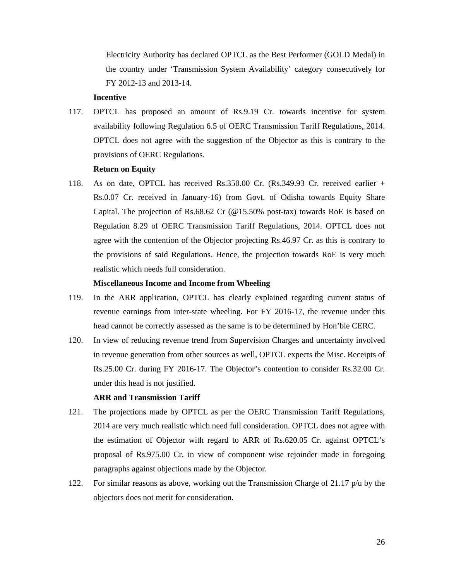Electricity Authority has declared OPTCL as the Best Performer (GOLD Medal) in the country under 'Transmission System Availability' category consecutively for FY 2012-13 and 2013-14.

# **Incentive**

117. OPTCL has proposed an amount of Rs.9.19 Cr. towards incentive for system availability following Regulation 6.5 of OERC Transmission Tariff Regulations, 2014. OPTCL does not agree with the suggestion of the Objector as this is contrary to the provisions of OERC Regulations.

#### **Return on Equity**

118. As on date, OPTCL has received Rs.350.00 Cr. (Rs.349.93 Cr. received earlier + Rs.0.07 Cr. received in January-16) from Govt. of Odisha towards Equity Share Capital. The projection of Rs.68.62 Cr (@15.50% post-tax) towards RoE is based on Regulation 8.29 of OERC Transmission Tariff Regulations, 2014. OPTCL does not agree with the contention of the Objector projecting Rs.46.97 Cr. as this is contrary to the provisions of said Regulations. Hence, the projection towards RoE is very much realistic which needs full consideration.

### **Miscellaneous Income and Income from Wheeling**

- 119. In the ARR application, OPTCL has clearly explained regarding current status of revenue earnings from inter-state wheeling. For FY 2016-17, the revenue under this head cannot be correctly assessed as the same is to be determined by Hon'ble CERC.
- 120. In view of reducing revenue trend from Supervision Charges and uncertainty involved in revenue generation from other sources as well, OPTCL expects the Misc. Receipts of Rs.25.00 Cr. during FY 2016-17. The Objector's contention to consider Rs.32.00 Cr. under this head is not justified.

#### **ARR and Transmission Tariff**

- 121. The projections made by OPTCL as per the OERC Transmission Tariff Regulations, 2014 are very much realistic which need full consideration. OPTCL does not agree with the estimation of Objector with regard to ARR of Rs.620.05 Cr. against OPTCL's proposal of Rs.975.00 Cr. in view of component wise rejoinder made in foregoing paragraphs against objections made by the Objector.
- 122. For similar reasons as above, working out the Transmission Charge of 21.17 p/u by the objectors does not merit for consideration.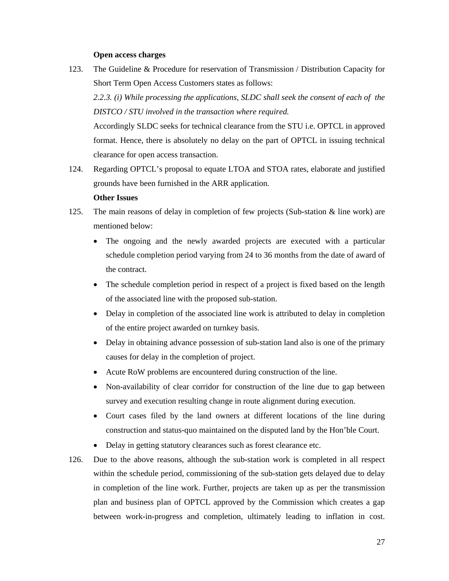#### **Open access charges**

123. The Guideline & Procedure for reservation of Transmission / Distribution Capacity for Short Term Open Access Customers states as follows:

*2.2.3. (i) While processing the applications, SLDC shall seek the consent of each of the DISTCO / STU involved in the transaction where required.* 

 Accordingly SLDC seeks for technical clearance from the STU i.e. OPTCL in approved format. Hence, there is absolutely no delay on the part of OPTCL in issuing technical clearance for open access transaction.

124. Regarding OPTCL's proposal to equate LTOA and STOA rates, elaborate and justified grounds have been furnished in the ARR application.

#### **Other Issues**

- 125. The main reasons of delay in completion of few projects (Sub-station & line work) are mentioned below:
	- The ongoing and the newly awarded projects are executed with a particular schedule completion period varying from 24 to 36 months from the date of award of the contract.
	- The schedule completion period in respect of a project is fixed based on the length of the associated line with the proposed sub-station.
	- Delay in completion of the associated line work is attributed to delay in completion of the entire project awarded on turnkey basis.
	- Delay in obtaining advance possession of sub-station land also is one of the primary causes for delay in the completion of project.
	- Acute RoW problems are encountered during construction of the line.
	- Non-availability of clear corridor for construction of the line due to gap between survey and execution resulting change in route alignment during execution.
	- Court cases filed by the land owners at different locations of the line during construction and status-quo maintained on the disputed land by the Hon'ble Court.
	- Delay in getting statutory clearances such as forest clearance etc.
- 126. Due to the above reasons, although the sub-station work is completed in all respect within the schedule period, commissioning of the sub-station gets delayed due to delay in completion of the line work. Further, projects are taken up as per the transmission plan and business plan of OPTCL approved by the Commission which creates a gap between work-in-progress and completion, ultimately leading to inflation in cost.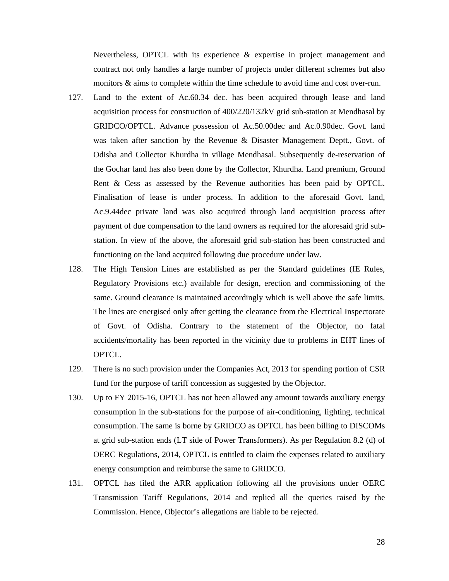Nevertheless, OPTCL with its experience & expertise in project management and contract not only handles a large number of projects under different schemes but also monitors & aims to complete within the time schedule to avoid time and cost over-run.

- 127. Land to the extent of Ac.60.34 dec. has been acquired through lease and land acquisition process for construction of 400/220/132kV grid sub-station at Mendhasal by GRIDCO/OPTCL. Advance possession of Ac.50.00dec and Ac.0.90dec. Govt. land was taken after sanction by the Revenue & Disaster Management Deptt., Govt. of Odisha and Collector Khurdha in village Mendhasal. Subsequently de-reservation of the Gochar land has also been done by the Collector, Khurdha. Land premium, Ground Rent & Cess as assessed by the Revenue authorities has been paid by OPTCL. Finalisation of lease is under process. In addition to the aforesaid Govt. land, Ac.9.44dec private land was also acquired through land acquisition process after payment of due compensation to the land owners as required for the aforesaid grid substation. In view of the above, the aforesaid grid sub-station has been constructed and functioning on the land acquired following due procedure under law.
- 128. The High Tension Lines are established as per the Standard guidelines (IE Rules, Regulatory Provisions etc.) available for design, erection and commissioning of the same. Ground clearance is maintained accordingly which is well above the safe limits. The lines are energised only after getting the clearance from the Electrical Inspectorate of Govt. of Odisha. Contrary to the statement of the Objector, no fatal accidents/mortality has been reported in the vicinity due to problems in EHT lines of OPTCL.
- 129. There is no such provision under the Companies Act, 2013 for spending portion of CSR fund for the purpose of tariff concession as suggested by the Objector.
- 130. Up to FY 2015-16, OPTCL has not been allowed any amount towards auxiliary energy consumption in the sub-stations for the purpose of air-conditioning, lighting, technical consumption. The same is borne by GRIDCO as OPTCL has been billing to DISCOMs at grid sub-station ends (LT side of Power Transformers). As per Regulation 8.2 (d) of OERC Regulations, 2014, OPTCL is entitled to claim the expenses related to auxiliary energy consumption and reimburse the same to GRIDCO.
- 131. OPTCL has filed the ARR application following all the provisions under OERC Transmission Tariff Regulations, 2014 and replied all the queries raised by the Commission. Hence, Objector's allegations are liable to be rejected.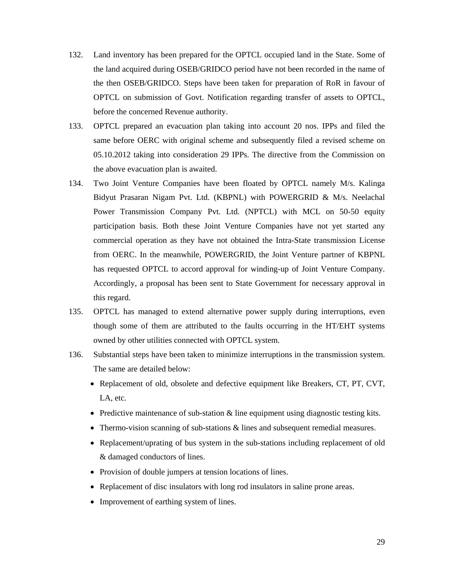- 132. Land inventory has been prepared for the OPTCL occupied land in the State. Some of the land acquired during OSEB/GRIDCO period have not been recorded in the name of the then OSEB/GRIDCO. Steps have been taken for preparation of RoR in favour of OPTCL on submission of Govt. Notification regarding transfer of assets to OPTCL, before the concerned Revenue authority.
- 133. OPTCL prepared an evacuation plan taking into account 20 nos. IPPs and filed the same before OERC with original scheme and subsequently filed a revised scheme on 05.10.2012 taking into consideration 29 IPPs. The directive from the Commission on the above evacuation plan is awaited.
- 134. Two Joint Venture Companies have been floated by OPTCL namely M/s. Kalinga Bidyut Prasaran Nigam Pvt. Ltd. (KBPNL) with POWERGRID & M/s. Neelachal Power Transmission Company Pvt. Ltd. (NPTCL) with MCL on 50-50 equity participation basis. Both these Joint Venture Companies have not yet started any commercial operation as they have not obtained the Intra-State transmission License from OERC. In the meanwhile, POWERGRID, the Joint Venture partner of KBPNL has requested OPTCL to accord approval for winding-up of Joint Venture Company. Accordingly, a proposal has been sent to State Government for necessary approval in this regard.
- 135. OPTCL has managed to extend alternative power supply during interruptions, even though some of them are attributed to the faults occurring in the HT/EHT systems owned by other utilities connected with OPTCL system.
- 136. Substantial steps have been taken to minimize interruptions in the transmission system. The same are detailed below:
	- Replacement of old, obsolete and defective equipment like Breakers, CT, PT, CVT, LA, etc.
	- Predictive maintenance of sub-station & line equipment using diagnostic testing kits.
	- Thermo-vision scanning of sub-stations & lines and subsequent remedial measures.
	- Replacement/uprating of bus system in the sub-stations including replacement of old & damaged conductors of lines.
	- Provision of double jumpers at tension locations of lines.
	- Replacement of disc insulators with long rod insulators in saline prone areas.
	- Improvement of earthing system of lines.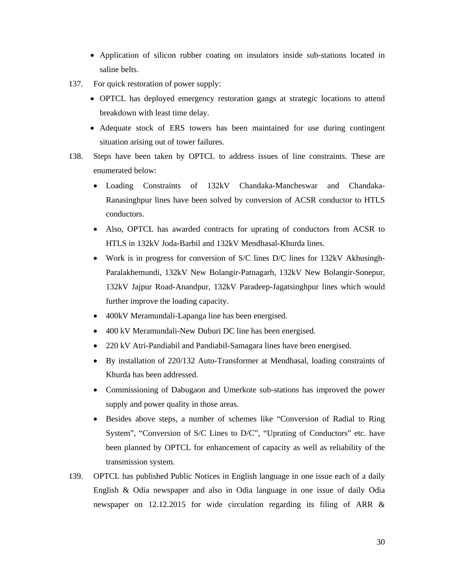- Application of silicon rubber coating on insulators inside sub-stations located in saline belts.
- 137. For quick restoration of power supply:
	- OPTCL has deployed emergency restoration gangs at strategic locations to attend breakdown with least time delay.
	- Adequate stock of ERS towers has been maintained for use during contingent situation arising out of tower failures.
- 138. Steps have been taken by OPTCL to address issues of line constraints. These are enumerated below:
	- Loading Constraints of 132kV Chandaka-Mancheswar and Chandaka-Ranasinghpur lines have been solved by conversion of ACSR conductor to HTLS conductors.
	- Also, OPTCL has awarded contracts for uprating of conductors from ACSR to HTLS in 132kV Joda-Barbil and 132kV Mendhasal-Khurda lines.
	- Work is in progress for conversion of S/C lines D/C lines for 132kV Akhusingh-Paralakhemundi, 132kV New Bolangir-Patnagarh, 132kV New Bolangir-Sonepur, 132kV Jajpur Road-Anandpur, 132kV Paradeep-Jagatsinghpur lines which would further improve the loading capacity.
	- 400kV Meramundali-Lapanga line has been energised.
	- 400 kV Meramundali-New Duburi DC line has been energised.
	- 220 kV Atri-Pandiabil and Pandiabil-Samagara lines have been energised.
	- By installation of 220/132 Auto-Transformer at Mendhasal, loading constraints of Khurda has been addressed.
	- Commissioning of Dabugaon and Umerkote sub-stations has improved the power supply and power quality in those areas.
	- Besides above steps, a number of schemes like "Conversion of Radial to Ring System", "Conversion of S/C Lines to D/C", "Uprating of Conductors" etc. have been planned by OPTCL for enhancement of capacity as well as reliability of the transmission system.
- 139. OPTCL has published Public Notices in English language in one issue each of a daily English & Odia newspaper and also in Odia language in one issue of daily Odia newspaper on 12.12.2015 for wide circulation regarding its filing of ARR &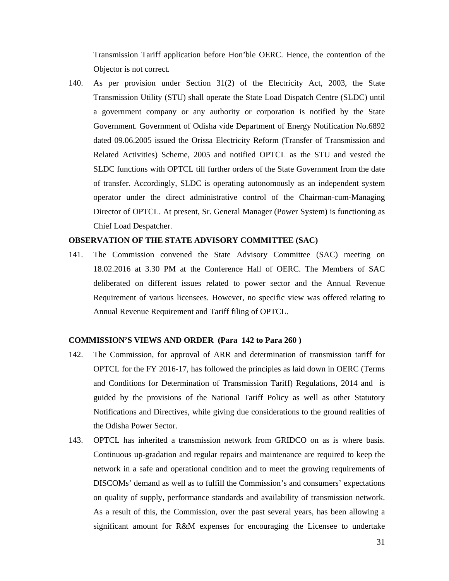Transmission Tariff application before Hon'ble OERC. Hence, the contention of the Objector is not correct.

140. As per provision under Section 31(2) of the Electricity Act, 2003, the State Transmission Utility (STU) shall operate the State Load Dispatch Centre (SLDC) until a government company or any authority or corporation is notified by the State Government. Government of Odisha vide Department of Energy Notification No.6892 dated 09.06.2005 issued the Orissa Electricity Reform (Transfer of Transmission and Related Activities) Scheme, 2005 and notified OPTCL as the STU and vested the SLDC functions with OPTCL till further orders of the State Government from the date of transfer. Accordingly, SLDC is operating autonomously as an independent system operator under the direct administrative control of the Chairman-cum-Managing Director of OPTCL. At present, Sr. General Manager (Power System) is functioning as Chief Load Despatcher.

#### **OBSERVATION OF THE STATE ADVISORY COMMITTEE (SAC)**

141. The Commission convened the State Advisory Committee (SAC) meeting on 18.02.2016 at 3.30 PM at the Conference Hall of OERC. The Members of SAC deliberated on different issues related to power sector and the Annual Revenue Requirement of various licensees. However, no specific view was offered relating to Annual Revenue Requirement and Tariff filing of OPTCL.

# **COMMISSION'S VIEWS AND ORDER (Para 142 to Para 260 )**

- 142. The Commission, for approval of ARR and determination of transmission tariff for OPTCL for the FY 2016-17, has followed the principles as laid down in OERC (Terms and Conditions for Determination of Transmission Tariff) Regulations, 2014 and is guided by the provisions of the National Tariff Policy as well as other Statutory Notifications and Directives, while giving due considerations to the ground realities of the Odisha Power Sector.
- 143. OPTCL has inherited a transmission network from GRIDCO on as is where basis. Continuous up-gradation and regular repairs and maintenance are required to keep the network in a safe and operational condition and to meet the growing requirements of DISCOMs' demand as well as to fulfill the Commission's and consumers' expectations on quality of supply, performance standards and availability of transmission network. As a result of this, the Commission, over the past several years, has been allowing a significant amount for R&M expenses for encouraging the Licensee to undertake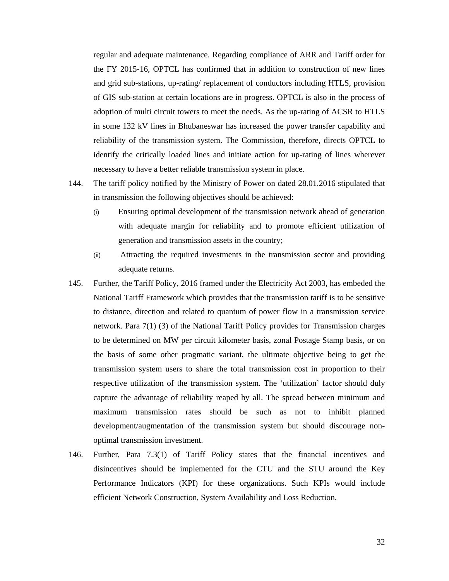regular and adequate maintenance. Regarding compliance of ARR and Tariff order for the FY 2015-16, OPTCL has confirmed that in addition to construction of new lines and grid sub-stations, up-rating/ replacement of conductors including HTLS, provision of GIS sub-station at certain locations are in progress. OPTCL is also in the process of adoption of multi circuit towers to meet the needs. As the up-rating of ACSR to HTLS in some 132 kV lines in Bhubaneswar has increased the power transfer capability and reliability of the transmission system. The Commission, therefore, directs OPTCL to identify the critically loaded lines and initiate action for up-rating of lines wherever necessary to have a better reliable transmission system in place.

- 144. The tariff policy notified by the Ministry of Power on dated 28.01.2016 stipulated that in transmission the following objectives should be achieved:
	- (i) Ensuring optimal development of the transmission network ahead of generation with adequate margin for reliability and to promote efficient utilization of generation and transmission assets in the country;
	- (ii) Attracting the required investments in the transmission sector and providing adequate returns.
- 145. Further, the Tariff Policy, 2016 framed under the Electricity Act 2003, has embeded the National Tariff Framework which provides that the transmission tariff is to be sensitive to distance, direction and related to quantum of power flow in a transmission service network. Para 7(1) (3) of the National Tariff Policy provides for Transmission charges to be determined on MW per circuit kilometer basis, zonal Postage Stamp basis, or on the basis of some other pragmatic variant, the ultimate objective being to get the transmission system users to share the total transmission cost in proportion to their respective utilization of the transmission system. The 'utilization' factor should duly capture the advantage of reliability reaped by all. The spread between minimum and maximum transmission rates should be such as not to inhibit planned development/augmentation of the transmission system but should discourage nonoptimal transmission investment.
- 146. Further, Para 7.3(1) of Tariff Policy states that the financial incentives and disincentives should be implemented for the CTU and the STU around the Key Performance Indicators (KPI) for these organizations. Such KPIs would include efficient Network Construction, System Availability and Loss Reduction.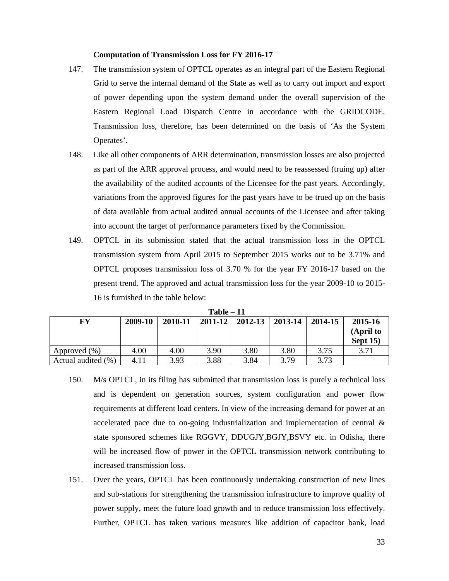#### **Computation of Transmission Loss for FY 2016-17**

- 147. The transmission system of OPTCL operates as an integral part of the Eastern Regional Grid to serve the internal demand of the State as well as to carry out import and export of power depending upon the system demand under the overall supervision of the Eastern Regional Load Dispatch Centre in accordance with the GRIDCODE. Transmission loss, therefore, has been determined on the basis of 'As the System Operates'.
- 148. Like all other components of ARR determination, transmission losses are also projected as part of the ARR approval process, and would need to be reassessed (truing up) after the availability of the audited accounts of the Licensee for the past years. Accordingly, variations from the approved figures for the past years have to be trued up on the basis of data available from actual audited annual accounts of the Licensee and after taking into account the target of performance parameters fixed by the Commission.
- 149. OPTCL in its submission stated that the actual transmission loss in the OPTCL transmission system from April 2015 to September 2015 works out to be 3.71% and OPTCL proposes transmission loss of 3.70 % for the year FY 2016-17 based on the present trend. The approved and actual transmission loss for the year 2009-10 to 2015- 16 is furnished in the table below:

| $Table - 11$       |         |         |         |         |         |         |                                   |
|--------------------|---------|---------|---------|---------|---------|---------|-----------------------------------|
| FY                 | 2009-10 | 2010-11 | 2011-12 | 2012-13 | 2013-14 | 2014-15 | 2015-16<br>(April to<br>Sept $15$ |
| Approved $(\% )$   | 4.00    | 4.00    | 3.90    | 3.80    | 3.80    | 3.75    | 3.71                              |
| Actual audited (%) | 4.11    | 3.93    | 3.88    | 3.84    | 3.79    | 3.73    |                                   |

- 150. M/s OPTCL, in its filing has submitted that transmission loss is purely a technical loss and is dependent on generation sources, system configuration and power flow requirements at different load centers. In view of the increasing demand for power at an accelerated pace due to on-going industrialization and implementation of central & state sponsored schemes like RGGVY, DDUGJY,BGJY,BSVY etc. in Odisha, there will be increased flow of power in the OPTCL transmission network contributing to increased transmission loss.
- 151. Over the years, OPTCL has been continuously undertaking construction of new lines and sub-stations for strengthening the transmission infrastructure to improve quality of power supply, meet the future load growth and to reduce transmission loss effectively. Further, OPTCL has taken various measures like addition of capacitor bank, load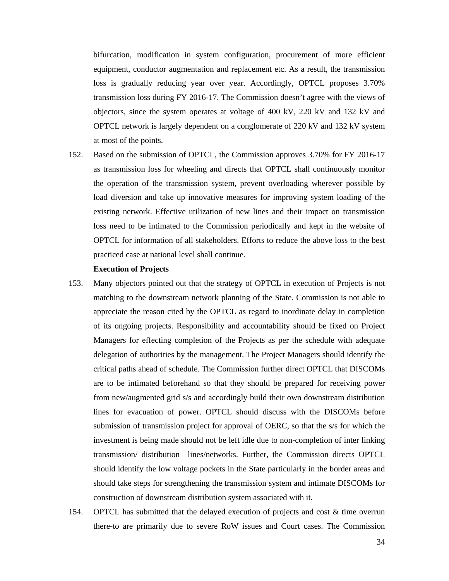bifurcation, modification in system configuration, procurement of more efficient equipment, conductor augmentation and replacement etc. As a result, the transmission loss is gradually reducing year over year. Accordingly, OPTCL proposes 3.70% transmission loss during FY 2016-17. The Commission doesn't agree with the views of objectors, since the system operates at voltage of 400 kV, 220 kV and 132 kV and OPTCL network is largely dependent on a conglomerate of 220 kV and 132 kV system at most of the points.

152. Based on the submission of OPTCL, the Commission approves 3.70% for FY 2016-17 as transmission loss for wheeling and directs that OPTCL shall continuously monitor the operation of the transmission system, prevent overloading wherever possible by load diversion and take up innovative measures for improving system loading of the existing network. Effective utilization of new lines and their impact on transmission loss need to be intimated to the Commission periodically and kept in the website of OPTCL for information of all stakeholders. Efforts to reduce the above loss to the best practiced case at national level shall continue.

#### **Execution of Projects**

- 153. Many objectors pointed out that the strategy of OPTCL in execution of Projects is not matching to the downstream network planning of the State. Commission is not able to appreciate the reason cited by the OPTCL as regard to inordinate delay in completion of its ongoing projects. Responsibility and accountability should be fixed on Project Managers for effecting completion of the Projects as per the schedule with adequate delegation of authorities by the management. The Project Managers should identify the critical paths ahead of schedule. The Commission further direct OPTCL that DISCOMs are to be intimated beforehand so that they should be prepared for receiving power from new/augmented grid s/s and accordingly build their own downstream distribution lines for evacuation of power. OPTCL should discuss with the DISCOMs before submission of transmission project for approval of OERC, so that the s/s for which the investment is being made should not be left idle due to non-completion of inter linking transmission/ distribution lines/networks. Further, the Commission directs OPTCL should identify the low voltage pockets in the State particularly in the border areas and should take steps for strengthening the transmission system and intimate DISCOMs for construction of downstream distribution system associated with it.
- 154. OPTCL has submitted that the delayed execution of projects and cost & time overrun there-to are primarily due to severe RoW issues and Court cases. The Commission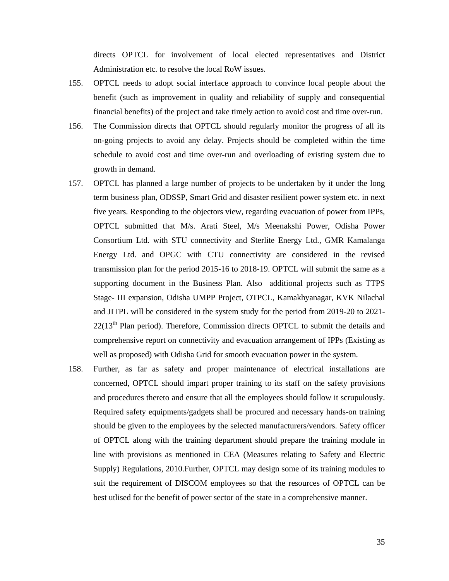directs OPTCL for involvement of local elected representatives and District Administration etc. to resolve the local RoW issues.

- 155. OPTCL needs to adopt social interface approach to convince local people about the benefit (such as improvement in quality and reliability of supply and consequential financial benefits) of the project and take timely action to avoid cost and time over-run.
- 156. The Commission directs that OPTCL should regularly monitor the progress of all its on-going projects to avoid any delay. Projects should be completed within the time schedule to avoid cost and time over-run and overloading of existing system due to growth in demand.
- 157. OPTCL has planned a large number of projects to be undertaken by it under the long term business plan, ODSSP, Smart Grid and disaster resilient power system etc. in next five years. Responding to the objectors view, regarding evacuation of power from IPPs, OPTCL submitted that M/s. Arati Steel, M/s Meenakshi Power, Odisha Power Consortium Ltd. with STU connectivity and Sterlite Energy Ltd., GMR Kamalanga Energy Ltd. and OPGC with CTU connectivity are considered in the revised transmission plan for the period 2015-16 to 2018-19. OPTCL will submit the same as a supporting document in the Business Plan. Also additional projects such as TTPS Stage- III expansion, Odisha UMPP Project, OTPCL, Kamakhyanagar, KVK Nilachal and JITPL will be considered in the system study for the period from 2019-20 to 2021-  $22(13<sup>th</sup>$  Plan period). Therefore, Commission directs OPTCL to submit the details and comprehensive report on connectivity and evacuation arrangement of IPPs (Existing as well as proposed) with Odisha Grid for smooth evacuation power in the system.
- 158. Further, as far as safety and proper maintenance of electrical installations are concerned, OPTCL should impart proper training to its staff on the safety provisions and procedures thereto and ensure that all the employees should follow it scrupulously. Required safety equipments/gadgets shall be procured and necessary hands-on training should be given to the employees by the selected manufacturers/vendors. Safety officer of OPTCL along with the training department should prepare the training module in line with provisions as mentioned in CEA (Measures relating to Safety and Electric Supply) Regulations, 2010.Further, OPTCL may design some of its training modules to suit the requirement of DISCOM employees so that the resources of OPTCL can be best utlised for the benefit of power sector of the state in a comprehensive manner.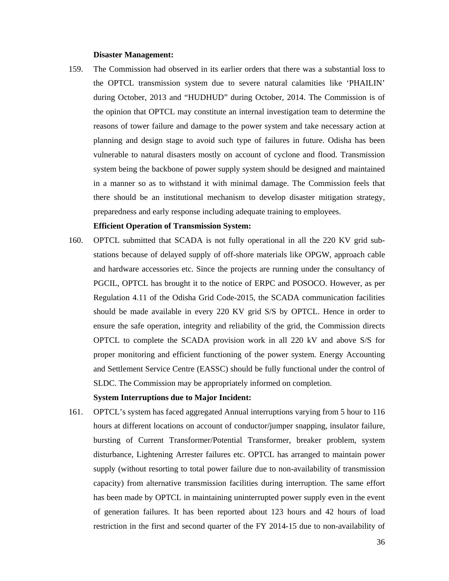#### **Disaster Management:**

159. The Commission had observed in its earlier orders that there was a substantial loss to the OPTCL transmission system due to severe natural calamities like 'PHAILIN' during October, 2013 and "HUDHUD" during October, 2014. The Commission is of the opinion that OPTCL may constitute an internal investigation team to determine the reasons of tower failure and damage to the power system and take necessary action at planning and design stage to avoid such type of failures in future. Odisha has been vulnerable to natural disasters mostly on account of cyclone and flood. Transmission system being the backbone of power supply system should be designed and maintained in a manner so as to withstand it with minimal damage. The Commission feels that there should be an institutional mechanism to develop disaster mitigation strategy, preparedness and early response including adequate training to employees.

#### **Efficient Operation of Transmission System:**

160. OPTCL submitted that SCADA is not fully operational in all the 220 KV grid substations because of delayed supply of off-shore materials like OPGW, approach cable and hardware accessories etc. Since the projects are running under the consultancy of PGCIL, OPTCL has brought it to the notice of ERPC and POSOCO. However, as per Regulation 4.11 of the Odisha Grid Code-2015, the SCADA communication facilities should be made available in every 220 KV grid S/S by OPTCL. Hence in order to ensure the safe operation, integrity and reliability of the grid, the Commission directs OPTCL to complete the SCADA provision work in all 220 kV and above S/S for proper monitoring and efficient functioning of the power system. Energy Accounting and Settlement Service Centre (EASSC) should be fully functional under the control of SLDC. The Commission may be appropriately informed on completion.

#### **System Interruptions due to Major Incident:**

161. OPTCL's system has faced aggregated Annual interruptions varying from 5 hour to 116 hours at different locations on account of conductor/jumper snapping, insulator failure, bursting of Current Transformer/Potential Transformer, breaker problem, system disturbance, Lightening Arrester failures etc. OPTCL has arranged to maintain power supply (without resorting to total power failure due to non-availability of transmission capacity) from alternative transmission facilities during interruption. The same effort has been made by OPTCL in maintaining uninterrupted power supply even in the event of generation failures. It has been reported about 123 hours and 42 hours of load restriction in the first and second quarter of the FY 2014-15 due to non-availability of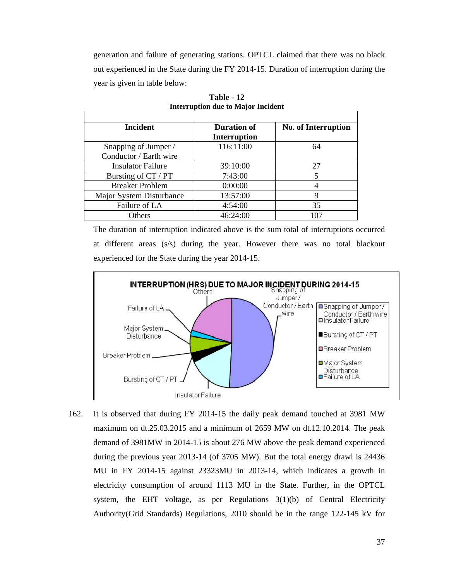generation and failure of generating stations. OPTCL claimed that there was no black out experienced in the State during the FY 2014-15. Duration of interruption during the year is given in table below:

| <b>Incident</b>          | <b>Duration of</b>  | <b>No. of Interruption</b> |
|--------------------------|---------------------|----------------------------|
|                          | <b>Interruption</b> |                            |
| Snapping of Jumper /     | 116:11:00           | 64                         |
| Conductor / Earth wire   |                     |                            |
| <b>Insulator Failure</b> | 39:10:00            | 27                         |
| Bursting of CT / PT      | 7:43:00             |                            |
| <b>Breaker Problem</b>   | 0:00:00             |                            |
| Major System Disturbance | 13:57:00            | 9                          |
| Failure of LA            | 4:54:00             | 35                         |
| Others                   | 46:24:00            | 107                        |

**Table - 12 Interruption due to Major Incident** 

The duration of interruption indicated above is the sum total of interruptions occurred at different areas (s/s) during the year. However there was no total blackout experienced for the State during the year 2014-15.



162. It is observed that during FY 2014-15 the daily peak demand touched at 3981 MW maximum on dt.25.03.2015 and a minimum of 2659 MW on dt.12.10.2014. The peak demand of 3981MW in 2014-15 is about 276 MW above the peak demand experienced during the previous year 2013-14 (of 3705 MW). But the total energy drawl is 24436 MU in FY 2014-15 against 23323MU in 2013-14, which indicates a growth in electricity consumption of around 1113 MU in the State. Further, in the OPTCL system, the EHT voltage, as per Regulations 3(1)(b) of Central Electricity Authority(Grid Standards) Regulations, 2010 should be in the range 122-145 kV for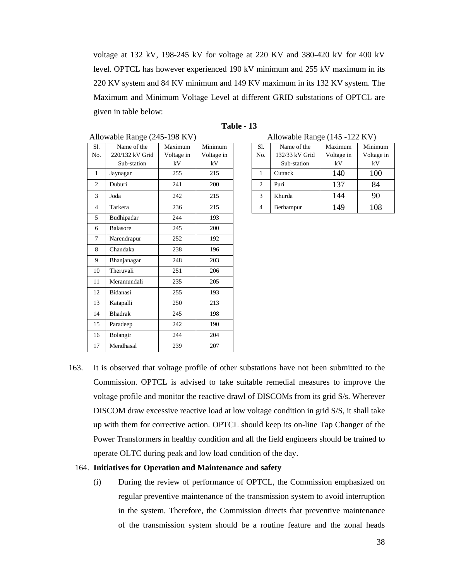voltage at 132 kV, 198-245 kV for voltage at 220 KV and 380-420 kV for 400 kV level. OPTCL has however experienced 190 kV minimum and 255 kV maximum in its 220 KV system and 84 KV minimum and 149 KV maximum in its 132 KV system. The Maximum and Minimum Voltage Level at different GRID substations of OPTCL are given in table below:

|                | Allowable Range (245-198 KV)                  |                             |                             |                | Allowable Range (145 -122 KV)                |                             |  |
|----------------|-----------------------------------------------|-----------------------------|-----------------------------|----------------|----------------------------------------------|-----------------------------|--|
| Sl.<br>No.     | Name of the<br>220/132 kV Grid<br>Sub-station | Maximum<br>Voltage in<br>kV | Minimum<br>Voltage in<br>kV | Sl.<br>No.     | Name of the<br>132/33 kV Grid<br>Sub-station | Maximum<br>Voltage in<br>kV |  |
| 1              | Jaynagar                                      | 255                         | 215                         | 1              | Cuttack                                      | 140                         |  |
| $\overline{c}$ | Duburi                                        | 241                         | 200                         | 2              | Puri                                         | 137                         |  |
| 3              | Joda                                          | 242                         | 215                         | 3              | Khurda                                       | 144                         |  |
| 4              | Tarkera                                       | 236                         | 215                         | $\overline{4}$ | Berhampur                                    | 149                         |  |
| 5              | Budhipadar                                    | 244                         | 193                         |                |                                              |                             |  |
| 6              | <b>Balasore</b>                               | 245                         | 200                         |                |                                              |                             |  |
| 7              | Narendrapur                                   | 252                         | 192                         |                |                                              |                             |  |
| 8              | Chandaka                                      | 238                         | 196                         |                |                                              |                             |  |
| 9              | Bhanjanagar                                   | 248                         | 203                         |                |                                              |                             |  |
| 10             | Theruvali                                     | 251                         | 206                         |                |                                              |                             |  |
| 11             | Meramundali                                   | 235                         | 205                         |                |                                              |                             |  |
| 12             | Bidanasi                                      | 255                         | 193                         |                |                                              |                             |  |
| 13             | Katapalli                                     | 250                         | 213                         |                |                                              |                             |  |
| 14             | <b>Bhadrak</b>                                | 245                         | 198                         |                |                                              |                             |  |
| 15             | Paradeep                                      | 242                         | 190                         |                |                                              |                             |  |
| 16             | Bolangir                                      | 244                         | 204                         |                |                                              |                             |  |
| 17             | Mendhasal                                     | 239                         | 207                         |                |                                              |                             |  |

| Table |  |
|-------|--|
|-------|--|

| Allowable Range (145 -122 KV) |  |  |
|-------------------------------|--|--|
|                               |  |  |

| Sl.            | Name of the    | Maximum    | Minimum    |  |
|----------------|----------------|------------|------------|--|
| No.            | 132/33 kV Grid | Voltage in | Voltage in |  |
|                | Sub-station    | kV         | kV         |  |
|                | Cuttack        | 140        | 100        |  |
| $\overline{c}$ | Puri           | 137        | 84         |  |
| 3              | Khurda         | 144        | 90         |  |
| 4              | Berhampur      | 149        | 108        |  |

163. It is observed that voltage profile of other substations have not been submitted to the Commission. OPTCL is advised to take suitable remedial measures to improve the voltage profile and monitor the reactive drawl of DISCOMs from its grid S/s. Wherever DISCOM draw excessive reactive load at low voltage condition in grid S/S, it shall take up with them for corrective action. OPTCL should keep its on-line Tap Changer of the Power Transformers in healthy condition and all the field engineers should be trained to operate OLTC during peak and low load condition of the day.

### 164. **Initiatives for Operation and Maintenance and safety**

(i) During the review of performance of OPTCL, the Commission emphasized on regular preventive maintenance of the transmission system to avoid interruption in the system. Therefore, the Commission directs that preventive maintenance of the transmission system should be a routine feature and the zonal heads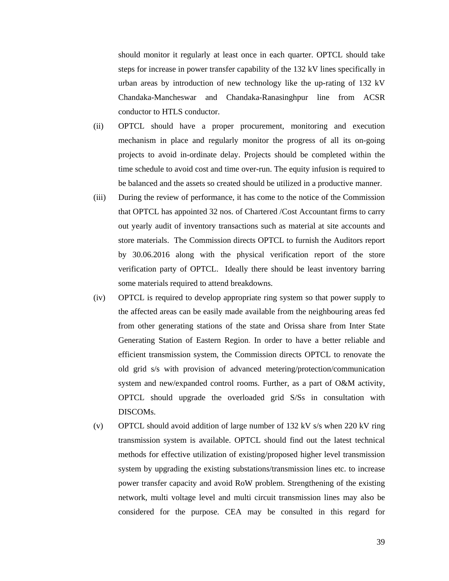should monitor it regularly at least once in each quarter. OPTCL should take steps for increase in power transfer capability of the 132 kV lines specifically in urban areas by introduction of new technology like the up-rating of 132 kV Chandaka-Mancheswar and Chandaka-Ranasinghpur line from ACSR conductor to HTLS conductor.

- (ii) OPTCL should have a proper procurement, monitoring and execution mechanism in place and regularly monitor the progress of all its on-going projects to avoid in-ordinate delay. Projects should be completed within the time schedule to avoid cost and time over-run. The equity infusion is required to be balanced and the assets so created should be utilized in a productive manner.
- (iii) During the review of performance, it has come to the notice of the Commission that OPTCL has appointed 32 nos. of Chartered /Cost Accountant firms to carry out yearly audit of inventory transactions such as material at site accounts and store materials. The Commission directs OPTCL to furnish the Auditors report by 30.06.2016 along with the physical verification report of the store verification party of OPTCL. Ideally there should be least inventory barring some materials required to attend breakdowns.
- (iv) OPTCL is required to develop appropriate ring system so that power supply to the affected areas can be easily made available from the neighbouring areas fed from other generating stations of the state and Orissa share from Inter State Generating Station of Eastern Region. In order to have a better reliable and efficient transmission system, the Commission directs OPTCL to renovate the old grid s/s with provision of advanced metering/protection/communication system and new/expanded control rooms. Further, as a part of O&M activity, OPTCL should upgrade the overloaded grid S/Ss in consultation with DISCOMs.
- (v) OPTCL should avoid addition of large number of 132 kV s/s when 220 kV ring transmission system is available. OPTCL should find out the latest technical methods for effective utilization of existing/proposed higher level transmission system by upgrading the existing substations/transmission lines etc. to increase power transfer capacity and avoid RoW problem. Strengthening of the existing network, multi voltage level and multi circuit transmission lines may also be considered for the purpose. CEA may be consulted in this regard for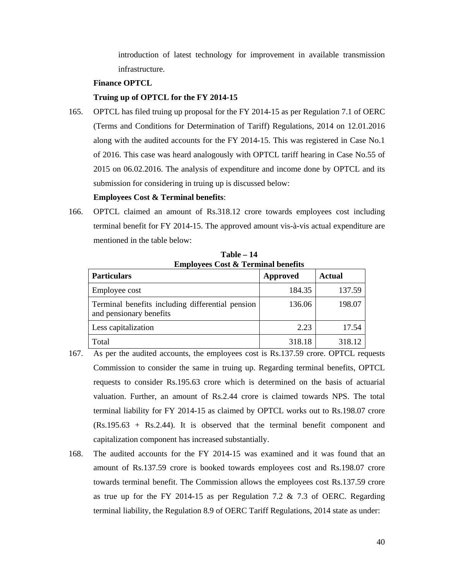introduction of latest technology for improvement in available transmission infrastructure.

#### **Finance OPTCL**

### **Truing up of OPTCL for the FY 2014-15**

165. OPTCL has filed truing up proposal for the FY 2014-15 as per Regulation 7.1 of OERC (Terms and Conditions for Determination of Tariff) Regulations, 2014 on 12.01.2016 along with the audited accounts for the FY 2014-15. This was registered in Case No.1 of 2016. This case was heard analogously with OPTCL tariff hearing in Case No.55 of 2015 on 06.02.2016. The analysis of expenditure and income done by OPTCL and its submission for considering in truing up is discussed below:

#### **Employees Cost & Terminal benefits**:

166. OPTCL claimed an amount of Rs.318.12 crore towards employees cost including terminal benefit for FY 2014-15. The approved amount vis-à-vis actual expenditure are mentioned in the table below:

| <b>Employees Cost &amp; Terminal benefits</b>                               |                 |               |  |
|-----------------------------------------------------------------------------|-----------------|---------------|--|
| <b>Particulars</b>                                                          | <b>Approved</b> | <b>Actual</b> |  |
| Employee cost                                                               | 184.35          | 137.59        |  |
| Terminal benefits including differential pension<br>and pensionary benefits | 136.06          | 198.07        |  |
| Less capitalization                                                         | 2.23            | 17.54         |  |
| Total                                                                       | 318.18          | 318.12        |  |

**Table – 14** 

- 167. As per the audited accounts, the employees cost is Rs.137.59 crore. OPTCL requests Commission to consider the same in truing up. Regarding terminal benefits, OPTCL requests to consider Rs.195.63 crore which is determined on the basis of actuarial valuation. Further, an amount of Rs.2.44 crore is claimed towards NPS. The total terminal liability for FY 2014-15 as claimed by OPTCL works out to Rs.198.07 crore (Rs.195.63 + Rs.2.44). It is observed that the terminal benefit component and capitalization component has increased substantially.
- 168. The audited accounts for the FY 2014-15 was examined and it was found that an amount of Rs.137.59 crore is booked towards employees cost and Rs.198.07 crore towards terminal benefit. The Commission allows the employees cost Rs.137.59 crore as true up for the FY 2014-15 as per Regulation 7.2  $\&$  7.3 of OERC. Regarding terminal liability, the Regulation 8.9 of OERC Tariff Regulations, 2014 state as under: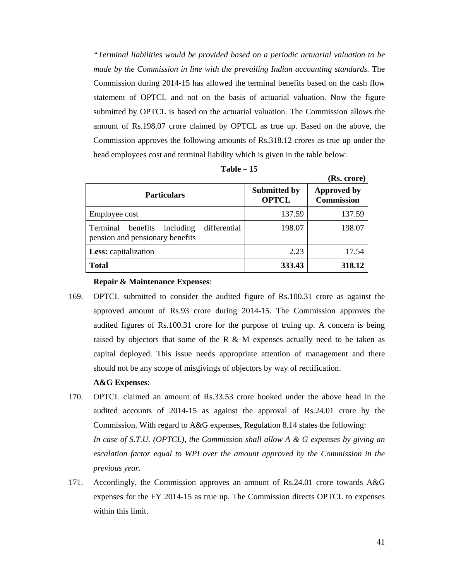*"Terminal liabilities would be provided based on a periodic actuarial valuation to be made by the Commission in line with the prevailing Indian accounting standards.* The Commission during 2014-15 has allowed the terminal benefits based on the cash flow statement of OPTCL and not on the basis of actuarial valuation. Now the figure submitted by OPTCL is based on the actuarial valuation. The Commission allows the amount of Rs.198.07 crore claimed by OPTCL as true up. Based on the above, the Commission approves the following amounts of Rs.318.12 crores as true up under the head employees cost and terminal liability which is given in the table below:

| able |  |
|------|--|
|------|--|

| (Rs. crore) |
|-------------|
|             |

| <b>Particulars</b>                                                                   | <b>Submitted by</b><br><b>OPTCL</b> | <b>Approved by</b><br><b>Commission</b> |
|--------------------------------------------------------------------------------------|-------------------------------------|-----------------------------------------|
| Employee cost                                                                        | 137.59                              | 137.59                                  |
| differential<br>Terminal<br>benefits<br>including<br>pension and pensionary benefits | 198.07                              | 198.07                                  |
| Less: capitalization                                                                 | 2.23                                | 17.54                                   |
| <b>Total</b>                                                                         | 333.43                              | 318.12                                  |

### **Repair & Maintenance Expenses**:

169. OPTCL submitted to consider the audited figure of Rs.100.31 crore as against the approved amount of Rs.93 crore during 2014-15. The Commission approves the audited figures of Rs.100.31 crore for the purpose of truing up. A concern is being raised by objectors that some of the R  $\&$  M expenses actually need to be taken as capital deployed. This issue needs appropriate attention of management and there should not be any scope of misgivings of objectors by way of rectification.

### **A&G Expenses**:

- 170. OPTCL claimed an amount of Rs.33.53 crore booked under the above head in the audited accounts of 2014-15 as against the approval of Rs.24.01 crore by the Commission. With regard to A&G expenses, Regulation 8.14 states the following: *In case of S.T.U. (OPTCL), the Commission shall allow A & G expenses by giving an escalation factor equal to WPI over the amount approved by the Commission in the previous year.*
- 171. Accordingly, the Commission approves an amount of Rs.24.01 crore towards A&G expenses for the FY 2014-15 as true up. The Commission directs OPTCL to expenses within this limit.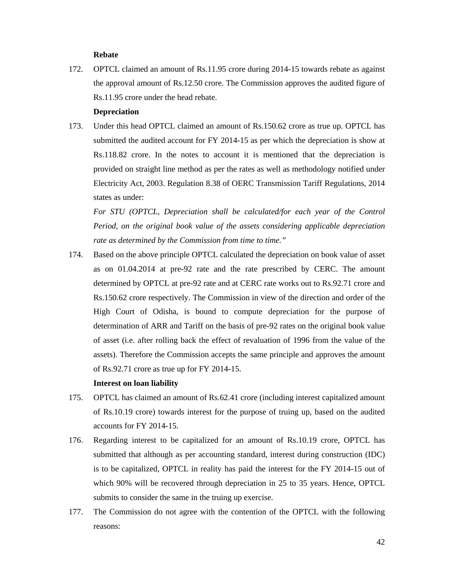### **Rebate**

172. OPTCL claimed an amount of Rs.11.95 crore during 2014-15 towards rebate as against the approval amount of Rs.12.50 crore. The Commission approves the audited figure of Rs.11.95 crore under the head rebate.

#### **Depreciation**

173. Under this head OPTCL claimed an amount of Rs.150.62 crore as true up. OPTCL has submitted the audited account for FY 2014-15 as per which the depreciation is show at Rs.118.82 crore. In the notes to account it is mentioned that the depreciation is provided on straight line method as per the rates as well as methodology notified under Electricity Act, 2003. Regulation 8.38 of OERC Transmission Tariff Regulations, 2014 states as under:

*For STU (OPTCL, Depreciation shall be calculated/for each year of the Control Period, on the original book value of the assets considering applicable depreciation rate as determined by the Commission from time to time."* 

174. Based on the above principle OPTCL calculated the depreciation on book value of asset as on 01.04.2014 at pre-92 rate and the rate prescribed by CERC. The amount determined by OPTCL at pre-92 rate and at CERC rate works out to Rs.92.71 crore and Rs.150.62 crore respectively. The Commission in view of the direction and order of the High Court of Odisha, is bound to compute depreciation for the purpose of determination of ARR and Tariff on the basis of pre-92 rates on the original book value of asset (i.e. after rolling back the effect of revaluation of 1996 from the value of the assets). Therefore the Commission accepts the same principle and approves the amount of Rs.92.71 crore as true up for FY 2014-15.

#### **Interest on loan liability**

- 175. OPTCL has claimed an amount of Rs.62.41 crore (including interest capitalized amount of Rs.10.19 crore) towards interest for the purpose of truing up, based on the audited accounts for FY 2014-15.
- 176. Regarding interest to be capitalized for an amount of Rs.10.19 crore, OPTCL has submitted that although as per accounting standard, interest during construction (IDC) is to be capitalized, OPTCL in reality has paid the interest for the FY 2014-15 out of which 90% will be recovered through depreciation in 25 to 35 years. Hence, OPTCL submits to consider the same in the truing up exercise.
- 177. The Commission do not agree with the contention of the OPTCL with the following reasons: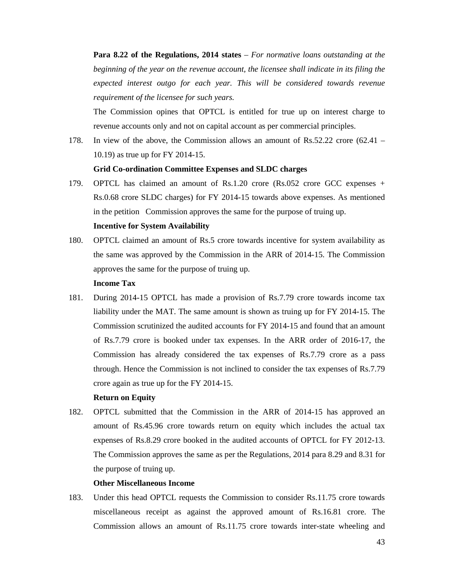**Para 8.22 of the Regulations, 2014 states** – *For normative loans outstanding at the beginning of the year on the revenue account, the licensee shall indicate in its filing the expected interest outgo for each year. This will be considered towards revenue requirement of the licensee for such years.* 

The Commission opines that OPTCL is entitled for true up on interest charge to revenue accounts only and not on capital account as per commercial principles.

178. In view of the above, the Commission allows an amount of Rs.52.22 crore (62.41 – 10.19) as true up for FY 2014-15.

### **Grid Co-ordination Committee Expenses and SLDC charges**

- 179. OPTCL has claimed an amount of Rs.1.20 crore (Rs.052 crore GCC expenses + Rs.0.68 crore SLDC charges) for FY 2014-15 towards above expenses. As mentioned in the petition Commission approves the same for the purpose of truing up. **Incentive for System Availability**
- 180. OPTCL claimed an amount of Rs.5 crore towards incentive for system availability as the same was approved by the Commission in the ARR of 2014-15. The Commission approves the same for the purpose of truing up.

### **Income Tax**

181. During 2014-15 OPTCL has made a provision of Rs.7.79 crore towards income tax liability under the MAT. The same amount is shown as truing up for FY 2014-15. The Commission scrutinized the audited accounts for FY 2014-15 and found that an amount of Rs.7.79 crore is booked under tax expenses. In the ARR order of 2016-17, the Commission has already considered the tax expenses of Rs.7.79 crore as a pass through. Hence the Commission is not inclined to consider the tax expenses of Rs.7.79 crore again as true up for the FY 2014-15.

#### **Return on Equity**

182. OPTCL submitted that the Commission in the ARR of 2014-15 has approved an amount of Rs.45.96 crore towards return on equity which includes the actual tax expenses of Rs.8.29 crore booked in the audited accounts of OPTCL for FY 2012-13. The Commission approves the same as per the Regulations, 2014 para 8.29 and 8.31 for the purpose of truing up.

#### **Other Miscellaneous Income**

183. Under this head OPTCL requests the Commission to consider Rs.11.75 crore towards miscellaneous receipt as against the approved amount of Rs.16.81 crore. The Commission allows an amount of Rs.11.75 crore towards inter-state wheeling and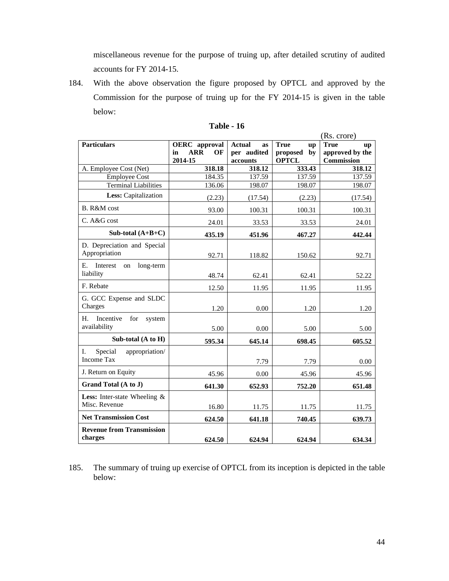miscellaneous revenue for the purpose of truing up, after detailed scrutiny of audited accounts for FY 2014-15.

184. With the above observation the figure proposed by OPTCL and approved by the Commission for the purpose of truing up for the FY 2014-15 is given in the table below:

|                                            |                        |                     |                          | (Rs. crore)       |
|--------------------------------------------|------------------------|---------------------|--------------------------|-------------------|
| <b>Particulars</b>                         | <b>OERC</b> approval   | <b>Actual</b><br>as | <b>True</b><br><b>up</b> | <b>True</b><br>up |
|                                            | <b>ARR</b><br>OF<br>in | per audited         | proposed<br>by           | approved by the   |
|                                            | 2014-15                | accounts            | <b>OPTCL</b>             | Commission        |
| A. Employee Cost (Net)                     | 318.18                 | 318.12              | 333.43                   | 318.12            |
| <b>Employee Cost</b>                       | 184.35                 | 137.59              | 137.59                   | 137.59            |
| <b>Terminal Liabilities</b>                | 136.06                 | 198.07              | 198.07                   | 198.07            |
| Less: Capitalization                       | (2.23)                 | (17.54)             | (2.23)                   | (17.54)           |
| B. R&M cost                                | 93.00                  | 100.31              | 100.31                   | 100.31            |
| C. A&G cost                                | 24.01                  | 33.53               | 33.53                    | 24.01             |
| Sub-total $(A+B+C)$                        | 435.19                 | 451.96              | 467.27                   | 442.44            |
| D. Depreciation and Special                |                        |                     |                          |                   |
| Appropriation                              | 92.71                  | 118.82              | 150.62                   | 92.71             |
| Е.<br>Interest<br>long-term<br>on          |                        |                     |                          |                   |
| liability                                  | 48.74                  | 62.41               | 62.41                    | 52.22             |
| F. Rebate                                  | 12.50                  | 11.95               | 11.95                    | 11.95             |
| G. GCC Expense and SLDC                    |                        |                     |                          |                   |
| Charges                                    | 1.20                   | 0.00                | 1.20                     | 1.20              |
| H.                                         |                        |                     |                          |                   |
| Incentive<br>for<br>system<br>availability |                        |                     |                          |                   |
|                                            | 5.00                   | 0.00                | 5.00                     | 5.00              |
| Sub-total $(A \text{ to } H)$              | 595.34                 | 645.14              | 698.45                   | 605.52            |
| I.<br>Special<br>appropriation/            |                        |                     |                          |                   |
| <b>Income Tax</b>                          |                        | 7.79                | 7.79                     | 0.00              |
| J. Return on Equity                        | 45.96                  | 0.00                | 45.96                    | 45.96             |
| Grand Total (A to J)                       | 641.30                 | 652.93              | 752.20                   | 651.48            |
| Less: Inter-state Wheeling &               |                        |                     |                          |                   |
| Misc. Revenue                              | 16.80                  | 11.75               | 11.75                    | 11.75             |
| <b>Net Transmission Cost</b>               | 624.50                 | 641.18              | 740.45                   | 639.73            |
| <b>Revenue from Transmission</b>           |                        |                     |                          |                   |
| charges                                    | 624.50                 | 624.94              | 624.94                   | 634.34            |

| Table |  | 16 |
|-------|--|----|
|-------|--|----|

185. The summary of truing up exercise of OPTCL from its inception is depicted in the table below: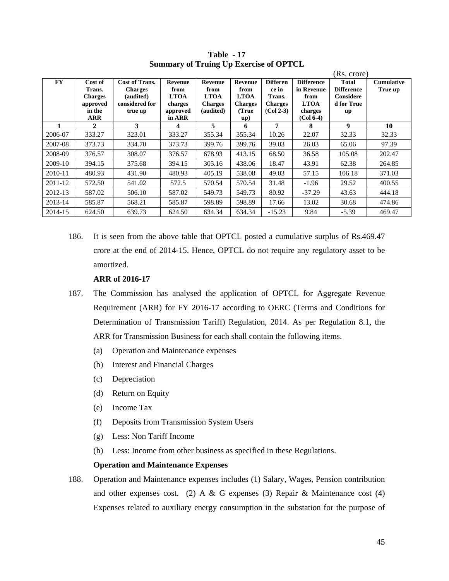|           |                                                                         |                                                                            |                                                                 |                                                               |                                                                  |                                                                     |                                                                                  | (Rs. crore)                                                        |                              |
|-----------|-------------------------------------------------------------------------|----------------------------------------------------------------------------|-----------------------------------------------------------------|---------------------------------------------------------------|------------------------------------------------------------------|---------------------------------------------------------------------|----------------------------------------------------------------------------------|--------------------------------------------------------------------|------------------------------|
| <b>FY</b> | Cost of<br>Trans.<br><b>Charges</b><br>approved<br>in the<br><b>ARR</b> | Cost of Trans.<br><b>Charges</b><br>(audited)<br>considered for<br>true up | Revenue<br>from<br><b>LTOA</b><br>charges<br>approved<br>in ARR | Revenue<br>from<br><b>LTOA</b><br><b>Charges</b><br>(audited) | Revenue<br>from<br><b>LTOA</b><br><b>Charges</b><br>(True<br>up) | <b>Differen</b><br>ce in<br>Trans.<br><b>Charges</b><br>$(Col 2-3)$ | <b>Difference</b><br>in Revenue<br>from<br><b>LTOA</b><br>charges<br>$(Col 6-4)$ | <b>Total</b><br><b>Difference</b><br>Considere<br>d for True<br>up | <b>Cumulative</b><br>True up |
|           | $\mathbf{2}$                                                            | 3                                                                          | 4                                                               | 5                                                             | 6                                                                | 7                                                                   | 8                                                                                | 9                                                                  | 10                           |
| 2006-07   | 333.27                                                                  | 323.01                                                                     | 333.27                                                          | 355.34                                                        | 355.34                                                           | 10.26                                                               | 22.07                                                                            | 32.33                                                              | 32.33                        |
| 2007-08   | 373.73                                                                  | 334.70                                                                     | 373.73                                                          | 399.76                                                        | 399.76                                                           | 39.03                                                               | 26.03                                                                            | 65.06                                                              | 97.39                        |
| 2008-09   | 376.57                                                                  | 308.07                                                                     | 376.57                                                          | 678.93                                                        | 413.15                                                           | 68.50                                                               | 36.58                                                                            | 105.08                                                             | 202.47                       |
| 2009-10   | 394.15                                                                  | 375.68                                                                     | 394.15                                                          | 305.16                                                        | 438.06                                                           | 18.47                                                               | 43.91                                                                            | 62.38                                                              | 264.85                       |
| 2010-11   | 480.93                                                                  | 431.90                                                                     | 480.93                                                          | 405.19                                                        | 538.08                                                           | 49.03                                                               | 57.15                                                                            | 106.18                                                             | 371.03                       |
| 2011-12   | 572.50                                                                  | 541.02                                                                     | 572.5                                                           | 570.54                                                        | 570.54                                                           | 31.48                                                               | $-1.96$                                                                          | 29.52                                                              | 400.55                       |
| 2012-13   | 587.02                                                                  | 506.10                                                                     | 587.02                                                          | 549.73                                                        | 549.73                                                           | 80.92                                                               | $-37.29$                                                                         | 43.63                                                              | 444.18                       |
| 2013-14   | 585.87                                                                  | 568.21                                                                     | 585.87                                                          | 598.89                                                        | 598.89                                                           | 17.66                                                               | 13.02                                                                            | 30.68                                                              | 474.86                       |
| 2014-15   | 624.50                                                                  | 639.73                                                                     | 624.50                                                          | 634.34                                                        | 634.34                                                           | $-15.23$                                                            | 9.84                                                                             | $-5.39$                                                            | 469.47                       |

**Table - 17 Summary of Truing Up Exercise of OPTCL** 

186. It is seen from the above table that OPTCL posted a cumulative surplus of Rs.469.47 crore at the end of 2014-15. Hence, OPTCL do not require any regulatory asset to be amortized.

### **ARR of 2016-17**

- 187. The Commission has analysed the application of OPTCL for Aggregate Revenue Requirement (ARR) for FY 2016-17 according to OERC (Terms and Conditions for Determination of Transmission Tariff) Regulation, 2014. As per Regulation 8.1, the ARR for Transmission Business for each shall contain the following items.
	- (a) Operation and Maintenance expenses
	- (b) Interest and Financial Charges
	- (c) Depreciation
	- (d) Return on Equity
	- (e) Income Tax
	- (f) Deposits from Transmission System Users
	- (g) Less: Non Tariff Income
	- (h) Less: Income from other business as specified in these Regulations.

### **Operation and Maintenance Expenses**

188. Operation and Maintenance expenses includes (1) Salary, Wages, Pension contribution and other expenses cost. (2) A & G expenses (3) Repair & Maintenance cost (4) Expenses related to auxiliary energy consumption in the substation for the purpose of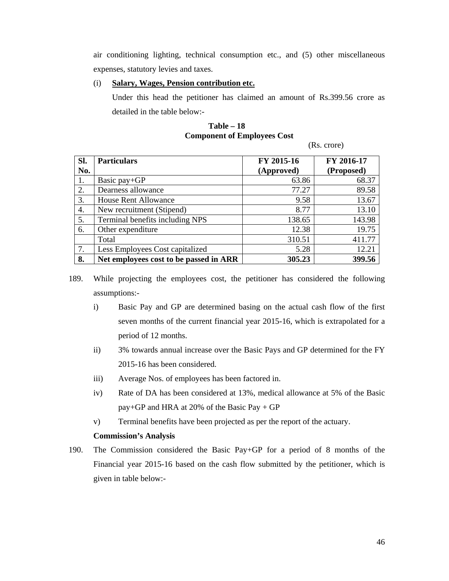air conditioning lighting, technical consumption etc., and (5) other miscellaneous expenses, statutory levies and taxes.

### (i) **Salary, Wages, Pension contribution etc.**

Under this head the petitioner has claimed an amount of Rs.399.56 crore as detailed in the table below:-

## **Table – 18 Component of Employees Cost**

(Rs. crore)

| Sl. | <b>Particulars</b>                     | FY 2015-16 | FY 2016-17 |
|-----|----------------------------------------|------------|------------|
| No. |                                        | (Approved) | (Proposed) |
| 1.  | Basic pay+GP                           | 63.86      | 68.37      |
| 2.  | Dearness allowance                     | 77.27      | 89.58      |
| 3.  | <b>House Rent Allowance</b>            | 9.58       | 13.67      |
| 4.  | New recruitment (Stipend)              | 8.77       | 13.10      |
| 5.  | Terminal benefits including NPS        | 138.65     | 143.98     |
| 6.  | Other expenditure                      | 12.38      | 19.75      |
|     | Total                                  | 310.51     | 411.77     |
| 7.  | Less Employees Cost capitalized        | 5.28       | 12.21      |
| 8.  | Net employees cost to be passed in ARR | 305.23     | 399.56     |

189. While projecting the employees cost, the petitioner has considered the following assumptions:-

- i) Basic Pay and GP are determined basing on the actual cash flow of the first seven months of the current financial year 2015-16, which is extrapolated for a period of 12 months.
- ii) 3% towards annual increase over the Basic Pays and GP determined for the FY 2015-16 has been considered.
- iii) Average Nos. of employees has been factored in.
- iv) Rate of DA has been considered at 13%, medical allowance at 5% of the Basic pay+GP and HRA at 20% of the Basic Pay + GP
- v) Terminal benefits have been projected as per the report of the actuary.

### **Commission's Analysis**

190. The Commission considered the Basic Pay+GP for a period of 8 months of the Financial year 2015-16 based on the cash flow submitted by the petitioner, which is given in table below:-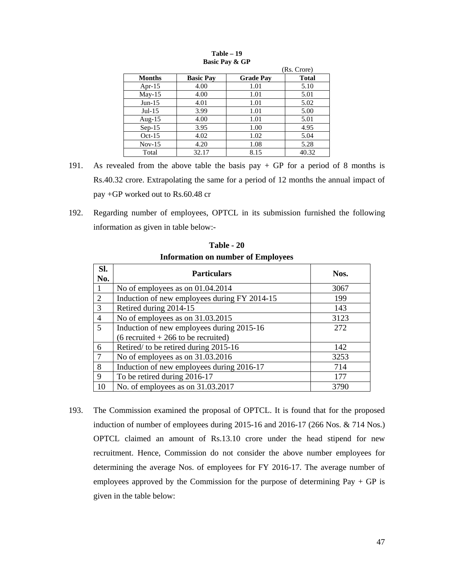|               |                  |                  | (Rs. Crore)  |
|---------------|------------------|------------------|--------------|
| <b>Months</b> | <b>Basic Pay</b> | <b>Grade Pay</b> | <b>Total</b> |
| Apr- $15$     | 4.00             | 1.01             | 5.10         |
| $Mav-15$      | 4.00             | 1.01             | 5.01         |
| $Jun-15$      | 4.01             | 1.01             | 5.02         |
| $Jul-15$      | 3.99             | 1.01             | 5.00         |
| Aug- $15$     | 4.00             | 1.01             | 5.01         |
| $Sep-15$      | 3.95             | 1.00             | 4.95         |
| $Oct-15$      | 4.02             | 1.02             | 5.04         |
| $Nov-15$      | 4.20             | 1.08             | 5.28         |
| Total         | 32.17            | 8.15             | 40.32        |

**Table – 19 Basic Pay & GP** 

- 191. As revealed from the above table the basis pay  $+$  GP for a period of 8 months is Rs.40.32 crore. Extrapolating the same for a period of 12 months the annual impact of pay +GP worked out to Rs.60.48 cr
- 192. Regarding number of employees, OPTCL in its submission furnished the following information as given in table below:-

| SI.<br>No.     | <b>Particulars</b>                           | Nos. |
|----------------|----------------------------------------------|------|
|                | No of employees as on $01.04.2014$           | 3067 |
| 2              | Induction of new employees during FY 2014-15 | 199  |
| 3              | Retired during 2014-15                       | 143  |
| $\overline{4}$ | No of employees as on 31.03.2015             | 3123 |
| 5              | Induction of new employees during 2015-16    | 272  |
|                | $(6$ recruited + 266 to be recruited)        |      |
| 6              | Retired/ to be retired during 2015-16        | 142  |
|                | No of employees as on 31.03.2016             | 3253 |
| 8              | Induction of new employees during 2016-17    | 714  |
| 9              | To be retired during 2016-17                 | 177  |
| 10             | No. of employees as on 31.03.2017            | 3790 |

**Table - 20 Information on number of Employees** 

193. The Commission examined the proposal of OPTCL. It is found that for the proposed induction of number of employees during 2015-16 and 2016-17 (266 Nos. & 714 Nos.) OPTCL claimed an amount of Rs.13.10 crore under the head stipend for new recruitment. Hence, Commission do not consider the above number employees for determining the average Nos. of employees for FY 2016-17. The average number of employees approved by the Commission for the purpose of determining  $Pay + GP$  is given in the table below: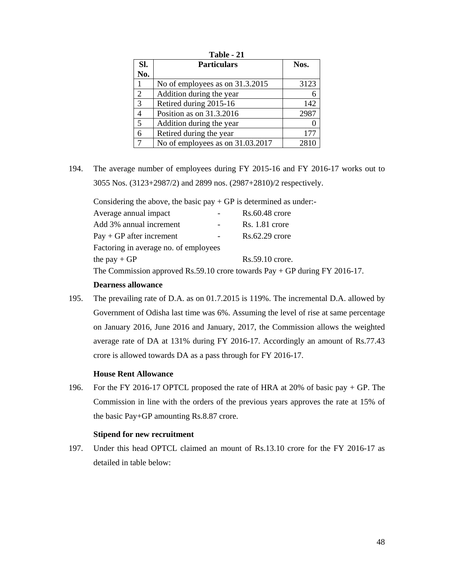|                | Table - 21                       |      |  |  |  |
|----------------|----------------------------------|------|--|--|--|
| SI.            | <b>Particulars</b>               | Nos. |  |  |  |
| No.            |                                  |      |  |  |  |
|                | No of employees as on 31.3.2015  | 3123 |  |  |  |
| $\overline{2}$ | Addition during the year         |      |  |  |  |
| 3              | Retired during 2015-16           | 142  |  |  |  |
| $\overline{4}$ | Position as on 31.3.2016         | 2987 |  |  |  |
| 5              | Addition during the year         |      |  |  |  |
| 6              | Retired during the year          | 177  |  |  |  |
|                | No of employees as on 31.03.2017 | 2810 |  |  |  |

194. The average number of employees during FY 2015-16 and FY 2016-17 works out to 3055 Nos. (3123+2987/2) and 2899 nos. (2987+2810)/2 respectively.

Considering the above, the basic  $pay + GP$  is determined as under:-

| Average annual impact                                                                    | $Rs.60.48$ crore  |
|------------------------------------------------------------------------------------------|-------------------|
| Add 3% annual increment                                                                  | $Rs. 1.81$ crore  |
| $Pay + GP$ after increment                                                               | $Rs.62.29$ crore  |
| Factoring in average no. of employees                                                    |                   |
| the pay $+GP$                                                                            | $Rs.59.10$ crore. |
| The Commission approved $\mathbf{p}_s$ 50.10 crops towards $\mathbf{p}_{av}$ + GP during |                   |

The Commission approved Rs.59.10 crore towards Pay + GP during FY 2016-17.

### **Dearness allowance**

195. The prevailing rate of D.A. as on 01.7.2015 is 119%. The incremental D.A. allowed by Government of Odisha last time was 6%. Assuming the level of rise at same percentage on January 2016, June 2016 and January, 2017, the Commission allows the weighted average rate of DA at 131% during FY 2016-17. Accordingly an amount of Rs.77.43 crore is allowed towards DA as a pass through for FY 2016-17.

### **House Rent Allowance**

196. For the FY 2016-17 OPTCL proposed the rate of HRA at 20% of basic pay + GP. The Commission in line with the orders of the previous years approves the rate at 15% of the basic Pay+GP amounting Rs.8.87 crore.

### **Stipend for new recruitment**

197. Under this head OPTCL claimed an mount of Rs.13.10 crore for the FY 2016-17 as detailed in table below: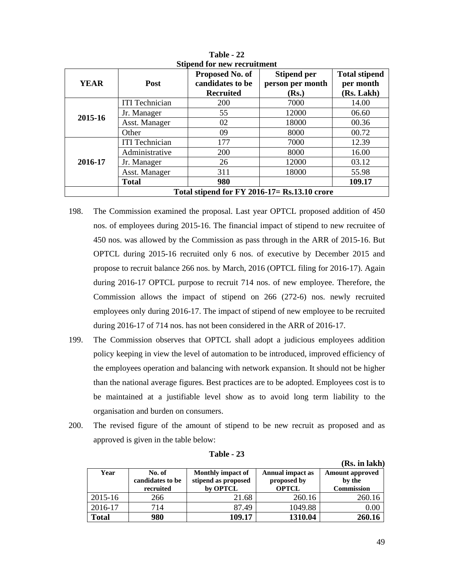| <b>YEAR</b> | Post                                          | Proposed No. of<br>candidates to be<br><b>Recruited</b> | <b>Stipend per</b><br>person per month<br>( <b>Rs.</b> ) | <b>Total stipend</b><br>per month<br>(Rs. Lakh) |  |
|-------------|-----------------------------------------------|---------------------------------------------------------|----------------------------------------------------------|-------------------------------------------------|--|
|             | <b>ITI</b> Technician                         | 200                                                     | 7000                                                     | 14.00                                           |  |
| 2015-16     | Jr. Manager                                   | 55                                                      | 12000                                                    | 06.60                                           |  |
|             | Asst. Manager                                 | 02                                                      | 18000                                                    | 00.36                                           |  |
|             | Other                                         | 09                                                      | 8000                                                     | 00.72                                           |  |
|             | <b>ITI</b> Technician                         | 177                                                     | 7000                                                     | 12.39                                           |  |
|             | Administrative                                | 200                                                     | 8000                                                     | 16.00                                           |  |
| 2016-17     | Jr. Manager                                   | 26                                                      | 12000                                                    | 03.12                                           |  |
|             | Asst. Manager                                 | 311                                                     | 18000                                                    | 55.98                                           |  |
|             | <b>Total</b>                                  | 980                                                     |                                                          | 109.17                                          |  |
|             | Total stipend for FY 2016-17 = Rs.13.10 crore |                                                         |                                                          |                                                 |  |

**Table - 22 Stipend for new recruitment** 

- 198. The Commission examined the proposal. Last year OPTCL proposed addition of 450 nos. of employees during 2015-16. The financial impact of stipend to new recruitee of 450 nos. was allowed by the Commission as pass through in the ARR of 2015-16. But OPTCL during 2015-16 recruited only 6 nos. of executive by December 2015 and propose to recruit balance 266 nos. by March, 2016 (OPTCL filing for 2016-17). Again during 2016-17 OPTCL purpose to recruit 714 nos. of new employee. Therefore, the Commission allows the impact of stipend on 266 (272-6) nos. newly recruited employees only during 2016-17. The impact of stipend of new employee to be recruited during 2016-17 of 714 nos. has not been considered in the ARR of 2016-17.
- 199. The Commission observes that OPTCL shall adopt a judicious employees addition policy keeping in view the level of automation to be introduced, improved efficiency of the employees operation and balancing with network expansion. It should not be higher than the national average figures. Best practices are to be adopted. Employees cost is to be maintained at a justifiable level show as to avoid long term liability to the organisation and burden on consumers.
- 200. The revised figure of the amount of stipend to be new recruit as proposed and as approved is given in the table below:

|              |                                         |                                                      |                                                 | (Rs. in lakh)                                         |
|--------------|-----------------------------------------|------------------------------------------------------|-------------------------------------------------|-------------------------------------------------------|
| Year         | No. of<br>candidates to be<br>recruited | Monthly impact of<br>stipend as proposed<br>by OPTCL | Annual impact as<br>proposed by<br><b>OPTCL</b> | <b>Amount approved</b><br>by the<br><b>Commission</b> |
| 2015-16      | 266                                     | 21.68                                                | 260.16                                          | 260.16                                                |
| 2016-17      | 714                                     | 87.49                                                | 1049.88                                         | 0.00                                                  |
| <b>Total</b> | 980                                     | 109.17                                               | 1310.04                                         | 260.16                                                |

**Table - 23**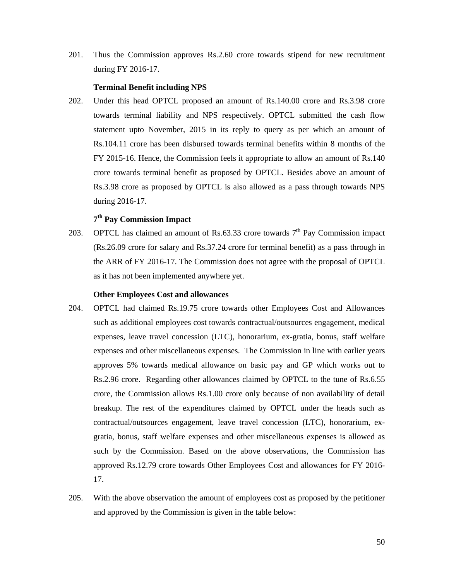201. Thus the Commission approves Rs.2.60 crore towards stipend for new recruitment during FY 2016-17.

### **Terminal Benefit including NPS**

202. Under this head OPTCL proposed an amount of Rs.140.00 crore and Rs.3.98 crore towards terminal liability and NPS respectively. OPTCL submitted the cash flow statement upto November, 2015 in its reply to query as per which an amount of Rs.104.11 crore has been disbursed towards terminal benefits within 8 months of the FY 2015-16. Hence, the Commission feels it appropriate to allow an amount of Rs.140 crore towards terminal benefit as proposed by OPTCL. Besides above an amount of Rs.3.98 crore as proposed by OPTCL is also allowed as a pass through towards NPS during 2016-17.

# **7th Pay Commission Impact**

203. OPTCL has claimed an amount of Rs.63.33 crore towards  $7<sup>th</sup>$  Pay Commission impact (Rs.26.09 crore for salary and Rs.37.24 crore for terminal benefit) as a pass through in the ARR of FY 2016-17. The Commission does not agree with the proposal of OPTCL as it has not been implemented anywhere yet.

#### **Other Employees Cost and allowances**

- 204. OPTCL had claimed Rs.19.75 crore towards other Employees Cost and Allowances such as additional employees cost towards contractual/outsources engagement, medical expenses, leave travel concession (LTC), honorarium, ex-gratia, bonus, staff welfare expenses and other miscellaneous expenses. The Commission in line with earlier years approves 5% towards medical allowance on basic pay and GP which works out to Rs.2.96 crore. Regarding other allowances claimed by OPTCL to the tune of Rs.6.55 crore, the Commission allows Rs.1.00 crore only because of non availability of detail breakup. The rest of the expenditures claimed by OPTCL under the heads such as contractual/outsources engagement, leave travel concession (LTC), honorarium, exgratia, bonus, staff welfare expenses and other miscellaneous expenses is allowed as such by the Commission. Based on the above observations, the Commission has approved Rs.12.79 crore towards Other Employees Cost and allowances for FY 2016- 17.
- 205. With the above observation the amount of employees cost as proposed by the petitioner and approved by the Commission is given in the table below: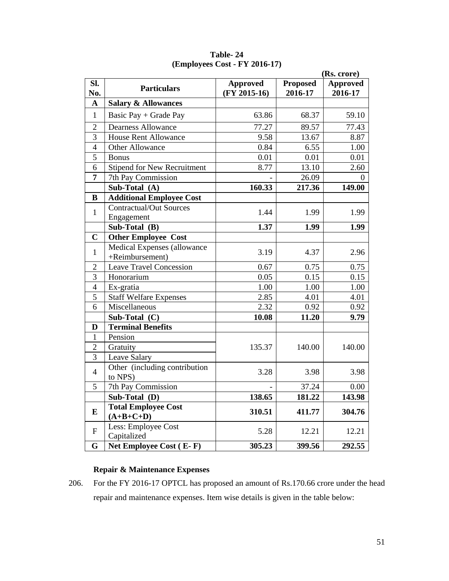|                | (Rs. crore)                                    |                                   |                            |                            |  |
|----------------|------------------------------------------------|-----------------------------------|----------------------------|----------------------------|--|
| Sl.<br>No.     | <b>Particulars</b>                             | <b>Approved</b><br>$(FY 2015-16)$ | <b>Proposed</b><br>2016-17 | <b>Approved</b><br>2016-17 |  |
| $\mathbf A$    | <b>Salary &amp; Allowances</b>                 |                                   |                            |                            |  |
| $\mathbf{1}$   | Basic Pay + Grade Pay                          | 63.86                             | 68.37                      | 59.10                      |  |
| $\overline{2}$ | <b>Dearness Allowance</b>                      | 77.27                             | 89.57                      | 77.43                      |  |
| 3              | <b>House Rent Allowance</b>                    | 9.58                              | 13.67                      | 8.87                       |  |
| $\overline{4}$ | <b>Other Allowance</b>                         | 0.84                              | 6.55                       | 1.00                       |  |
| 5              | <b>Bonus</b>                                   | 0.01                              | 0.01                       | 0.01                       |  |
| 6              | <b>Stipend for New Recruitment</b>             | 8.77                              | 13.10                      | 2.60                       |  |
| $\overline{7}$ | 7th Pay Commission                             |                                   | 26.09                      | $\Omega$                   |  |
|                | Sub-Total (A)                                  | 160.33                            | 217.36                     | 149.00                     |  |
| B              | <b>Additional Employee Cost</b>                |                                   |                            |                            |  |
| $\mathbf{1}$   | <b>Contractual/Out Sources</b><br>Engagement   | 1.44                              | 1.99                       | 1.99                       |  |
|                | Sub-Total (B)                                  | 1.37                              | 1.99                       | 1.99                       |  |
| $\mathbf C$    | <b>Other Employee Cost</b>                     |                                   |                            |                            |  |
| $\mathbf{1}$   | Medical Expenses (allowance<br>+Reimbursement) | 3.19                              | 4.37                       | 2.96                       |  |
| $\sqrt{2}$     | <b>Leave Travel Concession</b>                 | 0.67                              | 0.75                       | 0.75                       |  |
| $\overline{3}$ | Honorarium                                     | 0.05                              | 0.15                       | 0.15                       |  |
| $\overline{4}$ | Ex-gratia                                      | 1.00                              | 1.00                       | 1.00                       |  |
| 5              | <b>Staff Welfare Expenses</b>                  | 2.85                              | 4.01                       | 4.01                       |  |
| 6              | Miscellaneous                                  | 2.32                              | 0.92                       | 0.92                       |  |
|                | Sub-Total (C)                                  | 10.08                             | 11.20                      | 9.79                       |  |
| D              | <b>Terminal Benefits</b>                       |                                   |                            |                            |  |
| $\mathbf{1}$   | Pension                                        |                                   |                            |                            |  |
| $\overline{2}$ | Gratuity                                       | 135.37                            | 140.00                     | 140.00                     |  |
| 3              | Leave Salary                                   |                                   |                            |                            |  |
| $\overline{4}$ | Other (including contribution<br>to NPS)       | 3.28                              | 3.98                       | 3.98                       |  |
| 5              | 7th Pay Commission                             |                                   | 37.24                      | 0.00                       |  |
|                | Sub-Total (D)                                  | 138.65                            | 181.22                     | 143.98                     |  |
| E              | <b>Total Employee Cost</b><br>$(A+B+C+D)$      | 310.51                            | 411.77                     | 304.76                     |  |
| $\mathbf{F}$   | Less: Employee Cost<br>Capitalized             | 5.28                              | 12.21                      | 12.21                      |  |
| G              | Net Employee Cost (E-F)                        | 305.23                            | 399.56                     | 292.55                     |  |

**Table- 24 (Employees Cost - FY 2016-17)** 

# **Repair & Maintenance Expenses**

206. For the FY 2016-17 OPTCL has proposed an amount of Rs.170.66 crore under the head repair and maintenance expenses. Item wise details is given in the table below: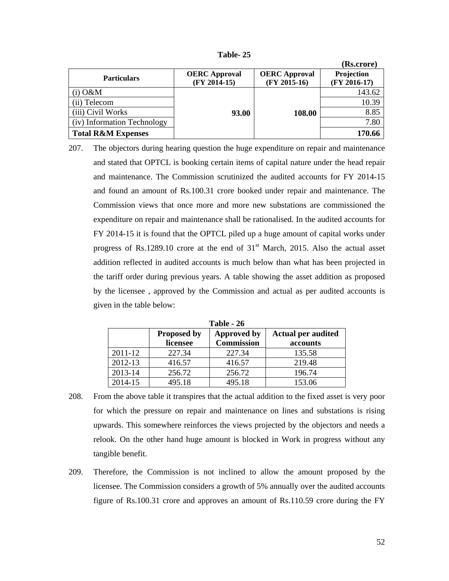| abie |  |
|------|--|
|------|--|

|                               |                                        |                                        | (Rs.crore)                   |
|-------------------------------|----------------------------------------|----------------------------------------|------------------------------|
| <b>Particulars</b>            | <b>OERC</b> Approval<br>$(FY 2014-15)$ | <b>OERC</b> Approval<br>$(FY 2015-16)$ | Projection<br>$(FY 2016-17)$ |
| $(i)$ O&M                     |                                        |                                        | 143.62                       |
| (ii) Telecom                  |                                        |                                        | 10.39                        |
| (iii) Civil Works             | 93.00                                  | 108.00                                 | 8.85                         |
| (iv) Information Technology   |                                        |                                        | 7.80                         |
| <b>Total R&amp;M Expenses</b> |                                        |                                        | 170.66                       |

207. The objectors during hearing question the huge expenditure on repair and maintenance and stated that OPTCL is booking certain items of capital nature under the head repair and maintenance. The Commission scrutinized the audited accounts for FY 2014-15 and found an amount of Rs.100.31 crore booked under repair and maintenance. The Commission views that once more and more new substations are commissioned the expenditure on repair and maintenance shall be rationalised. In the audited accounts for FY 2014-15 it is found that the OPTCL piled up a huge amount of capital works under progress of Rs.1289.10 crore at the end of  $31<sup>st</sup>$  March, 2015. Also the actual asset addition reflected in audited accounts is much below than what has been projected in the tariff order during previous years. A table showing the asset addition as proposed by the licensee , approved by the Commission and actual as per audited accounts is given in the table below:

| 1 avie - <i>2</i> 0 |                    |                    |                           |  |  |
|---------------------|--------------------|--------------------|---------------------------|--|--|
|                     | <b>Proposed by</b> | <b>Approved by</b> | <b>Actual per audited</b> |  |  |
|                     | licensee           | <b>Commission</b>  | accounts                  |  |  |
| $2011 - 12$         | 227.34             | 227.34             | 135.58                    |  |  |
| 2012-13             | 416.57             | 416.57             | 219.48                    |  |  |
| 2013-14             | 256.72             | 256.72             | 196.74                    |  |  |
| 2014-15             | 495.18             | 495.18             | 153.06                    |  |  |

**Table 26** 

- 208. From the above table it transpires that the actual addition to the fixed asset is very poor for which the pressure on repair and maintenance on lines and substations is rising upwards. This somewhere reinforces the views projected by the objectors and needs a relook. On the other hand huge amount is blocked in Work in progress without any tangible benefit.
- 209. Therefore, the Commission is not inclined to allow the amount proposed by the licensee. The Commission considers a growth of 5% annually over the audited accounts figure of Rs.100.31 crore and approves an amount of Rs.110.59 crore during the FY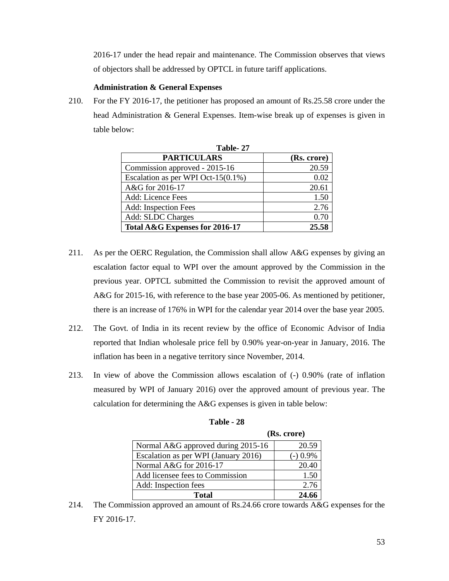2016-17 under the head repair and maintenance. The Commission observes that views of objectors shall be addressed by OPTCL in future tariff applications.

### **Administration & General Expenses**

210. For the FY 2016-17, the petitioner has proposed an amount of Rs.25.58 crore under the head Administration & General Expenses. Item-wise break up of expenses is given in table below:

| Table-27                           |             |
|------------------------------------|-------------|
| <b>PARTICULARS</b>                 | (Rs. crore) |
| Commission approved - 2015-16      | 20.59       |
| Escalation as per WPI Oct-15(0.1%) | 0.02        |
| A&G for 2016-17                    | 20.61       |
| Add: Licence Fees                  | 1.50        |
| Add: Inspection Fees               | 2.76        |
| Add: SLDC Charges                  | 0.70        |
| Total A&G Expenses for 2016-17     | 25.58       |

- 211. As per the OERC Regulation, the Commission shall allow A&G expenses by giving an escalation factor equal to WPI over the amount approved by the Commission in the previous year. OPTCL submitted the Commission to revisit the approved amount of A&G for 2015-16, with reference to the base year 2005-06. As mentioned by petitioner, there is an increase of 176% in WPI for the calendar year 2014 over the base year 2005.
- 212. The Govt. of India in its recent review by the office of Economic Advisor of India reported that Indian wholesale price fell by 0.90% year-on-year in January, 2016. The inflation has been in a negative territory since November, 2014.
- 213. In view of above the Commission allows escalation of (-) 0.90% (rate of inflation measured by WPI of January 2016) over the approved amount of previous year. The calculation for determining the A&G expenses is given in table below:

|                                      | (Rs. crore) |
|--------------------------------------|-------------|
| Normal A&G approved during 2015-16   | 20.59       |
| Escalation as per WPI (January 2016) | $-0.9\%$    |
| Normal A&G for 2016-17               | 20.40       |
| Add licensee fees to Commission      | 1.50        |
| Add: Inspection fees                 | 2.76        |
| Total                                | 24.66       |

| <b>Table - 28</b> |  |
|-------------------|--|
|-------------------|--|

214. The Commission approved an amount of Rs.24.66 crore towards A&G expenses for the FY 2016-17.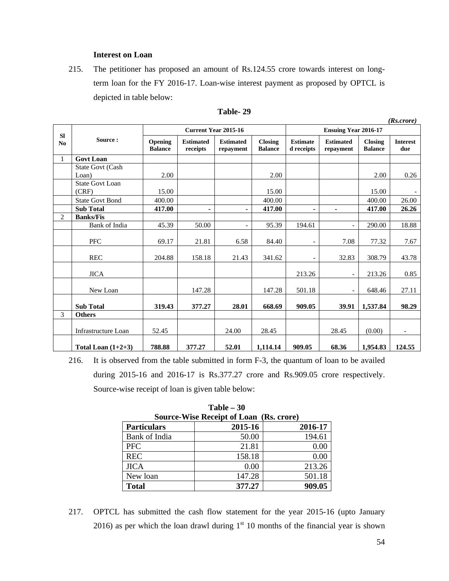## **Interest on Loan**

215. The petitioner has proposed an amount of Rs.124.55 crore towards interest on longterm loan for the FY 2016-17. Loan-wise interest payment as proposed by OPTCL is depicted in table below:

|                             |                        |                           |                              |                               |                                  |                               |                               |                                  | (Rs.crore)             |
|-----------------------------|------------------------|---------------------------|------------------------------|-------------------------------|----------------------------------|-------------------------------|-------------------------------|----------------------------------|------------------------|
|                             |                        |                           |                              | <b>Current Year 2015-16</b>   |                                  |                               | <b>Ensuing Year 2016-17</b>   |                                  |                        |
| <b>SI</b><br>N <sub>0</sub> | Source:                | Opening<br><b>Balance</b> | <b>Estimated</b><br>receipts | <b>Estimated</b><br>repayment | <b>Closing</b><br><b>Balance</b> | <b>Estimate</b><br>d receipts | <b>Estimated</b><br>repayment | <b>Closing</b><br><b>Balance</b> | <b>Interest</b><br>due |
| $\mathbf{1}$                | <b>Govt Loan</b>       |                           |                              |                               |                                  |                               |                               |                                  |                        |
|                             | State Govt (Cash       |                           |                              |                               |                                  |                               |                               |                                  |                        |
|                             | Loan)                  | 2.00                      |                              |                               | 2.00                             |                               |                               | 2.00                             | 0.26                   |
|                             | <b>State Govt Loan</b> |                           |                              |                               |                                  |                               |                               |                                  |                        |
|                             | (CRF)                  | 15.00                     |                              |                               | 15.00                            |                               |                               | 15.00                            |                        |
|                             | <b>State Govt Bond</b> | 400.00                    |                              |                               | 400.00                           |                               |                               | 400.00                           | 26.00                  |
|                             | <b>Sub Total</b>       | 417.00                    | $\blacksquare$               | Ξ.                            | 417.00                           | ٠                             | $\blacksquare$                | 417.00                           | 26.26                  |
| $\overline{2}$              | <b>Banks/Fis</b>       |                           |                              |                               |                                  |                               |                               |                                  |                        |
|                             | Bank of India          | 45.39                     | 50.00                        | $\overline{\phantom{a}}$      | 95.39                            | 194.61                        | $\overline{\phantom{0}}$      | 290.00                           | 18.88                  |
|                             | <b>PFC</b>             | 69.17                     | 21.81                        | 6.58                          | 84.40                            | $\overline{\phantom{0}}$      | 7.08                          | 77.32                            | 7.67                   |
|                             | <b>REC</b>             | 204.88                    | 158.18                       | 21.43                         | 341.62                           | $\overline{\phantom{0}}$      | 32.83                         | 308.79                           | 43.78                  |
|                             | <b>JICA</b>            |                           |                              |                               |                                  | 213.26                        | $\overline{\phantom{0}}$      | 213.26                           | 0.85                   |
|                             | New Loan               |                           | 147.28                       |                               | 147.28                           | 501.18                        | ۰                             | 648.46                           | 27.11                  |
|                             | <b>Sub Total</b>       | 319.43                    | 377.27                       | 28.01                         | 668.69                           | 909.05                        | 39.91                         | 1,537.84                         | 98.29                  |
| 3                           | <b>Others</b>          |                           |                              |                               |                                  |                               |                               |                                  |                        |
|                             | Infrastructure Loan    | 52.45                     |                              | 24.00                         | 28.45                            |                               | 28.45                         | (0.00)                           |                        |
|                             | Total Loan $(1+2+3)$   | 788.88                    | 377.27                       | 52.01                         | 1.114.14                         | 909.05                        | 68.36                         | 1,954.83                         | 124.55                 |

### **Table- 29**

216. It is observed from the table submitted in form F-3, the quantum of loan to be availed during 2015-16 and 2016-17 is Rs.377.27 crore and Rs.909.05 crore respectively. Source-wise receipt of loan is given table below:

| <b>Source-Wise Receipt of Loan (Rs. crore)</b> |         |         |  |  |  |  |  |
|------------------------------------------------|---------|---------|--|--|--|--|--|
| <b>Particulars</b>                             | 2015-16 | 2016-17 |  |  |  |  |  |
| Bank of India                                  | 50.00   | 194.61  |  |  |  |  |  |
| <b>PFC</b>                                     | 21.81   | 0.00    |  |  |  |  |  |
| <b>REC</b>                                     | 158.18  | 0.00    |  |  |  |  |  |
| <b>JICA</b>                                    | 0.00    | 213.26  |  |  |  |  |  |
| New loan                                       | 147.28  | 501.18  |  |  |  |  |  |
| <b>Total</b>                                   | 377.27  | 909.05  |  |  |  |  |  |

**Table – 30** 

217. OPTCL has submitted the cash flow statement for the year 2015-16 (upto January 2016) as per which the loan drawl during  $1<sup>st</sup>$  10 months of the financial year is shown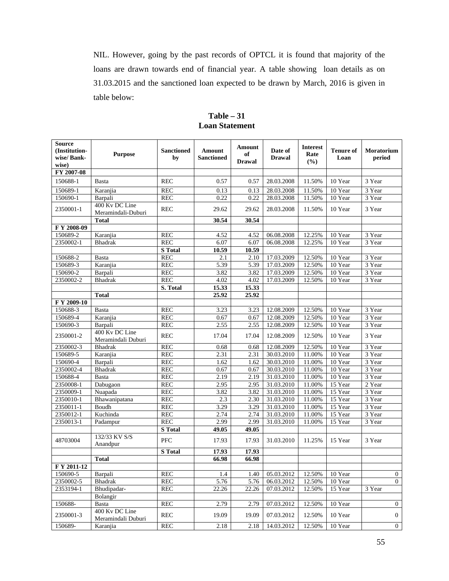NIL. However, going by the past records of OPTCL it is found that majority of the loans are drawn towards end of financial year. A table showing loan details as on 31.03.2015 and the sanctioned loan expected to be drawn by March, 2016 is given in table below:

| <b>Source</b><br>(Institution-<br>wise/Bank-<br>wise) | <b>Purpose</b>                       | <b>Sanctioned</b><br>by  | Amount<br><b>Sanctioned</b> | Amount<br>of<br><b>Drawal</b> | Date of<br><b>Drawal</b> | <b>Interest</b><br>Rate<br>(%) | <b>Tenure of</b><br>Loan | Moratorium<br>period |
|-------------------------------------------------------|--------------------------------------|--------------------------|-----------------------------|-------------------------------|--------------------------|--------------------------------|--------------------------|----------------------|
| FY 2007-08                                            |                                      |                          |                             |                               |                          |                                |                          |                      |
| 150688-1                                              | Basta                                | <b>REC</b>               | 0.57                        | 0.57                          | 28.03.2008               | 11.50%                         | 10 Year                  | 3 Year               |
| 150689-1                                              | Karanjia                             | <b>REC</b>               | 0.13                        | 0.13                          | 28.03.2008               | 11.50%                         | 10 Year                  | 3 Year               |
| 150690-1                                              | Barpali                              | <b>REC</b>               | 0.22                        | 0.22                          | 28.03.2008               | 11.50%                         | 10 Year                  | 3 Year               |
| 2350001-1                                             | 400 Kv DC Line<br>Meramindali-Duburi | <b>REC</b>               | 29.62                       | 29.62                         | 28.03.2008               | 11.50%                         | 10 Year                  | 3 Year               |
|                                                       | <b>Total</b>                         |                          | 30.54                       | 30.54                         |                          |                                |                          |                      |
| F Y 2008-09                                           |                                      |                          |                             |                               |                          |                                |                          |                      |
| 150689-2                                              | Karanjia                             | <b>REC</b>               | 4.52                        | 4.52                          | 06.08.2008               | 12.25%                         | 10 Year                  | 3 Year               |
| 2350002-1                                             | <b>Bhadrak</b>                       | <b>REC</b>               | 6.07                        | 6.07                          | 06.08.2008               | 12.25%                         | 10 Year                  | 3 Year               |
|                                                       |                                      | <b>S</b> Total           | 10.59                       | 10.59                         |                          |                                |                          |                      |
| 150688-2                                              | Basta                                | <b>REC</b>               | 2.1                         | 2.10                          | 17.03.2009               | 12.50%                         | 10 Year                  | 3 Year               |
| 150689-3                                              | Karanjia                             | <b>REC</b>               | 5.39                        | 5.39                          | 17.03.2009               | 12.50%                         | 10 Year                  | 3 Year               |
| 150690-2                                              | Barpali                              | <b>REC</b>               | 3.82                        | 3.82                          | 17.03.2009               | 12.50%                         | 10 Year                  | 3 Year               |
| 2350002-2                                             | <b>Bhadrak</b>                       | <b>REC</b>               | 4.02                        | 4.02                          | 17.03.2009               | 12.50%                         | 10 Year                  | 3 Year               |
|                                                       |                                      | S. Total                 | 15.33                       | 15.33                         |                          |                                |                          |                      |
|                                                       | <b>Total</b>                         |                          | 25.92                       | 25.92                         |                          |                                |                          |                      |
| F Y 2009-10                                           |                                      |                          |                             |                               |                          |                                |                          |                      |
| 150688-3                                              | Basta                                | <b>REC</b>               | 3.23                        | 3.23                          | 12.08.2009               | 12.50%                         | 10 Year                  | 3 Year               |
| 150689-4                                              | Karanjia                             | <b>REC</b>               | 0.67                        | 0.67                          | 12.08.2009               | 12.50%                         | 10 Year<br>10 Year       | 3 Year               |
| 150690-3                                              | Barpali<br>400 Kv DC Line            | <b>REC</b>               | 2.55                        | 2.55                          | 12.08.2009               | 12.50%                         |                          | 3 Year               |
| 2350001-2                                             | Meramindali Duburi                   | <b>REC</b>               | 17.04                       | 17.04                         | 12.08.2009               | 12.50%                         | 10 Year                  | 3 Year               |
| 2350002-3                                             | <b>Bhadrak</b>                       | <b>REC</b>               | 0.68                        | 0.68                          | 12.08.2009               | 12.50%                         | 10 Year                  | 3 Year               |
| 150689-5                                              | Karanjia                             | <b>REC</b>               | 2.31                        | 2.31                          | 30.03.2010               | 11.00%                         | 10 Year                  | 3 Year               |
| 150690-4                                              | Barpali                              | REC                      | 1.62                        | 1.62                          | 30.03.2010               | 11.00%                         | 10 Year                  | 3 Year               |
| 2350002-4                                             | <b>Bhadrak</b>                       | <b>REC</b>               | 0.67                        | 0.67                          | 30.03.2010               | 11.00%                         | 10 Year                  | 3 Year               |
| 150688-4                                              | <b>Basta</b>                         | <b>REC</b>               | 2.19                        | 2.19                          | 31.03.2010<br>31.03.2010 | 11.00%                         | 10 Year                  | 3 Year               |
| 2350008-1<br>2350009-1                                | Dabugaon                             | <b>REC</b><br><b>REC</b> | 2.95<br>3.82                | 2.95<br>3.82                  | 31.03.2010               | 11.00%<br>11.00%               | 15 Year<br>15 Year       | 2 Year<br>3 Year     |
| 2350010-1                                             | Nuapada<br>Bhawanipatana             | <b>REC</b>               | 2.3                         | 2.30                          | 31.03.2010               | 11.00%                         | 15 Year                  | 3 Year               |
| $2350011-1$                                           | Boudh                                | <b>REC</b>               | 3.29                        | 3.29                          | 31.03.2010               | 11.00%                         | 15 Year                  | 3 Year               |
| 2350012-1                                             | Kuchinda                             | <b>REC</b>               | 2.74                        | 2.74                          | 31.03.2010               | 11.00%                         | 15 Year                  | 3 Year               |
| 2350013-1                                             | Padampur                             | <b>REC</b>               | 2.99                        | 2.99                          | 31.03.2010               | 11.00%                         | 15 Year                  | 3 Year               |
|                                                       |                                      | <b>S</b> Total           | 49.05                       | 49.05                         |                          |                                |                          |                      |
| 48703004                                              | 132/33 KV S/S<br>Anandpur            | PFC                      | 17.93                       | 17.93                         | 31.03.2010               | 11.25%                         | 15 Year                  | 3 Year               |
|                                                       |                                      | <b>S</b> Total           | 17.93                       | 17.93                         |                          |                                |                          |                      |
|                                                       | <b>Total</b>                         |                          | 66.98                       | 66.98                         |                          |                                |                          |                      |
| F Y 2011-12                                           |                                      |                          |                             |                               |                          |                                |                          |                      |
| 150690-5                                              | Barpali                              | <b>REC</b>               | 1.4                         | 1.40                          | 05.03.2012               | 12.50%                         | 10 Year                  | $\boldsymbol{0}$     |
| 2350002-5                                             | <b>Bhadrak</b>                       | REC                      | 5.76                        | 5.76                          | 06.03.2012               | 12.50%                         | 10 Year                  | $\overline{0}$       |
| 2353194-1                                             | Bhudipadar-                          | <b>REC</b>               | 22.26                       | 22.26                         | 07.03.2012               | 12.50%                         | 15 Year                  | 3 Year               |
|                                                       | Bolangir                             |                          |                             |                               |                          |                                |                          |                      |
| 150688-                                               | Basta                                | <b>REC</b>               | 2.79                        | 2.79                          | 07.03.2012               | 12.50%                         | 10 Year                  | $\boldsymbol{0}$     |
| 2350001-3                                             | 400 Kv DC Line<br>Meramindali Duburi | <b>REC</b>               | 19.09                       | 19.09                         | 07.03.2012               | 12.50%                         | 10 Year                  | $\boldsymbol{0}$     |
| 150689-                                               | Karanjia                             | <b>REC</b>               | 2.18                        | 2.18                          | 14.03.2012               | 12.50%                         | 10 Year                  | $\boldsymbol{0}$     |

**Table – 31 Loan Statement**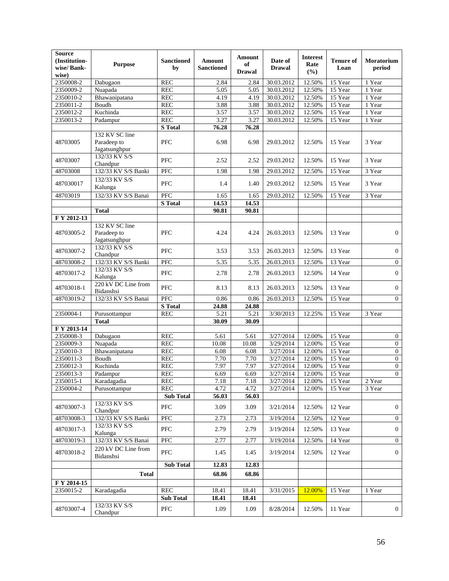| <b>Source</b><br>(Institution-<br>wise/Bank-<br>wise) | <b>Purpose</b>                                 | <b>Sanctioned</b><br>by | <b>Amount</b><br><b>Sanctioned</b> | Amount<br>of<br><b>Drawal</b> | Date of<br><b>Drawal</b> | <b>Interest</b><br>Rate<br>(%) | <b>Tenure of</b><br>Loan | Moratorium<br>period |
|-------------------------------------------------------|------------------------------------------------|-------------------------|------------------------------------|-------------------------------|--------------------------|--------------------------------|--------------------------|----------------------|
| 2350008-2                                             | Dabugaon                                       | <b>REC</b>              | 2.84                               | 2.84                          | 30.03.2012               | 12.50%                         | 15 Year                  | 1 Year               |
| 2350009-2                                             | Nuapada                                        | <b>REC</b>              | 5.05                               | 5.05                          | 30.03.2012               | 12.50%                         | 15 Year                  | 1 Year               |
| 2350010-2                                             | Bhawanipatana                                  | <b>REC</b>              | 4.19                               | 4.19                          | 30.03.2012               | 12.50%                         | 15 Year                  | 1 Year               |
| 2350011-2                                             | Boudh                                          | <b>REC</b>              | 3.88                               | 3.88                          | 30.03.2012               | 12.50%                         | 15 Year                  | 1 Year               |
| 2350012-2                                             | Kuchinda                                       | <b>REC</b>              | 3.57                               | 3.57                          | 30.03.2012               | 12.50%                         | 15 Year                  | 1 Year               |
| 2350013-2                                             | Padampur                                       | <b>REC</b>              | 3.27                               | 3.27                          | 30.03.2012               | 12.50%                         | 15 Year                  | 1 Year               |
|                                                       |                                                | <b>S</b> Total          | 76.28                              | 76.28                         |                          |                                |                          |                      |
| 48703005                                              | 132 KV SC line<br>Paradeep to<br>Jagatsunghpur | <b>PFC</b>              | 6.98                               | 6.98                          | 29.03.2012               | 12.50%                         | 15 Year                  | 3 Year               |
| 48703007                                              | 132/33 KV S/S<br>Chandpur                      | <b>PFC</b>              | 2.52                               | 2.52                          | 29.03.2012               | 12.50%                         | 15 Year                  | 3 Year               |
| 48703008                                              | 132/33 KV S/S Banki                            | PFC                     | 1.98                               | 1.98                          | 29.03.2012               | 12.50%                         | 15 Year                  | 3 Year               |
| 487030017                                             | 132/33 KV S/S<br>Kalunga                       | <b>PFC</b>              | 1.4                                | 1.40                          | 29.03.2012               | 12.50%                         | 15 Year                  | 3 Year               |
| 48703019                                              | 132/33 KV S/S Banai                            | PFC                     | 1.65                               | 1.65                          | 29.03.2012               | 12.50%                         | 15 Year                  | 3 Year               |
|                                                       |                                                | S Total                 | 14.53                              | 14.53                         |                          |                                |                          |                      |
|                                                       | <b>Total</b>                                   |                         | 90.81                              | 90.81                         |                          |                                |                          |                      |
| F Y 2012-13                                           |                                                |                         |                                    |                               |                          |                                |                          |                      |
| 48703005-2                                            | 132 KV SC line<br>Paradeep to<br>Jagatsunghpur | <b>PFC</b>              | 4.24                               | 4.24                          | 26.03.2013               | 12.50%                         | 13 Year                  | $\mathbf{0}$         |
| 48703007-2                                            | 132/33 KV S/S<br>Chandpur                      | PFC                     | 3.53                               | 3.53                          | 26.03.2013               | 12.50%                         | 13 Year                  | $\boldsymbol{0}$     |
| 48703008-2                                            | 132/33 KV S/S Banki                            | PFC                     | 5.35                               | 5.35                          | 26.03.2013               | 12.50%                         | 13 Year                  | $\boldsymbol{0}$     |
| 48703017-2                                            | 132/33 KV S/S<br>Kalunga                       | PFC                     | 2.78                               | 2.78                          | 26.03.2013               | 12.50%                         | 14 Year                  | $\boldsymbol{0}$     |
| 48703018-1                                            | 220 kV DC Line from<br>Bidanshsi               | <b>PFC</b>              | 8.13                               | 8.13                          | 26.03.2013               | 12.50%                         | 13 Year                  | $\boldsymbol{0}$     |
| 48703019-2                                            | 132/33 KV S/S Banai                            | PFC<br><b>S</b> Total   | 0.86<br>24.88                      | 0.86<br>24.88                 | 26.03.2013               | 12.50%                         | 15 Year                  | $\overline{0}$       |
| 2350004-1                                             | Purusottampur                                  | <b>REC</b>              | 5.21                               | 5.21                          | 3/30/2013                | 12.25%                         | 15 Year                  | 3 Year               |
|                                                       | <b>Total</b>                                   |                         | 30.09                              | 30.09                         |                          |                                |                          |                      |
| F Y 2013-14                                           |                                                |                         |                                    |                               |                          |                                |                          |                      |
| 2350008-3                                             | Dabugaon                                       | <b>REC</b>              | 5.61                               | 5.61                          | 3/27/2014                | 12.00%                         | 15 Year                  | $\boldsymbol{0}$     |
| 2350009-3                                             | Nuapada                                        | REC                     | 10.08                              | 10.08                         | 3/29/2014                | 12.00%                         | 15 Year                  | $\overline{0}$       |
| 2350010-3                                             | Bhawanipatana                                  | <b>REC</b>              | 6.08                               | 6.08                          | 3/27/2014                | 12.00%                         | 15 Year                  | $\boldsymbol{0}$     |
| 2350011-3                                             | Boudh                                          | <b>REC</b>              | 7.70                               | 7.70                          | 3/27/2014                | 12.00%                         | 15 Year                  | $\boldsymbol{0}$     |
| 2350012-3                                             | Kuchinda                                       | <b>REC</b>              | 7.97                               | 7.97                          | 3/27/2014                | 12.00%                         | 15 Year                  | $\overline{0}$       |
| 2350013-3                                             | Padampur                                       | <b>REC</b>              | 6.69                               | 6.69                          | 3/27/2014                | 12.00%                         | 15 Year                  | $\overline{0}$       |
| 2350015-1                                             | Karadagadia                                    | <b>REC</b>              | 7.18                               | 7.18                          | 3/27/2014                | 12.00%                         | 15 Year                  | 2 Year               |
| 2350004-2                                             | Purusottampur                                  | <b>REC</b>              | 4.72                               | 4.72                          | 3/27/2014                | 12.00%                         | 15 Year                  | 3 Year               |
|                                                       |                                                | <b>Sub Total</b>        | 56.03                              | 56.03                         |                          |                                |                          |                      |
| 48703007-3                                            | 132/33 KV S/S<br>Chandpur                      | <b>PFC</b>              | 3.09                               | 3.09                          | 3/21/2014                | 12.50%                         | 12 Year                  | $\mathbf{0}$         |
| 48703008-3                                            | 132/33 KV S/S Banki                            | PFC                     | 2.73                               | 2.73                          | 3/19/2014                | 12.50%                         | 12 Year                  | $\mathbf{0}$         |
| 48703017-3                                            | 132/33 KV S/S<br>Kalunga                       | ${\rm PFC}$             | 2.79                               | 2.79                          | 3/19/2014                | 12.50%                         | 13 Year                  | $\boldsymbol{0}$     |
| 48703019-3                                            | 132/33 KV S/S Banai                            | PFC                     | 2.77                               | 2.77                          | 3/19/2014                | 12.50%                         | 14 Year                  | $\boldsymbol{0}$     |
| 48703018-2                                            | 220 kV DC Line from<br>Bidanshsi               | <b>PFC</b>              | 1.45                               | 1.45                          | 3/19/2014                | 12.50%                         | 12 Year                  | $\mathbf{0}$         |
|                                                       |                                                | <b>Sub Total</b>        | 12.83                              | 12.83                         |                          |                                |                          |                      |
|                                                       | <b>Total</b>                                   |                         | 68.86                              | 68.86                         |                          |                                |                          |                      |
| F Y 2014-15                                           |                                                |                         |                                    |                               |                          |                                |                          |                      |
| 2350015-2                                             | Karadagadia                                    | <b>REC</b>              | 18.41                              | 18.41                         | 3/31/2015                | 12.00%                         | 15 Year                  | 1 Year               |
|                                                       |                                                | <b>Sub Total</b>        | 18.41                              | 18.41                         |                          |                                |                          |                      |
| 48703007-4                                            | 132/33 KV S/S<br>Chandpur                      | ${\rm PFC}$             | 1.09                               | 1.09                          | 8/28/2014                | 12.50%                         | 11 Year                  | $\mathbf{0}$         |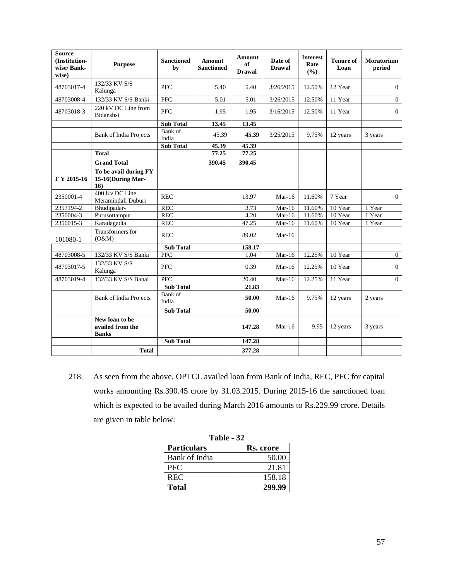| <b>Source</b><br>(Institution-<br>wise/Bank-<br>wise) | <b>Purpose</b>                                     | <b>Sanctioned</b><br>by | Amount<br><b>Sanctioned</b> | Amount<br>of<br><b>Drawal</b> | Date of<br><b>Drawal</b>   | <b>Interest</b><br>Rate<br>(%) | <b>Tenure of</b><br>Loan | Moratorium<br>period |
|-------------------------------------------------------|----------------------------------------------------|-------------------------|-----------------------------|-------------------------------|----------------------------|--------------------------------|--------------------------|----------------------|
| 48703017-4                                            | 132/33 KV S/S<br>Kalunga                           | <b>PFC</b>              | 5.40                        | 5.40                          | 3/26/2015                  | 12.50%                         | 12 Year                  | $\overline{0}$       |
| 48703008-4                                            | 132/33 KV S/S Banki                                | PFC                     | 5.01                        | 5.01                          | 3/26/2015                  | 12.50%                         | 11 Year                  | $\overline{0}$       |
| 48703018-3                                            | 220 kV DC Line from<br>Bidanshsi                   | PFC                     | 1.95                        | 1.95                          | 3/16/2015                  | 12.50%                         | 11 Year                  | $\Omega$             |
|                                                       |                                                    | Sub Total               | 13.45                       | 13.45                         |                            |                                |                          |                      |
|                                                       | <b>Bank of India Projects</b>                      | Bank of<br>India        | 45.39                       | 45.39                         | 3/25/2015                  | 9.75%                          | 12 years                 | 3 years              |
|                                                       |                                                    | <b>Sub Total</b>        | 45.39                       | 45.39                         |                            |                                |                          |                      |
|                                                       | <b>Total</b>                                       |                         | 77.25                       | 77.25                         |                            |                                |                          |                      |
|                                                       | <b>Grand Total</b>                                 |                         | 390.45                      | 390.45                        |                            |                                |                          |                      |
| F Y 2015-16                                           | To be avail during FY<br>15-16(During Mar-<br>16)  |                         |                             |                               |                            |                                |                          |                      |
| 2350001-4                                             | 400 Kv DC Line<br>Meramindali Duburi               | <b>REC</b>              |                             | 13.97                         | $Mar-16$                   | 11.60%                         | 7 Year                   | $\overline{0}$       |
| 2353194-2                                             | Bhudipadar-                                        | <b>REC</b>              |                             | 3.73                          | $Mar-16$                   | 11.60%                         | 10 Year                  | 1 Year               |
| 2350004-3                                             | Purusottampur                                      | <b>REC</b>              |                             | 4.20                          | $\overline{\text{Mar-}}16$ | 11.60%                         | 10 Year                  | 1 Year               |
| 2350015-3                                             | Karadagadia                                        | <b>REC</b>              |                             | 47.25                         | Mar- $16$                  | 11.60%                         | 10 Year                  | 1 Year               |
| 101080-1                                              | Transformers for<br>(O&M)                          | <b>REC</b>              |                             | 89.02                         | $Mar-16$                   |                                |                          |                      |
|                                                       |                                                    | <b>Sub Total</b>        |                             | 158.17                        |                            |                                |                          |                      |
| 48703008-5                                            | 132/33 KV S/S Banki                                | PFC                     |                             | 1.04                          | $Mar-16$                   | 12.25%                         | 10 Year                  | $\mathbf{0}$         |
| 48703017-5                                            | 132/33 KV S/S<br>Kalunga                           | <b>PFC</b>              |                             | 0.39                          | Mar- $16$                  | 12.25%                         | 10 Year                  | $\mathbf{0}$         |
| 48703019-4                                            | 132/33 KV S/S Banai                                | <b>PFC</b>              |                             | 20.40                         | $Mar-16$                   | 12.25%                         | 11 Year                  | $\overline{0}$       |
|                                                       |                                                    | <b>Sub Total</b>        |                             | 21.83                         |                            |                                |                          |                      |
|                                                       | <b>Bank of India Projects</b>                      | Bank of<br>India        |                             | 50.00                         | $Mar-16$                   | 9.75%                          | 12 years                 | 2 years              |
|                                                       |                                                    | <b>Sub Total</b>        |                             | 50.00                         |                            |                                |                          |                      |
|                                                       | New loan to be<br>availed from the<br><b>Banks</b> |                         |                             | 147.28                        | $Mar-16$                   | 9.95                           | 12 years                 | 3 years              |
|                                                       |                                                    | <b>Sub Total</b>        |                             | 147.28                        |                            |                                |                          |                      |
|                                                       | <b>Total</b>                                       |                         |                             | 377.28                        |                            |                                |                          |                      |

218. As seen from the above, OPTCL availed loan from Bank of India, REC, PFC for capital works amounting Rs.390.45 crore by 31.03.2015. During 2015-16 the sanctioned loan which is expected to be availed during March 2016 amounts to Rs.229.99 crore. Details are given in table below:

| Table - 32         |           |  |  |  |  |
|--------------------|-----------|--|--|--|--|
| <b>Particulars</b> | Rs. crore |  |  |  |  |
| Bank of India      | 50.00     |  |  |  |  |
| <b>PFC</b>         | 21.81     |  |  |  |  |
| <b>REC</b>         | 158.18    |  |  |  |  |
| <b>Total</b>       | 299.99    |  |  |  |  |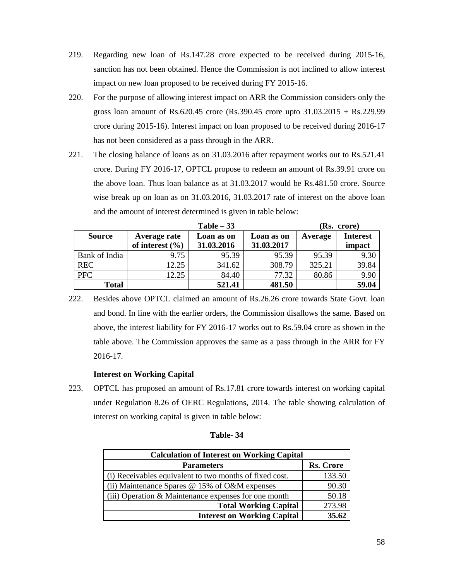- 219. Regarding new loan of Rs.147.28 crore expected to be received during 2015-16, sanction has not been obtained. Hence the Commission is not inclined to allow interest impact on new loan proposed to be received during FY 2015-16.
- 220. For the purpose of allowing interest impact on ARR the Commission considers only the gross loan amount of Rs.620.45 crore (Rs.390.45 crore upto 31.03.2015 + Rs.229.99 crore during 2015-16). Interest impact on loan proposed to be received during 2016-17 has not been considered as a pass through in the ARR.
- 221. The closing balance of loans as on 31.03.2016 after repayment works out to Rs.521.41 crore. During FY 2016-17, OPTCL propose to redeem an amount of Rs.39.91 crore on the above loan. Thus loan balance as at 31.03.2017 would be Rs.481.50 crore. Source wise break up on loan as on 31.03.2016, 31.03.2017 rate of interest on the above loan and the amount of interest determined is given in table below:

|               |                     | (Rs. crore) |            |         |                 |
|---------------|---------------------|-------------|------------|---------|-----------------|
| <b>Source</b> | Average rate        | Loan as on  | Loan as on | Average | <b>Interest</b> |
|               | of interest $(\% )$ | 31.03.2016  | 31.03.2017 |         | impact          |
| Bank of India | 9.75                | 95.39       | 95.39      | 95.39   | 9.30            |
| <b>REC</b>    | 12.25               | 341.62      | 308.79     | 325.21  | 39.84           |
| <b>PFC</b>    | 12.25               | 84.40       | 77.32      | 80.86   | 9.90            |
| <b>Total</b>  |                     | 521.41      | 481.50     |         | 59.04           |

222. Besides above OPTCL claimed an amount of Rs.26.26 crore towards State Govt. loan and bond. In line with the earlier orders, the Commission disallows the same. Based on above, the interest liability for FY 2016-17 works out to Rs.59.04 crore as shown in the table above. The Commission approves the same as a pass through in the ARR for FY 2016-17.

## **Interest on Working Capital**

223. OPTCL has proposed an amount of Rs.17.81 crore towards interest on working capital under Regulation 8.26 of OERC Regulations, 2014. The table showing calculation of interest on working capital is given in table below:

| <b>Calculation of Interest on Working Capital</b>       |                  |  |  |  |  |
|---------------------------------------------------------|------------------|--|--|--|--|
| <b>Parameters</b>                                       | <b>Rs. Crore</b> |  |  |  |  |
| (i) Receivables equivalent to two months of fixed cost. | 133.50           |  |  |  |  |
| (ii) Maintenance Spares $@$ 15% of O&M expenses         | 90.30            |  |  |  |  |
| (iii) Operation & Maintenance expenses for one month    | 50.18            |  |  |  |  |
| <b>Total Working Capital</b>                            | 273.98           |  |  |  |  |
| <b>Interest on Working Capital</b>                      | 35.62            |  |  |  |  |

### **Table- 34**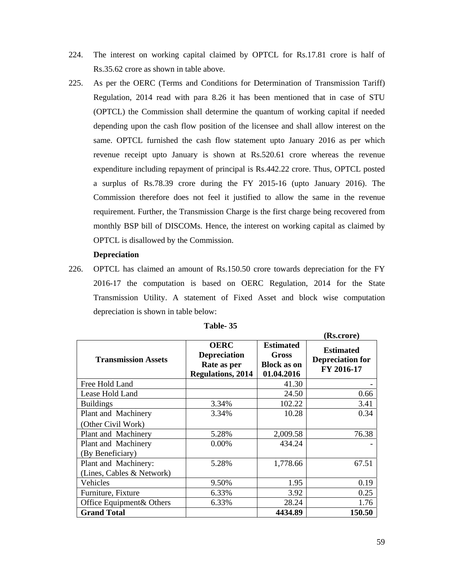- 224. The interest on working capital claimed by OPTCL for Rs.17.81 crore is half of Rs.35.62 crore as shown in table above.
- 225. As per the OERC (Terms and Conditions for Determination of Transmission Tariff) Regulation, 2014 read with para 8.26 it has been mentioned that in case of STU (OPTCL) the Commission shall determine the quantum of working capital if needed depending upon the cash flow position of the licensee and shall allow interest on the same. OPTCL furnished the cash flow statement upto January 2016 as per which revenue receipt upto January is shown at Rs.520.61 crore whereas the revenue expenditure including repayment of principal is Rs.442.22 crore. Thus, OPTCL posted a surplus of Rs.78.39 crore during the FY 2015-16 (upto January 2016). The Commission therefore does not feel it justified to allow the same in the revenue requirement. Further, the Transmission Charge is the first charge being recovered from monthly BSP bill of DISCOMs. Hence, the interest on working capital as claimed by OPTCL is disallowed by the Commission.

### **Depreciation**

226. OPTCL has claimed an amount of Rs.150.50 crore towards depreciation for the FY 2016-17 the computation is based on OERC Regulation, 2014 for the State Transmission Utility. A statement of Fixed Asset and block wise computation depreciation is shown in table below:

|                                         |                                                                               |                                                               | (Rs.crore)                                                |
|-----------------------------------------|-------------------------------------------------------------------------------|---------------------------------------------------------------|-----------------------------------------------------------|
| <b>Transmission Assets</b>              | <b>OERC</b><br><b>Depreciation</b><br>Rate as per<br><b>Regulations, 2014</b> | <b>Estimated</b><br>Gross<br><b>Block as on</b><br>01.04.2016 | <b>Estimated</b><br><b>Depreciation for</b><br>FY 2016-17 |
| Free Hold Land                          |                                                                               | 41.30                                                         |                                                           |
| Lease Hold Land                         |                                                                               | 24.50                                                         | 0.66                                                      |
| <b>Buildings</b>                        | 3.34%                                                                         | 102.22                                                        | 3.41                                                      |
| Plant and Machinery                     | 3.34%                                                                         | 10.28                                                         | 0.34                                                      |
| (Other Civil Work)                      |                                                                               |                                                               |                                                           |
| Plant and Machinery                     | 5.28%                                                                         | 2,009.58                                                      | 76.38                                                     |
| Plant and Machinery<br>(By Beneficiary) | $0.00\%$                                                                      | 434.24                                                        |                                                           |
| Plant and Machinery:                    | 5.28%                                                                         | 1,778.66                                                      | 67.51                                                     |
| (Lines, Cables & Network)               |                                                                               |                                                               |                                                           |
| Vehicles                                | 9.50%                                                                         | 1.95                                                          | 0.19                                                      |
| Furniture, Fixture                      | 6.33%                                                                         | 3.92                                                          | 0.25                                                      |
| Office Equipment& Others                | 6.33%                                                                         | 28.24                                                         | 1.76                                                      |
| <b>Grand Total</b>                      |                                                                               | 4434.89                                                       | 150.50                                                    |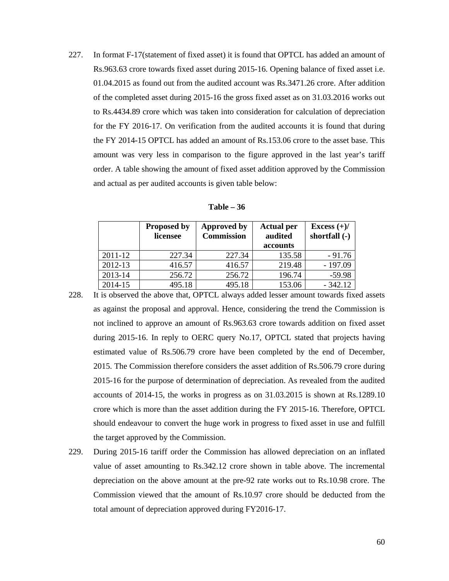227. In format F-17(statement of fixed asset) it is found that OPTCL has added an amount of Rs.963.63 crore towards fixed asset during 2015-16. Opening balance of fixed asset i.e. 01.04.2015 as found out from the audited account was Rs.3471.26 crore. After addition of the completed asset during 2015-16 the gross fixed asset as on 31.03.2016 works out to Rs.4434.89 crore which was taken into consideration for calculation of depreciation for the FY 2016-17. On verification from the audited accounts it is found that during the FY 2014-15 OPTCL has added an amount of Rs.153.06 crore to the asset base. This amount was very less in comparison to the figure approved in the last year's tariff order. A table showing the amount of fixed asset addition approved by the Commission and actual as per audited accounts is given table below:

| Table - | -36 |
|---------|-----|
|---------|-----|

|             | <b>Proposed by</b><br>licensee | Approved by<br><b>Commission</b> | <b>Actual per</b><br>audited | Excess $(+)/$<br>shortfall (-) |
|-------------|--------------------------------|----------------------------------|------------------------------|--------------------------------|
|             |                                |                                  | accounts                     |                                |
| $2011 - 12$ | 227.34                         | 227.34                           | 135.58                       | $-91.76$                       |
| 2012-13     | 416.57                         | 416.57                           | 219.48                       | $-197.09$                      |
| 2013-14     | 256.72                         | 256.72                           | 196.74                       | $-59.98$                       |
| 2014-15     | 495.18                         | 495.18                           | 153.06                       | $-342.12$                      |

- 228. It is observed the above that, OPTCL always added lesser amount towards fixed assets as against the proposal and approval. Hence, considering the trend the Commission is not inclined to approve an amount of Rs.963.63 crore towards addition on fixed asset during 2015-16. In reply to OERC query No.17, OPTCL stated that projects having estimated value of Rs.506.79 crore have been completed by the end of December, 2015. The Commission therefore considers the asset addition of Rs.506.79 crore during 2015-16 for the purpose of determination of depreciation. As revealed from the audited accounts of 2014-15, the works in progress as on 31.03.2015 is shown at Rs.1289.10 crore which is more than the asset addition during the FY 2015-16. Therefore, OPTCL should endeavour to convert the huge work in progress to fixed asset in use and fulfill the target approved by the Commission.
- 229. During 2015-16 tariff order the Commission has allowed depreciation on an inflated value of asset amounting to Rs.342.12 crore shown in table above. The incremental depreciation on the above amount at the pre-92 rate works out to Rs.10.98 crore. The Commission viewed that the amount of Rs.10.97 crore should be deducted from the total amount of depreciation approved during FY2016-17.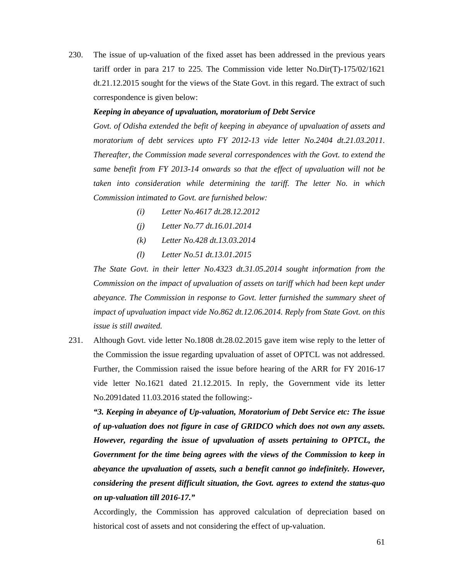230. The issue of up-valuation of the fixed asset has been addressed in the previous years tariff order in para 217 to 225. The Commission vide letter No.Dir(T)-175/02/1621 dt.21.12.2015 sought for the views of the State Govt. in this regard. The extract of such correspondence is given below:

#### *Keeping in abeyance of upvaluation, moratorium of Debt Service*

*Govt. of Odisha extended the befit of keeping in abeyance of upvaluation of assets and moratorium of debt services upto FY 2012-13 vide letter No.2404 dt.21.03.2011. Thereafter, the Commission made several correspondences with the Govt. to extend the same benefit from FY 2013-14 onwards so that the effect of upvaluation will not be taken into consideration while determining the tariff. The letter No. in which Commission intimated to Govt. are furnished below:* 

- *(i) Letter No.4617 dt.28.12.2012*
- *(j) Letter No.77 dt.16.01.2014*
- *(k) Letter No.428 dt.13.03.2014*
- *(l) Letter No.51 dt.13.01.2015*

*The State Govt. in their letter No.4323 dt.31.05.2014 sought information from the Commission on the impact of upvaluation of assets on tariff which had been kept under abeyance. The Commission in response to Govt. letter furnished the summary sheet of impact of upvaluation impact vide No.862 dt.12.06.2014. Reply from State Govt. on this issue is still awaited.* 

231. Although Govt. vide letter No.1808 dt.28.02.2015 gave item wise reply to the letter of the Commission the issue regarding upvaluation of asset of OPTCL was not addressed. Further, the Commission raised the issue before hearing of the ARR for FY 2016-17 vide letter No.1621 dated 21.12.2015. In reply, the Government vide its letter No.2091dated 11.03.2016 stated the following:-

*"3. Keeping in abeyance of Up-valuation, Moratorium of Debt Service etc: The issue of up-valuation does not figure in case of GRIDCO which does not own any assets. However, regarding the issue of upvaluation of assets pertaining to OPTCL, the Government for the time being agrees with the views of the Commission to keep in abeyance the upvaluation of assets, such a benefit cannot go indefinitely. However, considering the present difficult situation, the Govt. agrees to extend the status-quo on up-valuation till 2016-17."* 

Accordingly, the Commission has approved calculation of depreciation based on historical cost of assets and not considering the effect of up-valuation.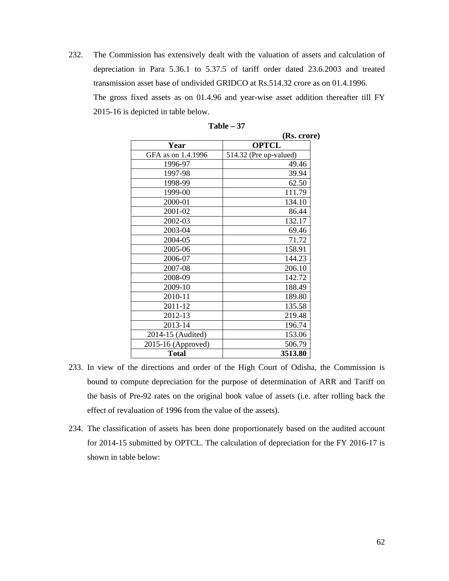232. The Commission has extensively dealt with the valuation of assets and calculation of depreciation in Para 5.36.1 to 5.37.5 of tariff order dated 23.6.2003 and treated transmission asset base of undivided GRIDCO at Rs.514.32 crore as on 01.4.1996. The gross fixed assets as on 01.4.96 and year-wise asset addition thereafter till FY 2015-16 is depicted in table below.

|                    | (Rs. crore)            |
|--------------------|------------------------|
| Year               | <b>OPTCL</b>           |
| GFA as on 1.4.1996 | 514.32 (Pre up-valued) |
| 1996-97            | 49.46                  |
| 1997-98            | 39.94                  |
| 1998-99            | 62.50                  |
| 1999-00            | 111.79                 |
| 2000-01            | 134.10                 |
| 2001-02            | 86.44                  |
| 2002-03            | 132.17                 |
| 2003-04            | 69.46                  |
| 2004-05            | 71.72                  |
| 2005-06            | 158.91                 |
| 2006-07            | 144.23                 |
| 2007-08            | 206.10                 |
| 2008-09            | 142.72                 |
| 2009-10            | 188.49                 |
| 2010-11            | 189.80                 |
| 2011-12            | 135.58                 |
| 2012-13            | 219.48                 |
| 2013-14            | 196.74                 |
| 2014-15 (Audited)  | 153.06                 |
| 2015-16 (Approved) | 506.79                 |
| <b>Total</b>       | 3513.80                |

| Table |  |
|-------|--|
|-------|--|

- 233. In view of the directions and order of the High Court of Odisha, the Commission is bound to compute depreciation for the purpose of determination of ARR and Tariff on the basis of Pre-92 rates on the original book value of assets (i.e. after rolling back the effect of revaluation of 1996 from the value of the assets).
- 234. The classification of assets has been done proportionately based on the audited account for 2014-15 submitted by OPTCL. The calculation of depreciation for the FY 2016-17 is shown in table below: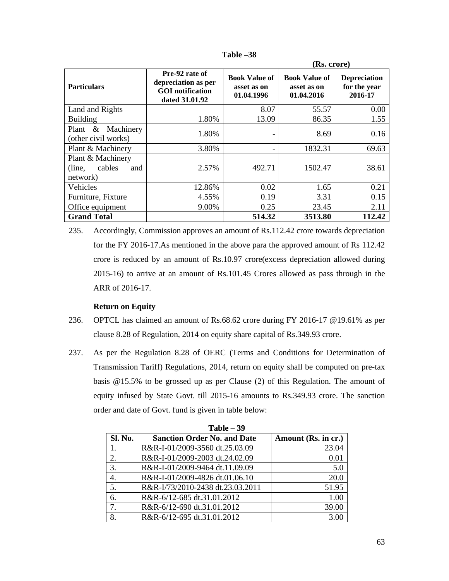|                                                          |                                                                                    | (Rs. crore)                                       |                                                   |                                                |
|----------------------------------------------------------|------------------------------------------------------------------------------------|---------------------------------------------------|---------------------------------------------------|------------------------------------------------|
| <b>Particulars</b>                                       | Pre-92 rate of<br>depreciation as per<br><b>GOI</b> notification<br>dated 31.01.92 | <b>Book Value of</b><br>asset as on<br>01.04.1996 | <b>Book Value of</b><br>asset as on<br>01.04.2016 | <b>Depreciation</b><br>for the year<br>2016-17 |
| Land and Rights                                          |                                                                                    | 8.07                                              | 55.57                                             | 0.00                                           |
| <b>Building</b>                                          | 1.80%                                                                              | 13.09                                             | 86.35                                             | 1.55                                           |
| Plant $\&$<br>Machinery<br>(other civil works)           | 1.80%                                                                              | -                                                 | 8.69                                              | 0.16                                           |
| Plant & Machinery                                        | 3.80%                                                                              | $\overline{\phantom{0}}$                          | 1832.31                                           | 69.63                                          |
| Plant & Machinery<br>cables<br>(line,<br>and<br>network) | 2.57%                                                                              | 492.71                                            | 1502.47                                           | 38.61                                          |
| Vehicles                                                 | 12.86%                                                                             | 0.02                                              | 1.65                                              | 0.21                                           |
| Furniture, Fixture                                       | 4.55%                                                                              | 0.19                                              | 3.31                                              | 0.15                                           |
| Office equipment                                         | 9.00%                                                                              | 0.25                                              | 23.45                                             | 2.11                                           |
| <b>Grand Total</b>                                       |                                                                                    | 514.32                                            | 3513.80                                           | 112.42                                         |

| l'able | Ю |
|--------|---|
|--------|---|

235. Accordingly, Commission approves an amount of Rs.112.42 crore towards depreciation for the FY 2016-17.As mentioned in the above para the approved amount of Rs 112.42 crore is reduced by an amount of Rs.10.97 crore(excess depreciation allowed during 2015-16) to arrive at an amount of Rs.101.45 Crores allowed as pass through in the ARR of 2016-17.

### **Return on Equity**

- 236. OPTCL has claimed an amount of Rs.68.62 crore during FY 2016-17 @19.61% as per clause 8.28 of Regulation, 2014 on equity share capital of Rs.349.93 crore.
- 237. As per the Regulation 8.28 of OERC (Terms and Conditions for Determination of Transmission Tariff) Regulations, 2014, return on equity shall be computed on pre-tax basis @15.5% to be grossed up as per Clause (2) of this Regulation. The amount of equity infused by State Govt. till 2015-16 amounts to Rs.349.93 crore. The sanction order and date of Govt. fund is given in table below:

| $Table - 39$   |                                    |                     |  |  |
|----------------|------------------------------------|---------------------|--|--|
| <b>Sl. No.</b> | <b>Sanction Order No. and Date</b> | Amount (Rs. in cr.) |  |  |
|                | R&R-I-01/2009-3560 dt.25.03.09     | 23.04               |  |  |
| 2.             | R&R-I-01/2009-2003 dt.24.02.09     | 0.01                |  |  |
| 3.             | R&R-I-01/2009-9464 dt.11.09.09     | 5.0                 |  |  |
| 4.             | R&R-I-01/2009-4826 dt.01.06.10     | 20.0                |  |  |
| 5.             | R&R-I/73/2010-2438 dt.23.03.2011   | 51.95               |  |  |
| 6.             | R&R-6/12-685 dt.31.01.2012         | 1.00                |  |  |
| 7.             | R&R-6/12-690 dt.31.01.2012         | 39.00               |  |  |
| 8.             | R&R-6/12-695 dt.31.01.2012         | 3.00                |  |  |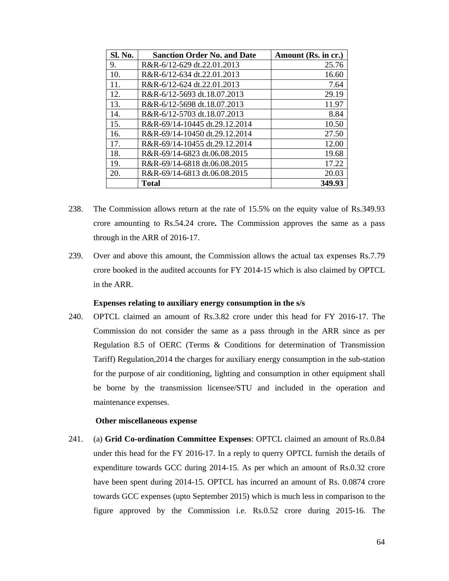| Sl. No. | <b>Sanction Order No. and Date</b> | Amount (Rs. in cr.) |
|---------|------------------------------------|---------------------|
| 9.      | R&R-6/12-629 dt.22.01.2013         | 25.76               |
| 10.     | R&R-6/12-634 dt.22.01.2013         | 16.60               |
| 11.     | R&R-6/12-624 dt.22.01.2013         | 7.64                |
| 12.     | R&R-6/12-5693 dt.18.07.2013        | 29.19               |
| 13.     | R&R-6/12-5698 dt.18.07.2013        | 11.97               |
| 14.     | R&R-6/12-5703 dt.18.07.2013        | 8.84                |
| 15.     | R&R-69/14-10445 dt.29.12.2014      | 10.50               |
| 16.     | R&R-69/14-10450 dt.29.12.2014      | 27.50               |
| 17.     | R&R-69/14-10455 dt.29.12.2014      | 12.00               |
| 18.     | R&R-69/14-6823 dt.06.08.2015       | 19.68               |
| 19.     | R&R-69/14-6818 dt.06.08.2015       | 17.22               |
| 20.     | R&R-69/14-6813 dt.06.08.2015       | 20.03               |
|         | <b>Total</b>                       | 349.93              |

- 238. The Commission allows return at the rate of 15.5% on the equity value of Rs.349.93 crore amounting to Rs.54.24 crore**.** The Commission approves the same as a pass through in the ARR of 2016-17.
- 239. Over and above this amount, the Commission allows the actual tax expenses Rs.7.79 crore booked in the audited accounts for FY 2014-15 which is also claimed by OPTCL in the ARR.

### **Expenses relating to auxiliary energy consumption in the s/s**

240. OPTCL claimed an amount of Rs.3.82 crore under this head for FY 2016-17. The Commission do not consider the same as a pass through in the ARR since as per Regulation 8.5 of OERC (Terms & Conditions for determination of Transmission Tariff) Regulation,2014 the charges for auxiliary energy consumption in the sub-station for the purpose of air conditioning, lighting and consumption in other equipment shall be borne by the transmission licensee/STU and included in the operation and maintenance expenses.

#### **Other miscellaneous expense**

241. (a) **Grid Co-ordination Committee Expenses**: OPTCL claimed an amount of Rs.0.84 under this head for the FY 2016-17. In a reply to querry OPTCL furnish the details of expenditure towards GCC during 2014-15. As per which an amount of Rs.0.32 crore have been spent during 2014-15. OPTCL has incurred an amount of Rs. 0.0874 crore towards GCC expenses (upto September 2015) which is much less in comparison to the figure approved by the Commission i.e. Rs.0.52 crore during 2015-16. The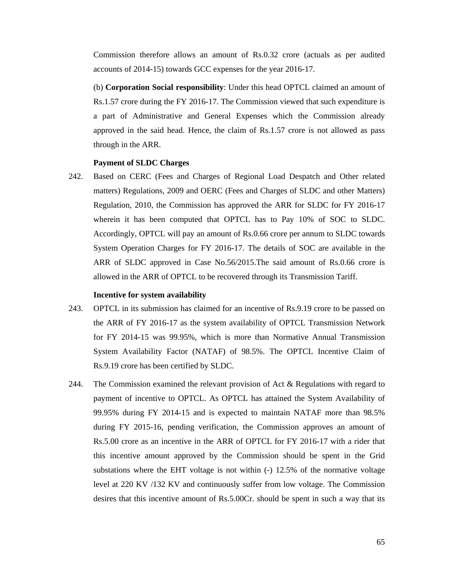Commission therefore allows an amount of Rs.0.32 crore (actuals as per audited accounts of 2014-15) towards GCC expenses for the year 2016-17.

(b) **Corporation Social responsibility**: Under this head OPTCL claimed an amount of Rs.1.57 crore during the FY 2016-17. The Commission viewed that such expenditure is a part of Administrative and General Expenses which the Commission already approved in the said head. Hence, the claim of Rs.1.57 crore is not allowed as pass through in the ARR.

#### **Payment of SLDC Charges**

242. Based on CERC (Fees and Charges of Regional Load Despatch and Other related matters) Regulations, 2009 and OERC (Fees and Charges of SLDC and other Matters) Regulation, 2010, the Commission has approved the ARR for SLDC for FY 2016-17 wherein it has been computed that OPTCL has to Pay 10% of SOC to SLDC. Accordingly, OPTCL will pay an amount of Rs.0.66 crore per annum to SLDC towards System Operation Charges for FY 2016-17. The details of SOC are available in the ARR of SLDC approved in Case No.56/2015.The said amount of Rs.0.66 crore is allowed in the ARR of OPTCL to be recovered through its Transmission Tariff.

### **Incentive for system availability**

- 243. OPTCL in its submission has claimed for an incentive of Rs.9.19 crore to be passed on the ARR of FY 2016-17 as the system availability of OPTCL Transmission Network for FY 2014-15 was 99.95%, which is more than Normative Annual Transmission System Availability Factor (NATAF) of 98.5%. The OPTCL Incentive Claim of Rs.9.19 crore has been certified by SLDC.
- 244. The Commission examined the relevant provision of Act & Regulations with regard to payment of incentive to OPTCL. As OPTCL has attained the System Availability of 99.95% during FY 2014-15 and is expected to maintain NATAF more than 98.5% during FY 2015-16, pending verification, the Commission approves an amount of Rs.5.00 crore as an incentive in the ARR of OPTCL for FY 2016-17 with a rider that this incentive amount approved by the Commission should be spent in the Grid substations where the EHT voltage is not within (-) 12.5% of the normative voltage level at 220 KV /132 KV and continuously suffer from low voltage. The Commission desires that this incentive amount of Rs.5.00Cr. should be spent in such a way that its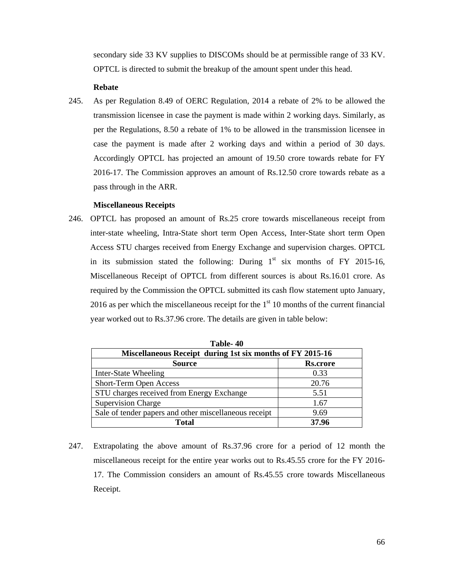secondary side 33 KV supplies to DISCOMs should be at permissible range of 33 KV. OPTCL is directed to submit the breakup of the amount spent under this head.

### **Rebate**

245. As per Regulation 8.49 of OERC Regulation, 2014 a rebate of 2% to be allowed the transmission licensee in case the payment is made within 2 working days. Similarly, as per the Regulations, 8.50 a rebate of 1% to be allowed in the transmission licensee in case the payment is made after 2 working days and within a period of 30 days. Accordingly OPTCL has projected an amount of 19.50 crore towards rebate for FY 2016-17. The Commission approves an amount of Rs.12.50 crore towards rebate as a pass through in the ARR.

#### **Miscellaneous Receipts**

246. OPTCL has proposed an amount of Rs.25 crore towards miscellaneous receipt from inter-state wheeling, Intra-State short term Open Access, Inter-State short term Open Access STU charges received from Energy Exchange and supervision charges. OPTCL in its submission stated the following: During  $1<sup>st</sup>$  six months of FY 2015-16, Miscellaneous Receipt of OPTCL from different sources is about Rs.16.01 crore. As required by the Commission the OPTCL submitted its cash flow statement upto January, 2016 as per which the miscellaneous receipt for the  $1<sup>st</sup> 10$  months of the current financial year worked out to Rs.37.96 crore. The details are given in table below:

| 1 аріе- <i>4</i> 0                                        |                 |  |  |
|-----------------------------------------------------------|-----------------|--|--|
| Miscellaneous Receipt during 1st six months of FY 2015-16 |                 |  |  |
| <b>Source</b>                                             | <b>Rs.crore</b> |  |  |
| Inter-State Wheeling                                      | 0.33            |  |  |
| Short-Term Open Access                                    | 20.76           |  |  |
| STU charges received from Energy Exchange                 | 5.51            |  |  |
| <b>Supervision Charge</b>                                 | 1.67            |  |  |
| Sale of tender papers and other miscellaneous receipt     | 9.69            |  |  |
| 37.96<br><b>Total</b>                                     |                 |  |  |

**Table- 40** 

247. Extrapolating the above amount of Rs.37.96 crore for a period of 12 month the miscellaneous receipt for the entire year works out to Rs.45.55 crore for the FY 2016- 17. The Commission considers an amount of Rs.45.55 crore towards Miscellaneous Receipt.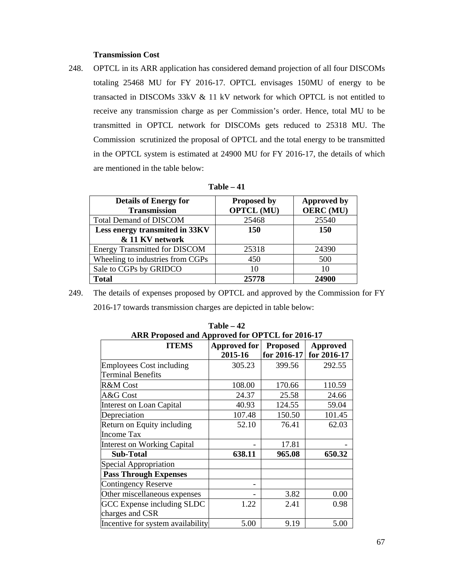### **Transmission Cost**

248. OPTCL in its ARR application has considered demand projection of all four DISCOMs totaling 25468 MU for FY 2016-17. OPTCL envisages 150MU of energy to be transacted in DISCOMs 33kV & 11 kV network for which OPTCL is not entitled to receive any transmission charge as per Commission's order. Hence, total MU to be transmitted in OPTCL network for DISCOMs gets reduced to 25318 MU. The Commission scrutinized the proposal of OPTCL and the total energy to be transmitted in the OPTCL system is estimated at 24900 MU for FY 2016-17, the details of which are mentioned in the table below:

| l'able |  |
|--------|--|
|--------|--|

| <b>Details of Energy for</b><br><b>Transmission</b> | <b>Proposed by</b><br><b>OPTCL (MU)</b> | <b>Approved by</b><br><b>OERC</b> (MU) |
|-----------------------------------------------------|-----------------------------------------|----------------------------------------|
| <b>Total Demand of DISCOM</b>                       | 25468                                   | 25540                                  |
| Less energy transmited in 33KV                      | 150                                     | <b>150</b>                             |
| & 11 KV network                                     |                                         |                                        |
| <b>Energy Transmitted for DISCOM</b>                | 25318                                   | 24390                                  |
| Wheeling to industries from CGPs                    | 450                                     | 500                                    |
| Sale to CGPs by GRIDCO                              | 10                                      | 10                                     |
| <b>Total</b>                                        | 25778                                   | 24900                                  |

249. The details of expenses proposed by OPTCL and approved by the Commission for FY 2016-17 towards transmission charges are depicted in table below:

| ARR Proposed and Approved for OPTCL for 2016-17 |              |                 |             |  |
|-------------------------------------------------|--------------|-----------------|-------------|--|
| <b>ITEMS</b>                                    | Approved for | <b>Proposed</b> | Approved    |  |
|                                                 | 2015-16      | for 2016-17     | for 2016-17 |  |
| <b>Employees Cost including</b>                 | 305.23       | 399.56          | 292.55      |  |
| <b>Terminal Benefits</b>                        |              |                 |             |  |
| R&M Cost                                        | 108.00       | 170.66          | 110.59      |  |
| A&G Cost                                        | 24.37        | 25.58           | 24.66       |  |
| Interest on Loan Capital                        | 40.93        | 124.55          | 59.04       |  |
| Depreciation                                    | 107.48       | 150.50          | 101.45      |  |
| Return on Equity including                      | 52.10        | 76.41           | 62.03       |  |
| <b>Income Tax</b>                               |              |                 |             |  |
| <b>Interest on Working Capital</b>              |              | 17.81           |             |  |
| <b>Sub-Total</b>                                | 638.11       | 965.08          | 650.32      |  |
| Special Appropriation                           |              |                 |             |  |
| <b>Pass Through Expenses</b>                    |              |                 |             |  |
| <b>Contingency Reserve</b>                      |              |                 |             |  |
| Other miscellaneous expenses                    |              | 3.82            | 0.00        |  |
| GCC Expense including SLDC                      | 1.22         | 2.41            | 0.98        |  |
| charges and CSR                                 |              |                 |             |  |
| Incentive for system availability               | 5.00         | 9.19            | 5.00        |  |

**Table – 42**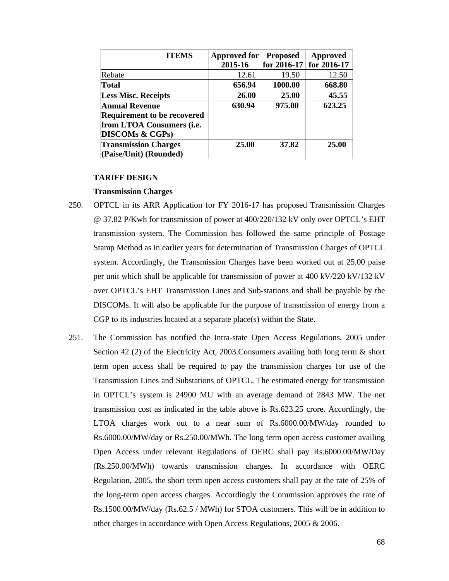| <b>ITEMS</b>                       | <b>Approved for</b> | <b>Proposed</b> | <b>Approved</b> |
|------------------------------------|---------------------|-----------------|-----------------|
|                                    | 2015-16             | for 2016-17     | for 2016-17     |
| Rebate                             | 12.61               | 19.50           | 12.50           |
| <b>Total</b>                       | 656.94              | 1000.00         | 668.80          |
| <b>Less Misc. Receipts</b>         | 26.00               | 25.00           | 45.55           |
| <b>Annual Revenue</b>              | 630.94              | 975.00          | 623.25          |
| <b>Requirement to be recovered</b> |                     |                 |                 |
| from LTOA Consumers (i.e.          |                     |                 |                 |
| <b>DISCOMs &amp; CGPs)</b>         |                     |                 |                 |
| <b>Transmission Charges</b>        | 25.00               | 37.82           | 25.00           |
| (Paise/Unit) (Rounded)             |                     |                 |                 |

### **TARIFF DESIGN**

#### **Transmission Charges**

- 250. OPTCL in its ARR Application for FY 2016-17 has proposed Transmission Charges @ 37.82 P/Kwh for transmission of power at 400/220/132 kV only over OPTCL's EHT transmission system. The Commission has followed the same principle of Postage Stamp Method as in earlier years for determination of Transmission Charges of OPTCL system. Accordingly, the Transmission Charges have been worked out at 25.00 paise per unit which shall be applicable for transmission of power at 400 kV/220 kV/132 kV over OPTCL's EHT Transmission Lines and Sub-stations and shall be payable by the DISCOMs. It will also be applicable for the purpose of transmission of energy from a CGP to its industries located at a separate place(s) within the State.
- 251. The Commission has notified the Intra-state Open Access Regulations, 2005 under Section 42 (2) of the Electricity Act, 2003.Consumers availing both long term & short term open access shall be required to pay the transmission charges for use of the Transmission Lines and Substations of OPTCL. The estimated energy for transmission in OPTCL's system is 24900 MU with an average demand of 2843 MW. The net transmission cost as indicated in the table above is Rs.623.25 crore. Accordingly, the LTOA charges work out to a near sum of Rs.6000.00/MW/day rounded to Rs.6000.00/MW/day or Rs.250.00/MWh. The long term open access customer availing Open Access under relevant Regulations of OERC shall pay Rs.6000.00/MW/Day (Rs.250.00/MWh) towards transmission charges. In accordance with OERC Regulation, 2005, the short term open access customers shall pay at the rate of 25% of the long-term open access charges. Accordingly the Commission approves the rate of Rs.1500.00/MW/day (Rs.62.5 / MWh) for STOA customers. This will be in addition to other charges in accordance with Open Access Regulations, 2005 & 2006.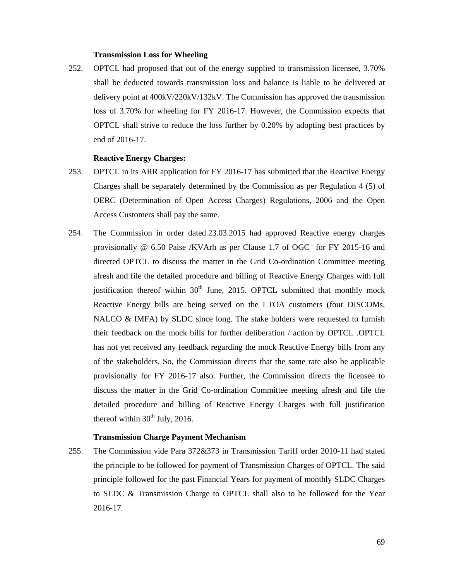#### **Transmission Loss for Wheeling**

252. OPTCL had proposed that out of the energy supplied to transmission licensee, 3.70% shall be deducted towards transmission loss and balance is liable to be delivered at delivery point at 400kV/220kV/132kV. The Commission has approved the transmission loss of 3.70% for wheeling for FY 2016-17. However, the Commission expects that OPTCL shall strive to reduce the loss further by 0.20% by adopting best practices by end of 2016-17.

### **Reactive Energy Charges:**

- 253. OPTCL in its ARR application for FY 2016-17 has submitted that the Reactive Energy Charges shall be separately determined by the Commission as per Regulation 4 (5) of OERC (Determination of Open Access Charges) Regulations, 2006 and the Open Access Customers shall pay the same.
- 254. The Commission in order dated.23.03.2015 had approved Reactive energy charges provisionally @ 6.50 Paise /KVArh as per Clause 1.7 of OGC for FY 2015-16 and directed OPTCL to discuss the matter in the Grid Co-ordination Committee meeting afresh and file the detailed procedure and billing of Reactive Energy Charges with full justification thereof within  $30<sup>th</sup>$  June, 2015. OPTCL submitted that monthly mock Reactive Energy bills are being served on the LTOA customers (four DISCOMs, NALCO  $\&$  IMFA) by SLDC since long. The stake holders were requested to furnish their feedback on the mock bills for further deliberation / action by OPTCL .OPTCL has not yet received any feedback regarding the mock Reactive Energy bills from any of the stakeholders. So, the Commission directs that the same rate also be applicable provisionally for FY 2016-17 also. Further, the Commission directs the licensee to discuss the matter in the Grid Co-ordination Committee meeting afresh and file the detailed procedure and billing of Reactive Energy Charges with full justification thereof within  $30<sup>th</sup>$  July, 2016.

### **Transmission Charge Payment Mechanism**

255. The Commission vide Para 372&373 in Transmission Tariff order 2010-11 had stated the principle to be followed for payment of Transmission Charges of OPTCL. The said principle followed for the past Financial Years for payment of monthly SLDC Charges to SLDC & Transmission Charge to OPTCL shall also to be followed for the Year 2016-17.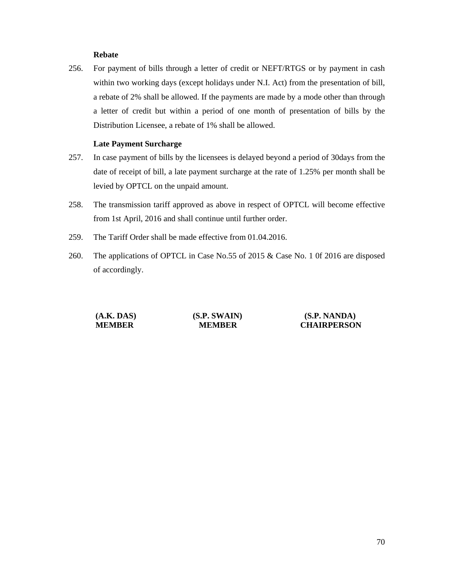### **Rebate**

256. For payment of bills through a letter of credit or NEFT/RTGS or by payment in cash within two working days (except holidays under N.I. Act) from the presentation of bill, a rebate of 2% shall be allowed. If the payments are made by a mode other than through a letter of credit but within a period of one month of presentation of bills by the Distribution Licensee, a rebate of 1% shall be allowed.

### **Late Payment Surcharge**

- 257. In case payment of bills by the licensees is delayed beyond a period of 30days from the date of receipt of bill, a late payment surcharge at the rate of 1.25% per month shall be levied by OPTCL on the unpaid amount.
- 258. The transmission tariff approved as above in respect of OPTCL will become effective from 1st April, 2016 and shall continue until further order.
- 259. The Tariff Order shall be made effective from 01.04.2016.
- 260. The applications of OPTCL in Case No.55 of 2015 & Case No. 1 0f 2016 are disposed of accordingly.

| (A.K. DAS)    | (S.P. SWAIN)  | (S.P. NANDA)       |
|---------------|---------------|--------------------|
| <b>MEMBER</b> | <b>MEMBER</b> | <b>CHAIRPERSON</b> |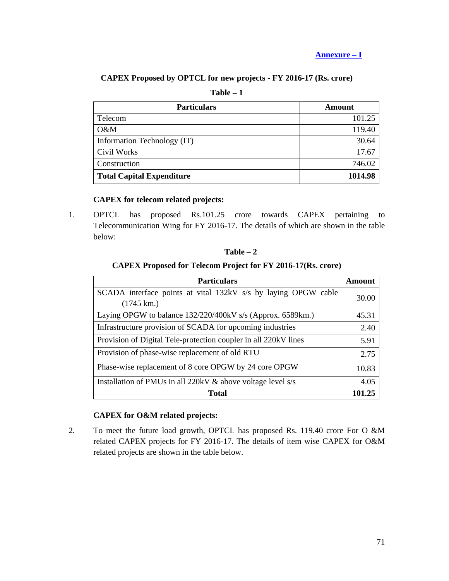**Annexure – I**

# **CAPEX Proposed by OPTCL for new projects - FY 2016-17 (Rs. crore)**

| <b>Particulars</b>               | Amount  |
|----------------------------------|---------|
| Telecom                          | 101.25  |
| O&M                              | 119.40  |
| Information Technology (IT)      | 30.64   |
| Civil Works                      | 17.67   |
| Construction                     | 746.02  |
| <b>Total Capital Expenditure</b> | 1014.98 |

# **Table – 1**

## **CAPEX for telecom related projects:**

1. OPTCL has proposed Rs.101.25 crore towards CAPEX pertaining to Telecommunication Wing for FY 2016-17. The details of which are shown in the table below:

| וחו<br>и |  |
|----------|--|
|----------|--|

## **CAPEX Proposed for Telecom Project for FY 2016-17(Rs. crore)**

| <b>Particulars</b>                                              | Amount |
|-----------------------------------------------------------------|--------|
| SCADA interface points at vital 132kV s/s by laying OPGW cable  | 30.00  |
| $(1745 \text{ km.})$                                            |        |
| Laying OPGW to balance 132/220/400kV s/s (Approx. 6589km.)      | 45.31  |
| Infrastructure provision of SCADA for upcoming industries       | 2.40   |
| Provision of Digital Tele-protection coupler in all 220kV lines | 5.91   |
| Provision of phase-wise replacement of old RTU                  |        |
| Phase-wise replacement of 8 core OPGW by 24 core OPGW           |        |
| Installation of PMUs in all 220kV & above voltage level s/s     |        |
| <b>Total</b>                                                    | 101.25 |

# **CAPEX for O&M related projects:**

2. To meet the future load growth, OPTCL has proposed Rs. 119.40 crore For O &M related CAPEX projects for FY 2016-17. The details of item wise CAPEX for O&M related projects are shown in the table below.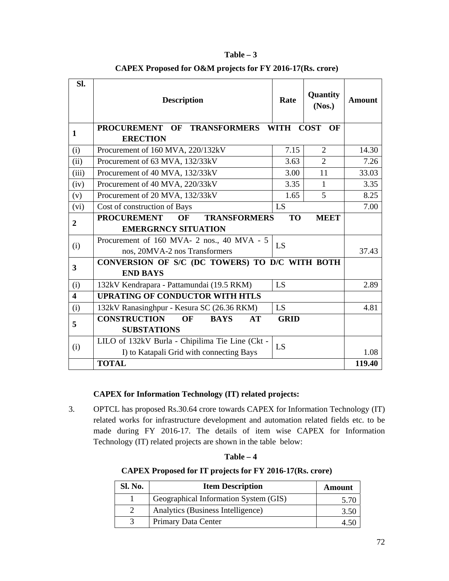| SI.                     | <b>Description</b>                                                            | Rate        | Quantity<br>(Nos.) | <b>Amount</b> |
|-------------------------|-------------------------------------------------------------------------------|-------------|--------------------|---------------|
| $\mathbf{1}$            | <b>PROCUREMENT</b><br>OF TRANSFORMERS WITH<br><b>ERECTION</b>                 |             | <b>COST</b><br>OF  |               |
| (i)                     | Procurement of 160 MVA, 220/132kV                                             | 7.15        | $\overline{2}$     | 14.30         |
| (ii)                    | Procurement of 63 MVA, 132/33kV                                               | 3.63        | $\overline{2}$     | 7.26          |
| (iii)                   | Procurement of 40 MVA, 132/33kV                                               | 3.00        | 11                 | 33.03         |
| (iv)                    | Procurement of 40 MVA, 220/33kV                                               | 3.35        | $\mathbf{1}$       | 3.35          |
| (v)                     | Procurement of 20 MVA, 132/33kV                                               | 1.65        | 5                  | 8.25          |
| (vi)                    | Cost of construction of Bays                                                  | LS          |                    | 7.00          |
| $\mathbf{2}$            | <b>PROCUREMENT</b><br>OF<br><b>TRANSFORMERS</b><br><b>EMERGRNCY SITUATION</b> | <b>TO</b>   | <b>MEET</b>        |               |
| (i)                     | Procurement of 160 MVA- 2 nos., 40 MVA - 5<br>nos, 20MVA-2 nos Transformers   | LS          |                    | 37.43         |
| $\overline{\mathbf{3}}$ | CONVERSION OF S/C (DC TOWERS) TO D/C WITH BOTH<br><b>END BAYS</b>             |             |                    |               |
| (i)                     | 132kV Kendrapara - Pattamundai (19.5 RKM)                                     | LS          |                    | 2.89          |
| $\overline{\mathbf{4}}$ | <b>UPRATING OF CONDUCTOR WITH HTLS</b>                                        |             |                    |               |
| (i)                     | 132kV Ranasinghpur - Kesura SC (26.36 RKM)                                    | LS          |                    | 4.81          |
| 5                       | <b>CONSTRUCTION</b><br><b>OF</b><br><b>BAYS</b><br><b>AT</b>                  | <b>GRID</b> |                    |               |
|                         | <b>SUBSTATIONS</b>                                                            |             |                    |               |
|                         | LILO of 132kV Burla - Chipilima Tie Line (Ckt -                               | LS          |                    |               |
| (i)                     | I) to Katapali Grid with connecting Bays                                      |             |                    | 1.08          |
|                         | <b>TOTAL</b>                                                                  |             |                    | 119.40        |

# **CAPEX Proposed for O&M projects for FY 2016-17(Rs. crore)**

**Table – 3** 

# **CAPEX for Information Technology (IT) related projects:**

3. OPTCL has proposed Rs.30.64 crore towards CAPEX for Information Technology (IT) related works for infrastructure development and automation related fields etc. to be made during FY 2016-17. The details of item wise CAPEX for Information Technology (IT) related projects are shown in the tablebelow:

| anı |  |
|-----|--|
|-----|--|

### **CAPEX Proposed for IT projects for FY 2016-17(Rs. crore)**

| Sl. No. | <b>Item Description</b>               | Amount |
|---------|---------------------------------------|--------|
|         | Geographical Information System (GIS) | 5.70   |
|         | Analytics (Business Intelligence)     | 3.50   |
|         | Primary Data Center                   | 4.50   |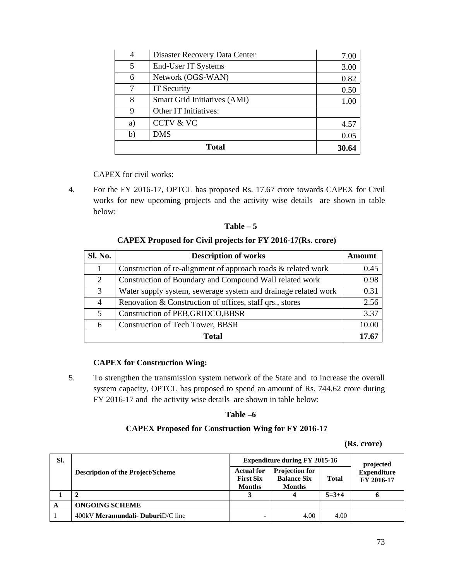| 4  | Disaster Recovery Data Center       | 7.00 |
|----|-------------------------------------|------|
| 5  | End-User IT Systems                 | 3.00 |
| 6  | Network (OGS-WAN)                   | 0.82 |
| 7  | IT Security                         | 0.50 |
| 8  | <b>Smart Grid Initiatives (AMI)</b> | 1.00 |
| 9  | Other IT Initiatives:               |      |
| a) | <b>CCTV &amp; VC</b>                | 4.57 |
| b) | <b>DMS</b>                          | 0.05 |
|    | 30.64                               |      |

CAPEX for civil works:

4. For the FY 2016-17, OPTCL has proposed Rs. 17.67 crore towards CAPEX for Civil works for new upcoming projects and the activity wise details are shown in table below:

| anı<br>г |  |
|----------|--|
|----------|--|

## **CAPEX Proposed for Civil projects for FY 2016-17(Rs. crore)**

| Sl. No.      | <b>Description of works</b>                                    |       |  |  |
|--------------|----------------------------------------------------------------|-------|--|--|
|              | Construction of re-alignment of approach roads & related work  | 0.45  |  |  |
| 2            | Construction of Boundary and Compound Wall related work        | 0.98  |  |  |
| 3            | Water supply system, sewerage system and drainage related work | 0.31  |  |  |
| 4            | Renovation & Construction of offices, staff qrs., stores       | 2.56  |  |  |
| 5            | Construction of PEB, GRIDCO, BBSR                              | 3.37  |  |  |
| 6            | <b>Construction of Tech Tower, BBSR</b>                        | 10.00 |  |  |
| <b>Total</b> |                                                                |       |  |  |

## **CAPEX for Construction Wing:**

5. To strengthen the transmission system network of the State and to increase the overall system capacity, OPTCL has proposed to spend an amount of Rs. 744.62 crore during FY 2016-17 and the activity wise details are shown in table below:

## **Table –6**

## **CAPEX Proposed for Construction Wing for FY 2016-17**

 **(Rs. crore)** 

| SI. |                                          | <b>Expenditure during FY 2015-16</b>                   |                                                              |              | projected                        |
|-----|------------------------------------------|--------------------------------------------------------|--------------------------------------------------------------|--------------|----------------------------------|
|     | <b>Description of the Project/Scheme</b> | <b>Actual for</b><br><b>First Six</b><br><b>Months</b> | <b>Projection for</b><br><b>Balance Six</b><br><b>Months</b> | <b>Total</b> | <b>Expenditure</b><br>FY 2016-17 |
|     |                                          |                                                        |                                                              | $5=3+4$      |                                  |
| A   | <b>ONGOING SCHEME</b>                    |                                                        |                                                              |              |                                  |
|     | 400kV Meramundali- DuburiD/C line        |                                                        | 4.00                                                         | 4.00         |                                  |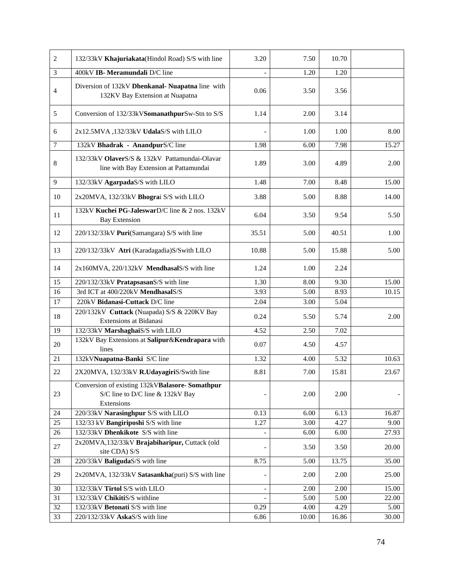| $\overline{2}$ | 132/33kV Khajuriakata(Hindol Road) S/S with line                                                  | 3.20                     | 7.50  | 10.70             |       |
|----------------|---------------------------------------------------------------------------------------------------|--------------------------|-------|-------------------|-------|
| 3              | 400kV IB- Meramundali D/C line                                                                    |                          | 1.20  | 1.20              |       |
| $\overline{4}$ | Diversion of 132kV Dhenkanal- Nuapatna line with<br>132KV Bay Extension at Nuapatna               | 0.06                     | 3.50  | 3.56              |       |
| 5              | Conversion of 132/33kVSomanathpurSw-Stn to S/S                                                    | 1.14                     | 2.00  | 3.14              |       |
| 6              | 2x12.5MVA, 132/33kV UdalaS/S with LILO                                                            |                          | 1.00  | 1.00              | 8.00  |
| $\overline{7}$ | 132kV Bhadrak - AnandpurS/C line                                                                  | 1.98                     | 6.00  | 7.98              | 15.27 |
| $\,$ 8 $\,$    | 132/33kV OlaverS/S & 132kV Pattamundai-Olavar<br>line with Bay Extension at Pattamundai           | 1.89                     | 3.00  | 4.89              | 2.00  |
| $\overline{9}$ | 132/33kV AgarpadaS/S with LILO                                                                    | 1.48                     | 7.00  | 8.48              | 15.00 |
| 10             | 2x20MVA, 132/33kV Bhograi S/S with LILO                                                           | 3.88                     | 5.00  | 8.88              | 14.00 |
| 11             | 132kV Kuchei PG-JaleswarD/C line & 2 nos. 132kV<br><b>Bay Extension</b>                           | 6.04                     | 3.50  | 9.54              | 5.50  |
| 12             | 220/132/33kV Puri(Samangara) S/S with line                                                        | 35.51                    | 5.00  | 40.51             | 1.00  |
| 13             | 220/132/33kV Atri (Karadagadia)S/Swith LILO                                                       | 10.88                    | 5.00  | 15.88             | 5.00  |
| 14             | 2x160MVA, 220/132kV MendhasalS/S with line                                                        | 1.24                     | 1.00  | 2.24              |       |
| 15             | 220/132/33kV PratapsasanS/S with line                                                             | 1.30                     | 8.00  | 9.30              | 15.00 |
| 16             | 3rd ICT at 400/220kV MendhasalS/S                                                                 | 3.93                     | 5.00  | 8.93              | 10.15 |
| 17             | 220kV Bidanasi-Cuttack D/C line                                                                   | 2.04                     | 3.00  | 5.04              |       |
| 18             | 220/132kV Cuttack (Nuapada) S/S & 220KV Bay<br>Extensions at Bidanasi                             | 0.24                     | 5.50  | 5.74              | 2.00  |
| 19             | 132/33kV MarshaghaiS/S with LILO                                                                  | 4.52                     | 2.50  | 7.02              |       |
| 20             | 132kV Bay Extensions at Salipur&Kendrapara with<br>lines                                          | 0.07                     | 4.50  | 4.57              |       |
| 21             | 132kVNuapatna-Banki S/C line                                                                      | 1.32                     | 4.00  | 5.32              | 10.63 |
| 22             | 2X20MVA, 132/33kV R.UdayagiriS/Swith line                                                         | 8.81                     | 7.00  | 15.81             | 23.67 |
| 23             | Conversion of existing 132kVBalasore- Somathpur<br>S/C line to D/C line & 132kV Bay<br>Extensions |                          | 2.00  | 2.00              |       |
| 24             | 220/33kV Narasinghpur S/S with LILO                                                               | 0.13                     | 6.00  | 6.13              | 16.87 |
| 25             | 132/33 kV Bangiriposhi S/S with line                                                              | 1.27                     | 3.00  | 4.27              | 9.00  |
| 26             | 132/33kV Dhenkikote S/S with line                                                                 |                          | 6.00  | 6.00              | 27.93 |
| 27             | 2x20MVA,132/33kV Brajabiharipur, Cuttack (old<br>site CDA) S/S                                    |                          | 3.50  | 3.50              | 20.00 |
| $28\,$         | 220/33kV BaligudaS/S with line                                                                    | 8.75                     | 5.00  | 13.75             | 35.00 |
| 29             | 2x20MVA, 132/33kV Satasankha(puri) S/S with line                                                  |                          | 2.00  | 2.00              | 25.00 |
| 30             | 132/33kV Tirtol S/S with LILO                                                                     | $\overline{\phantom{a}}$ | 2.00  | 2.00              | 15.00 |
| 31             | 132/33kV ChikitiS/S withline                                                                      |                          | 5.00  | $\overline{5.00}$ | 22.00 |
| 32             | 132/33kV Betonati S/S with line                                                                   | 0.29                     | 4.00  | 4.29              | 5.00  |
| 33             | 220/132/33kV AskaS/S with line                                                                    | 6.86                     | 10.00 | 16.86             | 30.00 |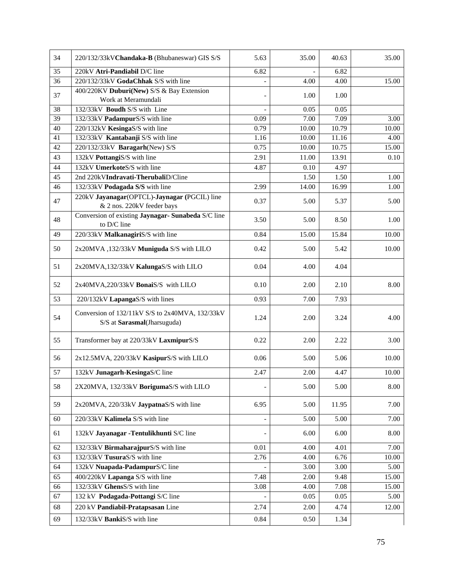| 34              | 220/132/33kVChandaka-B (Bhubaneswar) GIS S/S                                   | 5.63                     | 35.00 | 40.63 | 35.00 |
|-----------------|--------------------------------------------------------------------------------|--------------------------|-------|-------|-------|
| $\overline{35}$ | 220kV Atri-Pandiabil D/C line                                                  | 6.82                     |       | 6.82  |       |
| 36              | 220/132/33kV GodaChhak S/S with line                                           |                          | 4.00  | 4.00  | 15.00 |
| 37              | 400/220KV Duburi(New) S/S & Bay Extension<br>Work at Meramundali               | $\overline{\phantom{a}}$ | 1.00  | 1.00  |       |
| 38              | 132/33kV Boudh S/S with Line                                                   |                          | 0.05  | 0.05  |       |
| 39              | 132/33kV PadampurS/S with line                                                 | 0.09                     | 7.00  | 7.09  | 3.00  |
| 40              | 220/132kV KesingaS/S with line                                                 | 0.79                     | 10.00 | 10.79 | 10.00 |
| 41              | 132/33kV Kantabanji S/S with line                                              | 1.16                     | 10.00 | 11.16 | 4.00  |
| 42              | 220/132/33kV Baragarh(New) S/S                                                 | 0.75                     | 10.00 | 10.75 | 15.00 |
| 43              | 132kV PottangiS/S with line                                                    | 2.91                     | 11.00 | 13.91 | 0.10  |
| 44              | 132kV UmerkoteS/S with line                                                    | 4.87                     | 0.10  | 4.97  |       |
| 45              | 2nd 220kVIndravati-TherubaliD/Cline                                            |                          | 1.50  | 1.50  | 1.00  |
| 46              | 132/33kV Podagada S/S with line                                                | 2.99                     | 14.00 | 16.99 | 1.00  |
| 47              | 220kV Jayanagar(OPTCL)-Jaynagar (PGCIL) line<br>& 2 nos. 220kV feeder bays     | 0.37                     | 5.00  | 5.37  | 5.00  |
| 48              | Conversion of existing Jaynagar- Sunabeda S/C line<br>to D/C line              | 3.50                     | 5.00  | 8.50  | 1.00  |
| 49              | 220/33kV MalkanagiriS/S with line                                              | 0.84                     | 15.00 | 15.84 | 10.00 |
| 50              | 2x20MVA, 132/33kV Muniguda S/S with LILO                                       | 0.42                     | 5.00  | 5.42  | 10.00 |
| 51              | 2x20MVA,132/33kV KalungaS/S with LILO                                          | 0.04                     | 4.00  | 4.04  |       |
| 52              | 2x40MVA,220/33kV BonaiS/S with LILO                                            | 0.10                     | 2.00  | 2.10  | 8.00  |
| 53              | 220/132kV LapangaS/S with lines                                                | 0.93                     | 7.00  | 7.93  |       |
| 54              | Conversion of 132/11kV S/S to 2x40MVA, 132/33kV<br>S/S at Sarasmal(Jharsuguda) | 1.24                     | 2.00  | 3.24  | 4.00  |
| 55              | Transformer bay at 220/33kV LaxmipurS/S                                        | 0.22                     | 2.00  | 2.22  | 3.00  |
| 56              | 2x12.5MVA, 220/33kV KasipurS/S with LILO                                       | 0.06                     | 5.00  | 5.06  | 10.00 |
| 57              | 132kV Junagarh-KesingaS/C line                                                 | 2.47                     | 2.00  | 4.47  | 10.00 |
| 58              | 2X20MVA, 132/33kV BorigumaS/S with LILO                                        | $\qquad \qquad -$        | 5.00  | 5.00  | 8.00  |
| 59              | 2x20MVA, 220/33kV JaypatnaS/S with line                                        | 6.95                     | 5.00  | 11.95 | 7.00  |
| 60              | 220/33kV Kalimela S/S with line                                                | $\blacksquare$           | 5.00  | 5.00  | 7.00  |
| 61              | 132kV Jayanagar - Tentulikhunti S/C line                                       |                          | 6.00  | 6.00  | 8.00  |
| 62              | 132/33kV BirmaharajpurS/S with line                                            | 0.01                     | 4.00  | 4.01  | 7.00  |
| 63              | 132/33kV TusuraS/S with line                                                   | 2.76                     | 4.00  | 6.76  | 10.00 |
| 64              | 132kV Nuapada-PadampurS/C line                                                 |                          | 3.00  | 3.00  | 5.00  |
| 65              | 400/220kV Lapanga S/S with line                                                | 7.48                     | 2.00  | 9.48  | 15.00 |
| 66              | 132/33kV GhensS/S with line                                                    | 3.08                     | 4.00  | 7.08  | 15.00 |
| 67              | 132 kV Podagada-Pottangi S/C line                                              |                          | 0.05  | 0.05  | 5.00  |
| 68              | 220 kV Pandiabil-Pratapsasan Line                                              | 2.74                     | 2.00  | 4.74  | 12.00 |
| 69              | 132/33kV BankiS/S with line                                                    | 0.84                     | 0.50  | 1.34  |       |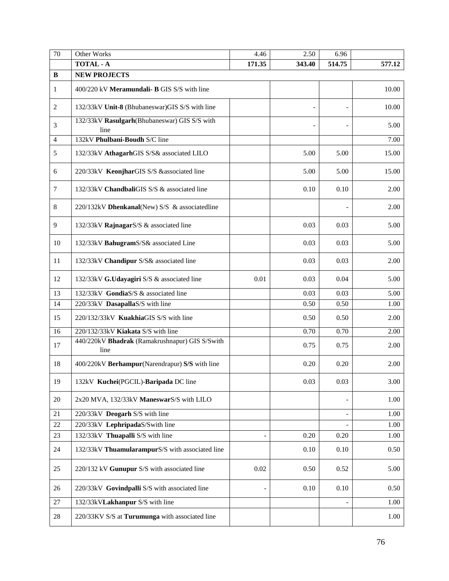| $\overline{70}$ | Other Works                                            | 4.46                     | 2.50   | 6.96                     |        |
|-----------------|--------------------------------------------------------|--------------------------|--------|--------------------------|--------|
|                 | <b>TOTAL - A</b>                                       | 171.35                   | 343.40 | 514.75                   | 577.12 |
| $\bf{B}$        | <b>NEW PROJECTS</b>                                    |                          |        |                          |        |
| $\mathbf{1}$    | 400/220 kV Meramundali- B GIS S/S with line            |                          |        |                          | 10.00  |
| $\overline{2}$  | 132/33kV Unit-8 (Bhubaneswar)GIS S/S with line         |                          |        | $\overline{\phantom{a}}$ | 10.00  |
| 3               | 132/33kV Rasulgarh(Bhubaneswar) GIS S/S with<br>line   |                          |        |                          | 5.00   |
| $\overline{4}$  | 132kV Phulbani-Boudh S/C line                          |                          |        |                          | 7.00   |
| 5               | 132/33kV AthagarhGIS S/S& associated LILO              |                          | 5.00   | 5.00                     | 15.00  |
| 6               | 220/33kV KeonjharGIS S/S &associated line              |                          | 5.00   | 5.00                     | 15.00  |
| $\tau$          | 132/33kV ChandbaliGIS S/S & associated line            |                          | 0.10   | 0.10                     | 2.00   |
| 8               | 220/132kV Dhenkanal(New) S/S & associatedline          |                          |        |                          | 2.00   |
| 9               | 132/33kV RajnagarS/S & associated line                 |                          | 0.03   | 0.03                     | 5.00   |
| 10              | 132/33kV BahugramS/S& associated Line                  |                          | 0.03   | 0.03                     | 5.00   |
| 11              | 132/33kV Chandipur S/S& associated line                |                          | 0.03   | 0.03                     | 2.00   |
| 12              | 132/33kV G.Udayagiri S/S & associated line             | 0.01                     | 0.03   | 0.04                     | 5.00   |
| 13              | 132/33kV GondiaS/S & associated line                   |                          | 0.03   | 0.03                     | 5.00   |
| 14              | 220/33kV DasapallaS/S with line                        |                          | 0.50   | 0.50                     | 1.00   |
| 15              | 220/132/33kV KuakhiaGIS S/S with line                  |                          | 0.50   | 0.50                     | 2.00   |
| 16              | 220/132/33kV Kiakata S/S with line                     |                          | 0.70   | 0.70                     | 2.00   |
| 17              | 440/220kV Bhadrak (Ramakrushnapur) GIS S/Swith<br>line |                          | 0.75   | 0.75                     | 2.00   |
| 18              | 400/220kV Berhampur(Narendrapur) S/S with line         |                          | 0.20   | 0.20                     | 2.00   |
| 19              | 132kV Kuchei(PGCIL)-Baripada DC line                   |                          | 0.03   | 0.03                     | 3.00   |
| 20              | 2x20 MVA, 132/33kV ManeswarS/S with LILO               |                          |        |                          | 1.00   |
| 21              | 220/33kV Deogarh S/S with line                         |                          |        |                          | 1.00   |
| $22\,$          | 220/33kV LephripadaS/Swith line                        |                          |        |                          | 1.00   |
| 23              | 132/33kV Thuapalli S/S with line                       | $\overline{\phantom{a}}$ | 0.20   | 0.20                     | 1.00   |
| 24              | 132/33kV ThuamularampurS/S with associated line        |                          | 0.10   | 0.10                     | 0.50   |
| 25              | 220/132 kV Gunupur S/S with associated line            | 0.02                     | 0.50   | 0.52                     | 5.00   |
| 26              | 220/33kV Govindpalli S/S with associated line          |                          | 0.10   | 0.10                     | 0.50   |
| 27              | 132/33kVLakhanpur S/S with line                        |                          |        |                          | 1.00   |
| $28\,$          | 220/33KV S/S at Turumunga with associated line         |                          |        |                          | 1.00   |